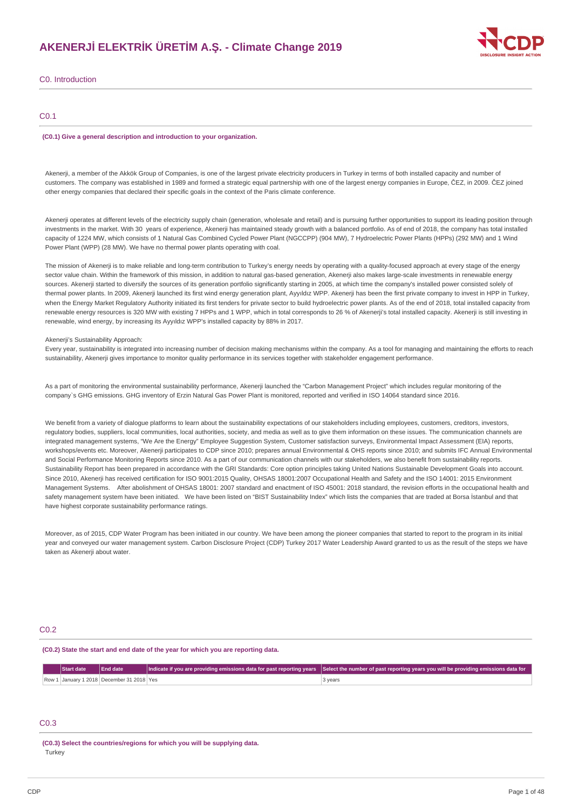# **AKENERJİ ELEKTRİK ÜRETİM A.Ş. - Climate Change 2019**



C0. Introduction

### C0.1

#### **(C0.1) Give a general description and introduction to your organization.**

Akenerji, a member of the Akkök Group of Companies, is one of the largest private electricity producers in Turkey in terms of both installed capacity and number of customers. The company was established in 1989 and formed a strategic equal partnership with one of the largest energy companies in Europe, ČEZ, in 2009. ČEZ joined other energy companies that declared their specific goals in the context of the Paris climate conference.

Akenerji operates at different levels of the electricity supply chain (generation, wholesale and retail) and is pursuing further opportunities to support its leading position through investments in the market. With 30 years of experience, Akenerji has maintained steady growth with a balanced portfolio. As of end of 2018, the company has total installed capacity of 1224 MW, which consists of 1 Natural Gas Combined Cycled Power Plant (NGCCPP) (904 MW), 7 Hydroelectric Power Plants (HPPs) (292 MW) and 1 Wind Power Plant (WPP) (28 MW). We have no thermal power plants operating with coal.

The mission of Akenerji is to make reliable and long-term contribution to Turkey's energy needs by operating with a quality-focused approach at every stage of the energy sector value chain. Within the framework of this mission, in addition to natural gas-based generation, Akenerji also makes large-scale investments in renewable energy sources. Akenerij started to diversify the sources of its generation portfolio significantly starting in 2005, at which time the company's installed power consisted solely of thermal power plants. In 2009, Akenerji launched its first wind energy generation plant, Ayyıldız WPP. Akenerji has been the first private company to invest in HPP in Turkey, when the Energy Market Regulatory Authority initiated its first tenders for private sector to build hydroelectric power plants. As of the end of 2018, total installed capacity from renewable energy resources is 320 MW with existing 7 HPPs and 1 WPP, which in total corresponds to 26 % of Akenerji's total installed capacity. Akenerji is still investing in renewable, wind energy, by increasing its Ayyıldız WPP's installed capacity by 88% in 2017.

#### Akenerji's Sustainability Approach:

Every year, sustainability is integrated into increasing number of decision making mechanisms within the company. As a tool for managing and maintaining the efforts to reach sustainability, Akenerji gives importance to monitor quality performance in its services together with stakeholder engagement performance.

As a part of monitoring the environmental sustainability performance, Akenerji launched the "Carbon Management Project" which includes regular monitoring of the company`s GHG emissions. GHG inventory of Erzin Natural Gas Power Plant is monitored, reported and verified in ISO 14064 standard since 2016.

We benefit from a variety of dialogue platforms to learn about the sustainability expectations of our stakeholders including employees, customers, creditors, investors, regulatory bodies, suppliers, local communities, local authorities, society, and media as well as to give them information on these issues. The communication channels are integrated management systems, "We Are the Energy" Employee Suggestion System, Customer satisfaction surveys, Environmental Impact Assessment (EIA) reports, workshops/events etc. Moreover, Akenerji participates to CDP since 2010; prepares annual Environmental & OHS reports since 2010; and submits IFC Annual Environmental and Social Performance Monitoring Reports since 2010. As a part of our communication channels with our stakeholders, we also benefit from sustainability reports. Sustainability Report has been prepared in accordance with the GRI Standards: Core option principles taking United Nations Sustainable Development Goals into account. Since 2010, Akenerji has received certification for ISO 9001:2015 Quality, OHSAS 18001:2007 Occupational Health and Safety and the ISO 14001: 2015 Environment Management Systems. After abolishment of OHSAS 18001: 2007 standard and enactment of ISO 45001: 2018 standard, the revision efforts in the occupational health and safety management system have been initiated. We have been listed on "BIST Sustainability Index" which lists the companies that are traded at Borsa İstanbul and that have highest corporate sustainability performance ratings.

Moreover, as of 2015, CDP Water Program has been initiated in our country. We have been among the pioneer companies that started to report to the program in its initial year and conveyed our water management system. Carbon Disclosure Project (CDP) Turkey 2017 Water Leadership Award granted to us as the result of the steps we have taken as Akenerji about water.

### C0.2

#### **(C0.2) State the start and end date of the year for which you are reporting data.**

| Start date | <b>End date</b>                           | Indicate if you are providing emissions data for past reporting years Select the number of past reporting years you will be providing emissions data for |
|------------|-------------------------------------------|----------------------------------------------------------------------------------------------------------------------------------------------------------|
|            | Row 1 January 1 2018 December 31 2018 Yes | 3 years                                                                                                                                                  |

### C0.3

**(C0.3) Select the countries/regions for which you will be supplying data. Turkey**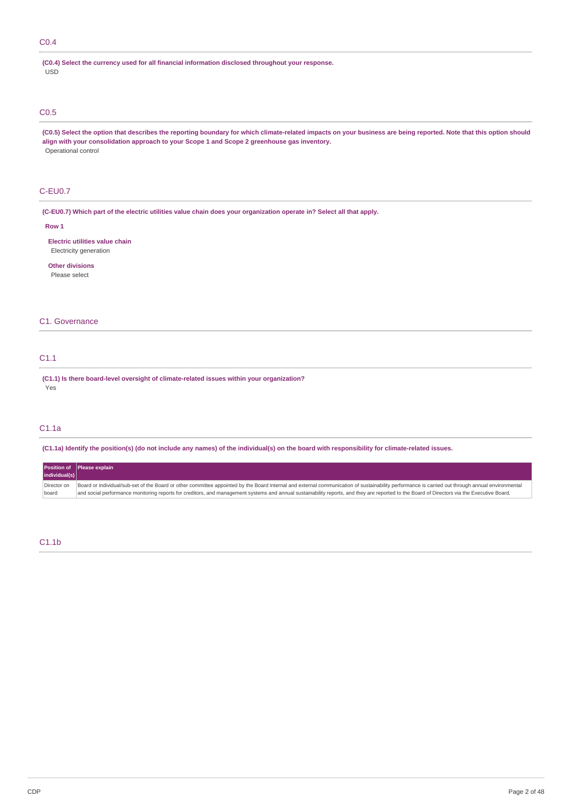### C0.4

**(C0.4) Select the currency used for all financial information disclosed throughout your response.** USD

## C0.5

(C0.5) Select the option that describes the reporting boundary for which climate-related impacts on your business are being reported. Note that this option should **align with your consolidation approach to your Scope 1 and Scope 2 greenhouse gas inventory.** Operational control

### C-EU0.7

(C-EU0.7) Which part of the electric utilities value chain does your organization operate in? Select all that apply.

#### **Row 1**

**Electric utilities value chain** Electricity generation

**Other divisions** Please select

### C1. Governance

### C1.1

**(C1.1) Is there board-level oversight of climate-related issues within your organization?** Yes

### C1.1a

(C1.1a) Identify the position(s) (do not include any names) of the individual(s) on the board with responsibility for climate-related issues.

|               | <b>Position of Please explain</b>                                                                                                                                                                |
|---------------|--------------------------------------------------------------------------------------------------------------------------------------------------------------------------------------------------|
| individual(s) |                                                                                                                                                                                                  |
| Director on   | Board or individual/sub-set of the Board or other committee appointed by the Board Internal and external communication of sustainability performance is carried out through annual environmental |
| board         | and social performance monitoring reports for creditors, and management systems and annual sustainability reports, and they are reported to the Board of Directors via the Executive Board.      |

### C1.1b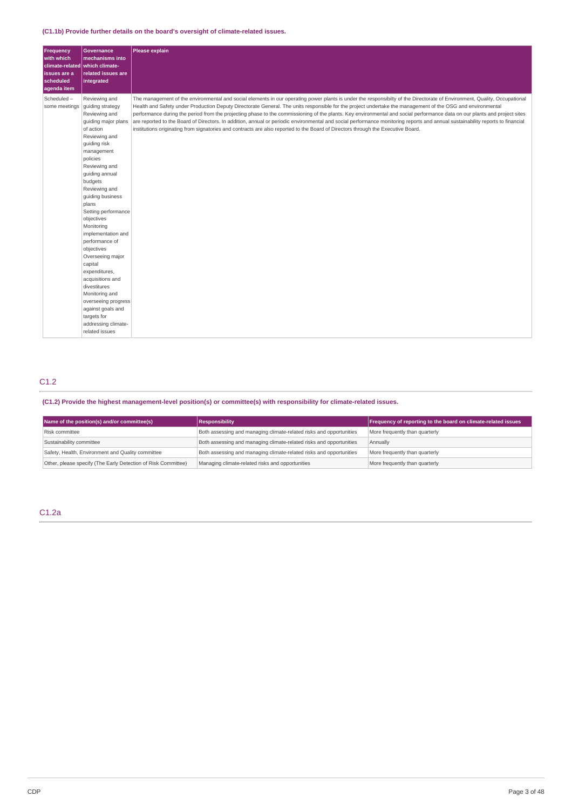### **(C1.1b) Provide further details on the board's oversight of climate-related issues.**

| Frequency<br>Governance<br>with which<br>climate-related which climate-<br>issues are a<br>scheduled<br>integrated<br>agenda item                                                                                                                                                                                                                                                                                                    | mechanisms into<br>related issues are                                                                                                                   | Please explain                                                                                                                                                                                                                                                                                                                                                                                                                                                                                                                                                                                                                                                                                                                                                                                                                             |
|--------------------------------------------------------------------------------------------------------------------------------------------------------------------------------------------------------------------------------------------------------------------------------------------------------------------------------------------------------------------------------------------------------------------------------------|---------------------------------------------------------------------------------------------------------------------------------------------------------|--------------------------------------------------------------------------------------------------------------------------------------------------------------------------------------------------------------------------------------------------------------------------------------------------------------------------------------------------------------------------------------------------------------------------------------------------------------------------------------------------------------------------------------------------------------------------------------------------------------------------------------------------------------------------------------------------------------------------------------------------------------------------------------------------------------------------------------------|
| Scheduled-<br>Reviewing and<br>some meetings<br>guiding strategy<br>Reviewing and<br>of action<br>Reviewing and<br>guiding risk<br>management<br>policies<br>Reviewing and<br>guiding annual<br>budgets<br>Reviewing and<br>guiding business<br>plans<br>objectives<br>Monitoring<br>performance of<br>objectives<br>capital<br>expenditures,<br>acquisitions and<br>divestitures<br>Monitoring and<br>targets for<br>related issues | guiding major plans<br>Setting performance<br>implementation and<br>Overseeing major<br>overseeing progress<br>against goals and<br>addressing climate- | The management of the environmental and social elements in our operating power plants is under the responsibilty of the Directorate of Environment, Quality, Occupational<br>Health and Safety under Production Deputy Directorate General. The units responsible for the project undertake the management of the OSG and environmental<br>performance during the period from the projecting phase to the commissioning of the plants. Key environmental and social performance data on our plants and project sites<br>are reported to the Board of Directors. In addition, annual or periodic environmental and social performance monitoring reports and annual sustainability reports to financial<br>institutions originating from signatories and contracts are also reported to the Board of Directors through the Executive Board. |

### C1.2

**(C1.2) Provide the highest management-level position(s) or committee(s) with responsibility for climate-related issues.**

| Name of the position(s) and/or committee(s)                   | <b>Responsibility</b>                                               | Frequency of reporting to the board on climate-related issues |  |
|---------------------------------------------------------------|---------------------------------------------------------------------|---------------------------------------------------------------|--|
| Risk committee                                                | Both assessing and managing climate-related risks and opportunities | More frequently than quarterly                                |  |
| Sustainability committee                                      | Both assessing and managing climate-related risks and opportunities | Annually                                                      |  |
| Safety, Health, Environment and Quality committee             | Both assessing and managing climate-related risks and opportunities | More frequently than quarterly                                |  |
| Other, please specify (The Early Detection of Risk Committee) | Managing climate-related risks and opportunities                    | More frequently than quarterly                                |  |

# C1.2a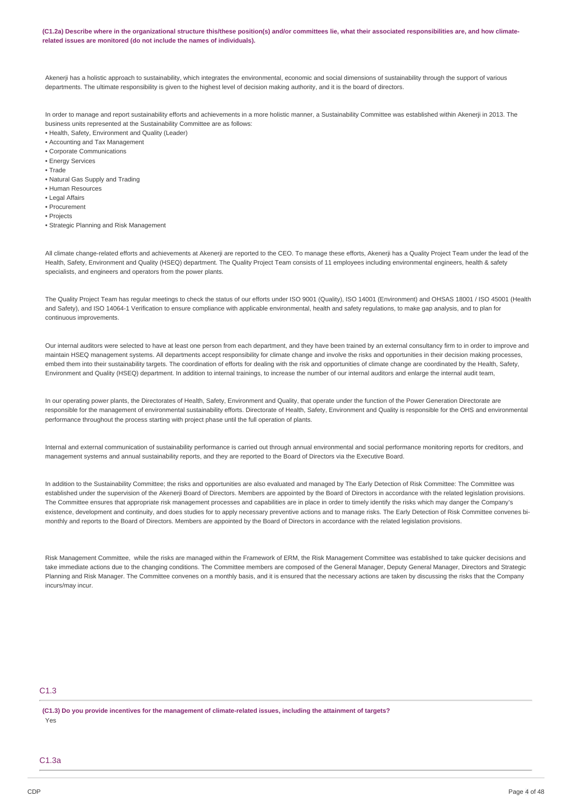(C1.2a) Describe where in the organizational structure this/these position(s) and/or committees lie, what their associated responsibilities are, and how climate**related issues are monitored (do not include the names of individuals).**

Akenerji has a holistic approach to sustainability, which integrates the environmental, economic and social dimensions of sustainability through the support of various departments. The ultimate responsibility is given to the highest level of decision making authority, and it is the board of directors.

In order to manage and report sustainability efforts and achievements in a more holistic manner, a Sustainability Committee was established within Akenerji in 2013. The business units represented at the Sustainability Committee are as follows:

- Health, Safety, Environment and Quality (Leader)
- Accounting and Tax Management
- Corporate Communications
- Energy Services
- Trade
- Natural Gas Supply and Trading
- Human Resources
- Legal Affairs
- Procurement
- Projects
- Strategic Planning and Risk Management

All climate change-related efforts and achievements at Akenerji are reported to the CEO. To manage these efforts, Akenerji has a Quality Project Team under the lead of the Health, Safety, Environment and Quality (HSEQ) department. The Quality Project Team consists of 11 employees including environmental engineers, health & safety specialists, and engineers and operators from the power plants.

The Quality Project Team has regular meetings to check the status of our efforts under ISO 9001 (Quality), ISO 14001 (Environment) and OHSAS 18001 / ISO 45001 (Health and Safety), and ISO 14064-1 Verification to ensure compliance with applicable environmental, health and safety regulations, to make gap analysis, and to plan for continuous improvements.

Our internal auditors were selected to have at least one person from each department, and they have been trained by an external consultancy firm to in order to improve and maintain HSEQ management systems. All departments accept responsibility for climate change and involve the risks and opportunities in their decision making processes, embed them into their sustainability targets. The coordination of efforts for dealing with the risk and opportunities of climate change are coordinated by the Health, Safety, Environment and Quality (HSEQ) department. In addition to internal trainings, to increase the number of our internal auditors and enlarge the internal audit team,

In our operating power plants, the Directorates of Health, Safety, Environment and Quality, that operate under the function of the Power Generation Directorate are responsible for the management of environmental sustainability efforts. Directorate of Health, Safety, Environment and Quality is responsible for the OHS and environmental performance throughout the process starting with project phase until the full operation of plants.

Internal and external communication of sustainability performance is carried out through annual environmental and social performance monitoring reports for creditors, and management systems and annual sustainability reports, and they are reported to the Board of Directors via the Executive Board.

In addition to the Sustainability Committee; the risks and opportunities are also evaluated and managed by The Early Detection of Risk Committee: The Committee was established under the supervision of the Akenerji Board of Directors. Members are appointed by the Board of Directors in accordance with the related legislation provisions. The Committee ensures that appropriate risk management processes and capabilities are in place in order to timely identify the risks which may danger the Company's existence, development and continuity, and does studies for to apply necessary preventive actions and to manage risks. The Early Detection of Risk Committee convenes bimonthly and reports to the Board of Directors. Members are appointed by the Board of Directors in accordance with the related legislation provisions.

Risk Management Committee, while the risks are managed within the Framework of ERM, the Risk Management Committee was established to take quicker decisions and take immediate actions due to the changing conditions. The Committee members are composed of the General Manager, Deputy General Manager, Directors and Strategic Planning and Risk Manager. The Committee convenes on a monthly basis, and it is ensured that the necessary actions are taken by discussing the risks that the Company incurs/may incur.

### C1.3

(C1.3) Do you provide incentives for the management of climate-related issues, including the attainment of targets? Yes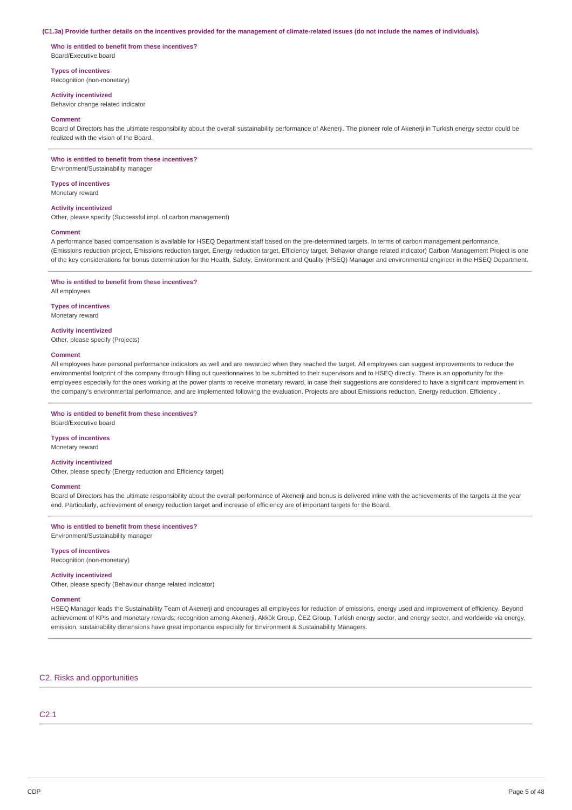#### (C1.3a) Provide further details on the incentives provided for the management of climate-related issues (do not include the names of individuals).

#### **Who is entitled to benefit from these incentives?** Board/Executive board

**Types of incentives**

Recognition (non-monetary)

#### **Activity incentivized**

Behavior change related indicator

#### **Comment**

Board of Directors has the ultimate responsibility about the overall sustainability performance of Akenerji. The pioneer role of Akenerji in Turkish energy sector could be realized with the vision of the Board.

#### **Who is entitled to benefit from these incentives?**

Environment/Sustainability manager

#### **Types of incentives**

Monetary reward

### **Activity incentivized**

Other, please specify (Successful impl. of carbon management)

#### **Comment**

A performance based compensation is available for HSEQ Department staff based on the pre-determined targets. In terms of carbon management performance, (Emissions reduction project, Emissions reduction target, Energy reduction target, Efficiency target, Behavior change related indicator) Carbon Management Project is one of the key considerations for bonus determination for the Health, Safety, Environment and Quality (HSEQ) Manager and environmental engineer in the HSEQ Department.

### **Who is entitled to benefit from these incentives?**

All employees

#### **Types of incentives**

Monetary reward

#### **Activity incentivized**

Other, please specify (Projects)

#### **Comment**

All employees have personal performance indicators as well and are rewarded when they reached the target. All employees can suggest improvements to reduce the environmental footprint of the company through filling out questionnaires to be submitted to their supervisors and to HSEQ directly. There is an opportunity for the employees especially for the ones working at the power plants to receive monetary reward, in case their suggestions are considered to have a significant improvement in the company's environmental performance, and are implemented following the evaluation. Projects are about Emissions reduction, Energy reduction, Efficiency .

### **Who is entitled to benefit from these incentives?**

Board/Executive board

### **Types of incentives**

Monetary reward

#### **Activity incentivized**

Other, please specify (Energy reduction and Efficiency target)

#### **Comment**

Board of Directors has the ultimate responsibility about the overall performance of Akenerji and bonus is delivered inline with the achievements of the targets at the year end. Particularly, achievement of energy reduction target and increase of efficiency are of important targets for the Board.

**Who is entitled to benefit from these incentives?** Environment/Sustainability manager

### **Types of incentives**

Recognition (non-monetary)

#### **Activity incentivized**

Other, please specify (Behaviour change related indicator)

#### **Comment**

HSEQ Manager leads the Sustainability Team of Akenerji and encourages all employees for reduction of emissions, energy used and improvement of efficiency. Beyond achievement of KPIs and monetary rewards; recognition among Akenerji, Akkök Group, ČEZ Group, Turkish energy sector, and energy sector, and worldwide via energy, emission, sustainability dimensions have great importance especially for Environment & Sustainability Managers.

C2. Risks and opportunities

C2.1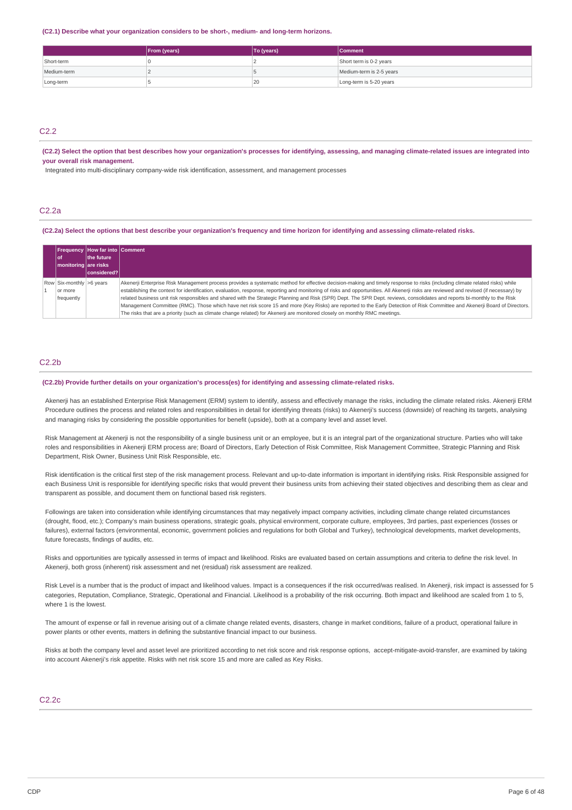**(C2.1) Describe what your organization considers to be short-, medium- and long-term horizons.**

|             | From (years) | To (years) | <b>Comment</b>           |
|-------------|--------------|------------|--------------------------|
| Short-term  |              |            | Short term is 0-2 years  |
| Medium-term |              |            | Medium-term is 2-5 years |
| Long-term   |              | 20         | Long-term is 5-20 years  |

C<sub>2.2</sub>

(C2.2) Select the option that best describes how your organization's processes for identifying, assessing, and managing climate-related issues are integrated into **your overall risk management.**

Integrated into multi-disciplinary company-wide risk identification, assessment, and management processes

### C2.2a

(C2.2a) Select the options that best describe your organization's frequency and time horizon for identifying and assessing climate-related risks.

| l of<br>  monitoring   are risks                  | <b>Frequency   How far into   Comment</b><br>the future<br>considered? |                                                                                                                                                                                                                                                                                                                                                                                                                                                                                                                                                                                                                                                                                                                                                                                                                                                                |
|---------------------------------------------------|------------------------------------------------------------------------|----------------------------------------------------------------------------------------------------------------------------------------------------------------------------------------------------------------------------------------------------------------------------------------------------------------------------------------------------------------------------------------------------------------------------------------------------------------------------------------------------------------------------------------------------------------------------------------------------------------------------------------------------------------------------------------------------------------------------------------------------------------------------------------------------------------------------------------------------------------|
| Row Six-monthly >6 years<br>or more<br>frequently |                                                                        | Akenerji Enterprise Risk Management process provides a systematic method for effective decision-making and timely response to risks (including climate related risks) while<br>establishing the context for identification, evaluation, response, reporting and monitoring of risks and opportunities. All Akenerji risks are reviewed and revised (if necessary) by<br>related business unit risk responsibles and shared with the Strategic Planning and Risk (SPR) Dept. The SPR Dept. reviews, consolidates and reports bi-monthly to the Risk<br>Management Committee (RMC). Those which have net risk score 15 and more (Key Risks) are reported to the Early Detection of Risk Committee and Akenerji Board of Directors.<br>The risks that are a priority (such as climate change related) for Akenerji are monitored closely on monthly RMC meetings. |

### C2.2b

#### **(C2.2b) Provide further details on your organization's process(es) for identifying and assessing climate-related risks.**

Akenerji has an established Enterprise Risk Management (ERM) system to identify, assess and effectively manage the risks, including the climate related risks. Akenerji ERM Procedure outlines the process and related roles and responsibilities in detail for identifying threats (risks) to Akenerji's success (downside) of reaching its targets, analysing and managing risks by considering the possible opportunities for benefit (upside), both at a company level and asset level.

Risk Management at Akenerji is not the responsibility of a single business unit or an employee, but it is an integral part of the organizational structure. Parties who will take roles and responsibilities in Akenerji ERM process are; Board of Directors, Early Detection of Risk Committee, Risk Management Committee, Strategic Planning and Risk Department, Risk Owner, Business Unit Risk Responsible, etc.

Risk identification is the critical first step of the risk management process. Relevant and up-to-date information is important in identifying risks. Risk Responsible assigned for each Business Unit is responsible for identifying specific risks that would prevent their business units from achieving their stated objectives and describing them as clear and transparent as possible, and document them on functional based risk registers.

Followings are taken into consideration while identifying circumstances that may negatively impact company activities, including climate change related circumstances (drought, flood, etc.); Company's main business operations, strategic goals, physical environment, corporate culture, employees, 3rd parties, past experiences (losses or failures), external factors (environmental, economic, government policies and regulations for both Global and Turkey), technological developments, market developments, future forecasts, findings of audits, etc.

Risks and opportunities are typically assessed in terms of impact and likelihood. Risks are evaluated based on certain assumptions and criteria to define the risk level. In Akenerji, both gross (inherent) risk assessment and net (residual) risk assessment are realized.

Risk Level is a number that is the product of impact and likelihood values. Impact is a consequences if the risk occurred/was realised. In Akenerii, risk impact is assessed for 5 categories, Reputation, Compliance, Strategic, Operational and Financial. Likelihood is a probability of the risk occurring. Both impact and likelihood are scaled from 1 to 5, where 1 is the lowest.

The amount of expense or fall in revenue arising out of a climate change related events, disasters, change in market conditions, failure of a product, operational failure in power plants or other events, matters in defining the substantive financial impact to our business.

Risks at both the company level and asset level are prioritized according to net risk score and risk response options, accept-mitigate-avoid-transfer, are examined by taking into account Akenerji's risk appetite. Risks with net risk score 15 and more are called as Key Risks.

### C2.2c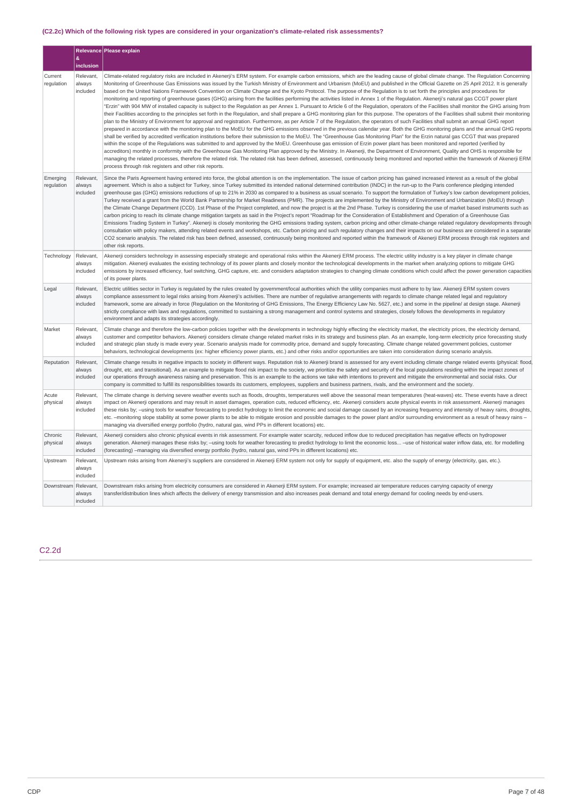## **(C2.2c) Which of the following risk types are considered in your organization's climate-related risk assessments?**

|                        | &<br>inclusion                  | Relevance Please explain                                                                                                                                                                                                                                                                                                                                                                                                                                                                                                                                                                                                                                                                                                                                                                                                                                                                                                                                                                                                                                                                                                                                                                                                                                                                                                                                                                                                                                                                                                                                                                                                                                                                                                                                                                                                                                                                                                                                                                                                                                                                                                                                                                                                                                                                                                                                    |
|------------------------|---------------------------------|-------------------------------------------------------------------------------------------------------------------------------------------------------------------------------------------------------------------------------------------------------------------------------------------------------------------------------------------------------------------------------------------------------------------------------------------------------------------------------------------------------------------------------------------------------------------------------------------------------------------------------------------------------------------------------------------------------------------------------------------------------------------------------------------------------------------------------------------------------------------------------------------------------------------------------------------------------------------------------------------------------------------------------------------------------------------------------------------------------------------------------------------------------------------------------------------------------------------------------------------------------------------------------------------------------------------------------------------------------------------------------------------------------------------------------------------------------------------------------------------------------------------------------------------------------------------------------------------------------------------------------------------------------------------------------------------------------------------------------------------------------------------------------------------------------------------------------------------------------------------------------------------------------------------------------------------------------------------------------------------------------------------------------------------------------------------------------------------------------------------------------------------------------------------------------------------------------------------------------------------------------------------------------------------------------------------------------------------------------------|
| Current<br>regulation  | Relevant,<br>always<br>included | Climate-related requlatory risks are included in Akenerii's ERM system. For example carbon emissions, which are the leading cause of global climate change. The Requlation Concerning<br>Monitoring of Greenhouse Gas Emissions was issued by the Turkish Ministry of Environment and Urbanism (MoEU) and published in the Official Gazette on 25 April 2012. It is generally<br>based on the United Nations Framework Convention on Climate Change and the Kyoto Protocol. The purpose of the Regulation is to set forth the principles and procedures for<br>monitoring and reporting of greenhouse gases (GHG) arising from the facilities performing the activities listed in Annex 1 of the Regulation. Akenerii's natural gas CCGT power plant<br>"Erzin" with 904 MW of installed capacity is subject to the Regulation as per Annex 1. Pursuant to Article 6 of the Regulation, operators of the Facilities shall monitor the GHG arising from<br>their Facilities according to the principles set forth in the Regulation, and shall prepare a GHG monitoring plan for this purpose. The operators of the Facilities shall submit their monitoring<br>plan to the Ministry of Environment for approval and registration. Furthermore, as per Article 7 of the Regulation, the operators of such Facilities shall submit an annual GHG report<br>prepared in accordance with the monitoring plan to the MoEU for the GHG emissions observed in the previous calendar year. Both the GHG monitoring plans and the annual GHG reports<br>shall be verified by accredited verification institutions before their submission to the MoEU. The "Greenhouse Gas Monitoring Plan" for the Erzin natural gas CCGT that was prepared<br>within the scope of the Regulations was submitted to and approved by the MoEU. Greenhouse gas emission of Erzin power plant has been monitored and reported (verified by<br>accreditors) monthly in conformity with the Greenhouse Gas Monitoring Plan approved by the Ministry. In Akenerji, the Department of Environment, Quality and OHS is responsible for<br>managing the related processes, therefore the related risk. The related risk has been defined, assessed, continuously being monitored and reported within the framework of Akenerji ERM<br>process through risk registers and other risk reports. |
| Emerging<br>regulation | Relevant,<br>always<br>included | Since the Paris Agreement having entered into force, the global attention is on the implementation. The issue of carbon pricing has gained increased interest as a result of the global<br>agreement. Which is also a subject for Turkey, since Turkey submitted its intended national determined contribution (INDC) in the run-up to the Paris conference pledging intended<br>greenhouse gas (GHG) emissions reductions of up to 21% in 2030 as compared to a business as usual scenario. To support the formulation of Turkey's low carbon development policies,<br>Turkey received a grant from the World Bank Partnership for Market Readiness (PMR). The projects are implemented by the Ministry of Environment and Urbanization (MoEU) through<br>the Climate Change Department (CCD). 1st Phase of the Project completed, and now the project is at the 2nd Phase. Turkey is considering the use of market based instruments such as<br>carbon pricing to reach its climate change mitigation targets as said in the Project's report "Roadmap for the Consideration of Establishment and Operation of a Greenhouse Gas<br>Emissions Trading System in Turkey". Akenerji is closely monitoring the GHG emissions trading system, carbon pricing and other climate-change related regulatory developments through<br>consultation with policy makers, attending related events and workshops, etc. Carbon pricing and such regulatory changes and their impacts on our business are considered in a separate<br>CO2 scenario analysis. The related risk has been defined, assessed, continuously being monitored and reported within the framework of Akenerji ERM process through risk registers and<br>other risk reports.                                                                                                                                                                                                                                                                                                                                                                                                                                                                                                                                                                                                                       |
| Technology             | Relevant,<br>always<br>included | Akenerji considers technology in assessing especially strategic and operational risks within the Akenerji ERM process. The electric utility industry is a key player in climate change<br>mitigation. Akenerji evaluates the existing technology of its power plants and closely monitor the technological developments in the market when analyzing options to mitigate GHG<br>emissions by increased efficiency, fuel switching, GHG capture, etc. and considers adaptation strategies to changing climate conditions which could affect the power generation capacities<br>of its power plants.                                                                                                                                                                                                                                                                                                                                                                                                                                                                                                                                                                                                                                                                                                                                                                                                                                                                                                                                                                                                                                                                                                                                                                                                                                                                                                                                                                                                                                                                                                                                                                                                                                                                                                                                                          |
| Legal                  | Relevant,<br>always<br>included | Electric utilities sector in Turkey is regulated by the rules created by government/local authorities which the utility companies must adhere to by law. Akenerji ERM system covers<br>compliance assessment to legal risks arising from Akenerji's activities. There are number of regulative arrangements with regards to climate change related legal and regulatory<br>framework, some are already in force (Requlation on the Monitoring of GHG Emissions, The Energy Efficiency Law No. 5627, etc.) and some in the pipeline/ at design stage. Akenerji<br>strictly compliance with laws and regulations, committed to sustaining a strong management and control systems and strategies, closely follows the developments in regulatory<br>environment and adapts its strategies accordingly.                                                                                                                                                                                                                                                                                                                                                                                                                                                                                                                                                                                                                                                                                                                                                                                                                                                                                                                                                                                                                                                                                                                                                                                                                                                                                                                                                                                                                                                                                                                                                        |
| Market                 | Relevant,<br>always<br>included | Climate change and therefore the low-carbon policies together with the developments in technology highly effecting the electricity market, the electricity prices, the electricity demand,<br>customer and competitor behaviors. Akenerji considers climate change related market risks in its strategy and business plan. As an example, long-term electricity price forecasting study<br>and strategic plan study is made every year. Scenario analysis made for commodity price, demand and supply forecasting. Climate change related government policies, customer<br>behaviors, technological developments (ex: higher efficiency power plants, etc.) and other risks and/or opportunities are taken into consideration during scenario analysis.                                                                                                                                                                                                                                                                                                                                                                                                                                                                                                                                                                                                                                                                                                                                                                                                                                                                                                                                                                                                                                                                                                                                                                                                                                                                                                                                                                                                                                                                                                                                                                                                     |
| Reputation             | Relevant,<br>always<br>included | Climate change results in negative impacts to society in different ways. Reputation risk to Akenerji brand is assessed for any event including climate change related events (physical: flood<br>drought, etc. and transitional). As an example to mitigate flood risk impact to the society, we prioritize the safety and security of the local populations residing within the impact zones of<br>our operations through awareness raising and preservation. This is an example to the actions we take with intentions to prevent and mitigate the environmental and social risks. Our<br>company is committed to fulfill its responsibilities towards its customers, employees, suppliers and business partners, rivals, and the environment and the society.                                                                                                                                                                                                                                                                                                                                                                                                                                                                                                                                                                                                                                                                                                                                                                                                                                                                                                                                                                                                                                                                                                                                                                                                                                                                                                                                                                                                                                                                                                                                                                                            |
| Acute<br>physical      | Relevant,<br>always<br>included | The climate change is deriving severe weather events such as floods, droughts, temperatures well above the seasonal mean temperatures (heat-waves) etc. These events have a direct<br>impact on Akenerji operations and may result in asset damages, operation cuts, reduced efficiency, etc. Akenerji considers acute physical events in risk assessment. Akenerji manages<br>these risks by; -using tools for weather forecasting to predict hydrology to limit the economic and social damage caused by an increasing frequency and intensity of heavy rains, droughts,<br>etc. --monitoring slope stability at some power plants to be able to mitigate erosion and possible damages to the power plant and/or surrounding environment as a result of heavy rains -<br>managing via diversified energy portfolio (hydro, natural gas, wind PPs in different locations) etc.                                                                                                                                                                                                                                                                                                                                                                                                                                                                                                                                                                                                                                                                                                                                                                                                                                                                                                                                                                                                                                                                                                                                                                                                                                                                                                                                                                                                                                                                             |
| Chronic<br>physical    | Relevant,<br>always<br>included | Akenerji considers also chronic physical events in risk assessment. For example water scarcity, reduced inflow due to reduced precipitation has negative effects on hydropower<br>generation. Akenerji manages these risks by; -using tools for weather forecasting to predict hydrology to limit the economic loss -use of historical water inflow data, etc. for modelling<br>(forecasting) -managing via diversified energy portfolio (hydro, natural gas, wind PPs in different locations) etc.                                                                                                                                                                                                                                                                                                                                                                                                                                                                                                                                                                                                                                                                                                                                                                                                                                                                                                                                                                                                                                                                                                                                                                                                                                                                                                                                                                                                                                                                                                                                                                                                                                                                                                                                                                                                                                                         |
| Upstream               | Relevant,<br>always<br>included | Upstream risks arising from Akenerji's suppliers are considered in Akenerji ERM system not only for supply of equipment, etc. also the supply of energy (electricity, gas, etc.).                                                                                                                                                                                                                                                                                                                                                                                                                                                                                                                                                                                                                                                                                                                                                                                                                                                                                                                                                                                                                                                                                                                                                                                                                                                                                                                                                                                                                                                                                                                                                                                                                                                                                                                                                                                                                                                                                                                                                                                                                                                                                                                                                                           |
| Downstream Relevant,   | always<br>included              | Downstream risks arising from electricity consumers are considered in Akenerji ERM system. For example; increased air temperature reduces carrying capacity of energy<br>transfer/distribution lines which affects the delivery of energy transmission and also increases peak demand and total energy demand for cooling needs by end-users.                                                                                                                                                                                                                                                                                                                                                                                                                                                                                                                                                                                                                                                                                                                                                                                                                                                                                                                                                                                                                                                                                                                                                                                                                                                                                                                                                                                                                                                                                                                                                                                                                                                                                                                                                                                                                                                                                                                                                                                                               |

### C2.2d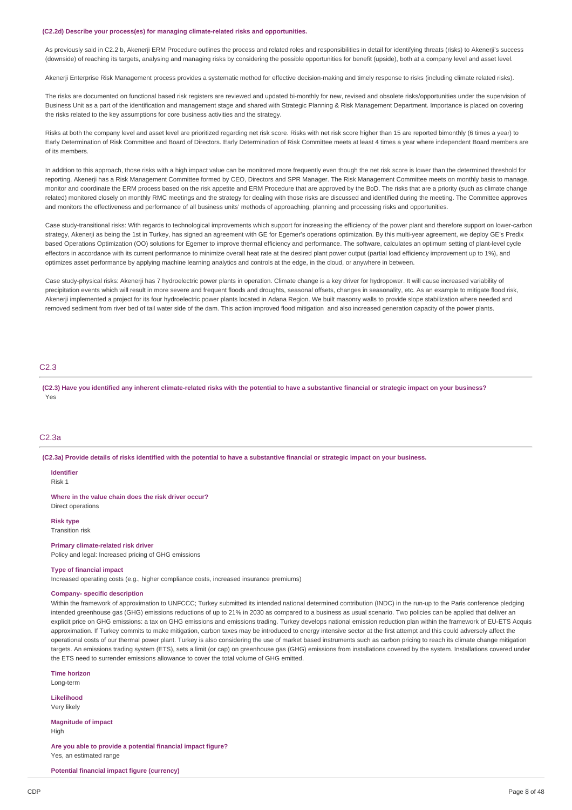#### **(C2.2d) Describe your process(es) for managing climate-related risks and opportunities.**

As previously said in C2.2 b, Akenerji ERM Procedure outlines the process and related roles and responsibilities in detail for identifying threats (risks) to Akenerji's success (downside) of reaching its targets, analysing and managing risks by considering the possible opportunities for benefit (upside), both at a company level and asset level.

Akenerji Enterprise Risk Management process provides a systematic method for effective decision-making and timely response to risks (including climate related risks).

The risks are documented on functional based risk registers are reviewed and updated bi-monthly for new, revised and obsolete risks/opportunities under the supervision of Business Unit as a part of the identification and management stage and shared with Strategic Planning & Risk Management Department. Importance is placed on covering the risks related to the key assumptions for core business activities and the strategy.

Risks at both the company level and asset level are prioritized regarding net risk score. Risks with net risk score higher than 15 are reported bimonthly (6 times a year) to Early Determination of Risk Committee and Board of Directors. Early Determination of Risk Committee meets at least 4 times a year where independent Board members are of its members.

In addition to this approach, those risks with a high impact value can be monitored more frequently even though the net risk score is lower than the determined threshold for reporting. Akenerji has a Risk Management Committee formed by CEO, Directors and SPR Manager. The Risk Management Committee meets on monthly basis to manage, monitor and coordinate the ERM process based on the risk appetite and ERM Procedure that are approved by the BoD. The risks that are a priority (such as climate change related) monitored closely on monthly RMC meetings and the strategy for dealing with those risks are discussed and identified during the meeting. The Committee approves and monitors the effectiveness and performance of all business units' methods of approaching, planning and processing risks and opportunities.

Case study-transitional risks: With regards to technological improvements which support for increasing the efficiency of the power plant and therefore support on lower-carbon strategy, Akenerji as being the 1st in Turkey, has signed an agreement with GE for Egemer's operations optimization. By this multi-year agreement, we deploy GE's Predix based Operations Optimization (OO) solutions for Egemer to improve thermal efficiency and performance. The software, calculates an optimum setting of plant-level cycle effectors in accordance with its current performance to minimize overall heat rate at the desired plant power output (partial load efficiency improvement up to 1%), and optimizes asset performance by applying machine learning analytics and controls at the edge, in the cloud, or anywhere in between.

Case study-physical risks: Akenerji has 7 hydroelectric power plants in operation. Climate change is a key driver for hydropower. It will cause increased variability of precipitation events which will result in more severe and frequent floods and droughts, seasonal offsets, changes in seasonality, etc. As an example to mitigate flood risk, Akenerji implemented a project for its four hydroelectric power plants located in Adana Region. We built masonry walls to provide slope stabilization where needed and removed sediment from river bed of tail water side of the dam. This action improved flood mitigation and also increased generation capacity of the power plants.

### C2.3

(C2.3) Have you identified any inherent climate-related risks with the potential to have a substantive financial or strategic impact on your business? Yes

#### C2.3a

(C2.3a) Provide details of risks identified with the potential to have a substantive financial or strategic impact on your business.

**Identifier** Risk 1

**Where in the value chain does the risk driver occur?** Direct operations

**Risk type** Transition risk

#### **Primary climate-related risk driver**

Policy and legal: Increased pricing of GHG emissions

#### **Type of financial impact**

Increased operating costs (e.g., higher compliance costs, increased insurance premiums)

#### **Company- specific description**

Within the framework of approximation to UNFCCC; Turkey submitted its intended national determined contribution (INDC) in the run-up to the Paris conference pledging intended greenhouse gas (GHG) emissions reductions of up to 21% in 2030 as compared to a business as usual scenario. Two policies can be applied that deliver an explicit price on GHG emissions: a tax on GHG emissions and emissions trading. Turkey develops national emission reduction plan within the framework of EU-ETS Acquis approximation. If Turkey commits to make mitigation, carbon taxes may be introduced to energy intensive sector at the first attempt and this could adversely affect the operational costs of our thermal power plant. Turkey is also considering the use of market based instruments such as carbon pricing to reach its climate change mitigation targets. An emissions trading system (ETS), sets a limit (or cap) on greenhouse gas (GHG) emissions from installations covered by the system. Installations covered under the ETS need to surrender emissions allowance to cover the total volume of GHG emitted.

**Time horizon**

Long-term

**Likelihood** Very likely

**Magnitude of impact** High

**Are you able to provide a potential financial impact figure?** Yes, an estimated range

**Potential financial impact figure (currency)**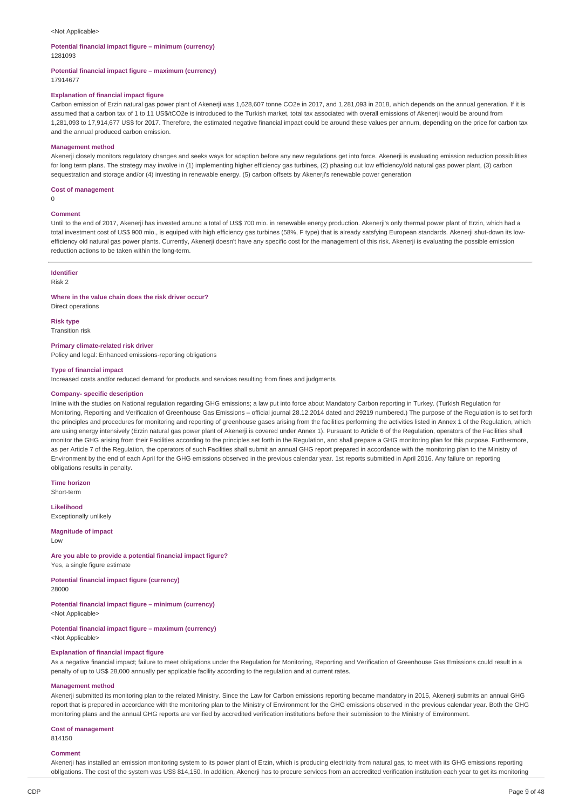#### <Not Applicable>

### **Potential financial impact figure – minimum (currency)**

1281093

#### **Potential financial impact figure – maximum (currency)**

17914677

#### **Explanation of financial impact figure**

Carbon emission of Erzin natural gas power plant of Akenerji was 1,628,607 tonne CO2e in 2017, and 1,281,093 in 2018, which depends on the annual generation. If it is assumed that a carbon tax of 1 to 11 US\$/tCO2e is introduced to the Turkish market, total tax associated with overall emissions of Akenerji would be around from 1,281,093 to 17,914,677 US\$ for 2017. Therefore, the estimated negative financial impact could be around these values per annum, depending on the price for carbon tax and the annual produced carbon emission.

#### **Management method**

Akenerji closely monitors regulatory changes and seeks ways for adaption before any new regulations get into force. Akenerji is evaluating emission reduction possibilities for long term plans. The strategy may involve in (1) implementing higher efficiency gas turbines, (2) phasing out low efficiency/old natural gas power plant, (3) carbon sequestration and storage and/or (4) investing in renewable energy. (5) carbon offsets by Akenerji's renewable power generation

#### **Cost of management**

 $\Omega$ 

#### **Comment**

Until to the end of 2017, Akenerji has invested around a total of US\$ 700 mio. in renewable energy production. Akenerji's only thermal power plant of Erzin, which had a total investment cost of US\$ 900 mio., is equiped with high efficiency gas turbines (58%, F type) that is already satsfying European standards. Akenerji shut-down its lowefficiency old natural gas power plants. Currently, Akenerji doesn't have any specific cost for the management of this risk. Akenerji is evaluating the possible emission reduction actions to be taken within the long-term.

### **Identifier**

Risk 2

#### **Where in the value chain does the risk driver occur?**

Direct operations

**Risk type** Transition risk

#### **Primary climate-related risk driver**

Policy and legal: Enhanced emissions-reporting obligations

#### **Type of financial impact**

Increased costs and/or reduced demand for products and services resulting from fines and judgments

#### **Company- specific description**

Inline with the studies on National regulation regarding GHG emissions; a law put into force about Mandatory Carbon reporting in Turkey. (Turkish Regulation for Monitoring, Reporting and Verification of Greenhouse Gas Emissions – official journal 28.12.2014 dated and 29219 numbered.) The purpose of the Regulation is to set forth the principles and procedures for monitoring and reporting of greenhouse gases arising from the facilities performing the activities listed in Annex 1 of the Regulation, which are using energy intensively (Erzin natural gas power plant of Akenerji is covered under Annex 1). Pursuant to Article 6 of the Regulation, operators of the Facilities shall monitor the GHG arising from their Facilities according to the principles set forth in the Regulation, and shall prepare a GHG monitoring plan for this purpose. Furthermore, as per Article 7 of the Regulation, the operators of such Facilities shall submit an annual GHG report prepared in accordance with the monitoring plan to the Ministry of Environment by the end of each April for the GHG emissions observed in the previous calendar year. 1st reports submitted in April 2016. Any failure on reporting obligations results in penalty.

**Time horizon**

Short-term

### **Likelihood**

Exceptionally unlikely

### **Magnitude of impact**

Low

**Are you able to provide a potential financial impact figure?** Yes, a single figure estimate

**Potential financial impact figure (currency)** 28000

### **Potential financial impact figure – minimum (currency)**

<Not Applicable>

#### **Potential financial impact figure – maximum (currency)** <Not Applicable>

# **Explanation of financial impact figure**

As a negative financial impact; failure to meet obligations under the Regulation for Monitoring, Reporting and Verification of Greenhouse Gas Emissions could result in a penalty of up to US\$ 28,000 annually per applicable facility according to the regulation and at current rates.

#### **Management method**

Akenerji submitted its monitoring plan to the related Ministry. Since the Law for Carbon emissions reporting became mandatory in 2015, Akenerji submits an annual GHG report that is prepared in accordance with the monitoring plan to the Ministry of Environment for the GHG emissions observed in the previous calendar year. Both the GHG monitoring plans and the annual GHG reports are verified by accredited verification institutions before their submission to the Ministry of Environment.

#### **Cost of management**

814150

### **Comment**

Akenerji has installed an emission monitoring system to its power plant of Erzin, which is producing electricity from natural gas, to meet with its GHG emissions reporting obligations. The cost of the system was US\$ 814,150. In addition, Akenerji has to procure services from an accredited verification institution each year to get its monitoring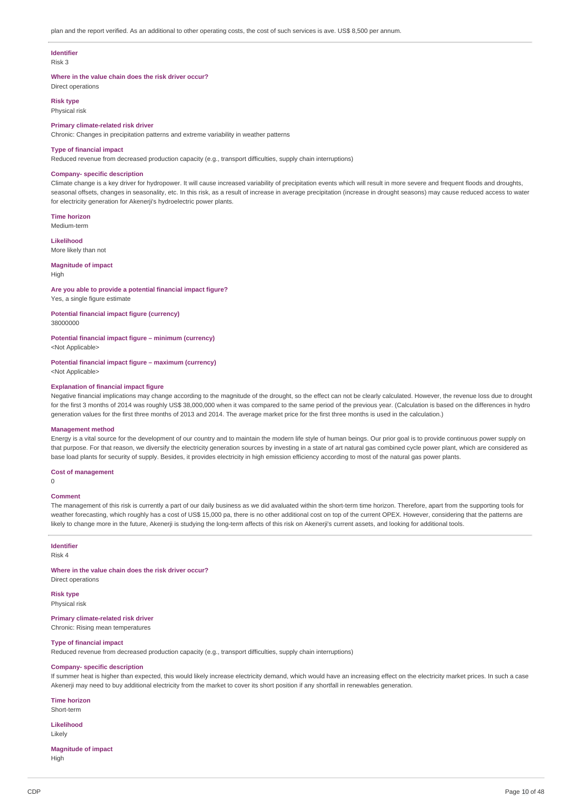# **Identifier**

Risk 3

#### **Where in the value chain does the risk driver occur?**

Direct operations

**Risk type** Physical risk

#### **Primary climate-related risk driver**

Chronic: Changes in precipitation patterns and extreme variability in weather patterns

#### **Type of financial impact**

Reduced revenue from decreased production capacity (e.g., transport difficulties, supply chain interruptions)

#### **Company- specific description**

Climate change is a key driver for hydropower. It will cause increased variability of precipitation events which will result in more severe and frequent floods and droughts, seasonal offsets, changes in seasonality, etc. In this risk, as a result of increase in average precipitation (increase in drought seasons) may cause reduced access to water for electricity generation for Akenerji's hydroelectric power plants.

**Time horizon** Medium-term

**Likelihood** More likely than not

#### **Magnitude of impact**

High

#### **Are you able to provide a potential financial impact figure?** Yes, a single figure estimate

**Potential financial impact figure (currency)**

38000000

#### **Potential financial impact figure – minimum (currency)**

<Not Applicable>

**Potential financial impact figure – maximum (currency)** <Not Applicable>

#### **Explanation of financial impact figure**

Negative financial implications may change according to the magnitude of the drought, so the effect can not be clearly calculated. However, the revenue loss due to drought for the first 3 months of 2014 was roughly US\$ 38,000,000 when it was compared to the same period of the previous year. (Calculation is based on the differences in hydro generation values for the first three months of 2013 and 2014. The average market price for the first three months is used in the calculation.)

#### **Management method**

Energy is a vital source for the development of our country and to maintain the modern life style of human beings. Our prior goal is to provide continuous power supply on that purpose. For that reason, we diversify the electricity generation sources by investing in a state of art natural gas combined cycle power plant, which are considered as base load plants for security of supply. Besides, it provides electricity in high emission efficiency according to most of the natural gas power plants.

#### **Cost of management**  $\overline{0}$

#### **Comment**

The management of this risk is currently a part of our daily business as we did avaluated within the short-term time horizon. Therefore, apart from the supporting tools for weather forecasting, which roughly has a cost of US\$ 15,000 pa, there is no other additional cost on top of the current OPEX. However, considering that the patterns are likely to change more in the future, Akenerji is studying the long-term affects of this risk on Akenerji's current assets, and looking for additional tools.

#### **Identifier** Risk 4

**Where in the value chain does the risk driver occur?**

Direct operations

**Risk type** Physical risk

#### **Primary climate-related risk driver** Chronic: Rising mean temperatures

#### **Type of financial impact**

Reduced revenue from decreased production capacity (e.g., transport difficulties, supply chain interruptions)

### **Company- specific description**

If summer heat is higher than expected, this would likely increase electricity demand, which would have an increasing effect on the electricity market prices. In such a case Akenerji may need to buy additional electricity from the market to cover its short position if any shortfall in renewables generation.

**Time horizon** Short-term

**Likelihood**

Likely

#### **Magnitude of impact** High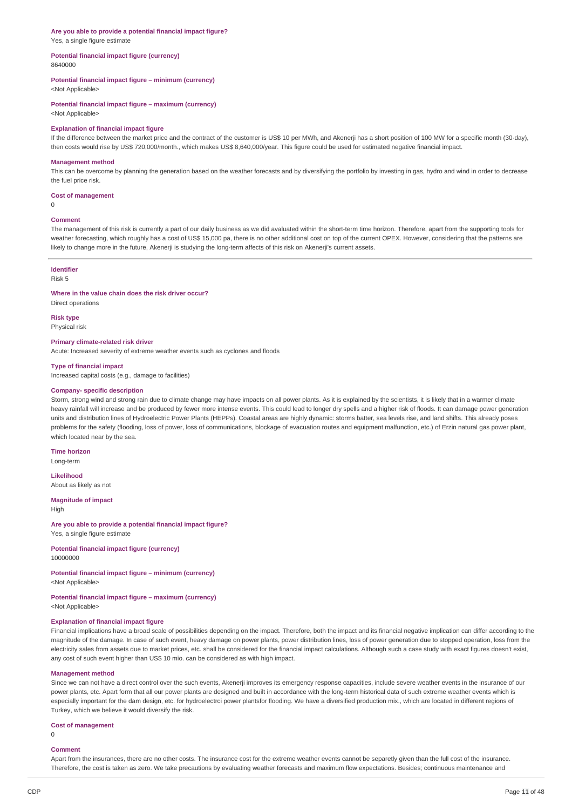### **Are you able to provide a potential financial impact figure?**

Yes, a single figure estimate

#### **Potential financial impact figure (currency)** 8640000

#### **Potential financial impact figure – minimum (currency)**

<Not Applicable>

#### **Potential financial impact figure – maximum (currency)**

<Not Applicable>

#### **Explanation of financial impact figure**

If the difference between the market price and the contract of the customer is US\$ 10 per MWh, and Akenerji has a short position of 100 MW for a specific month (30-day), then costs would rise by US\$ 720,000/month., which makes US\$ 8,640,000/year. This figure could be used for estimated negative financial impact.

### **Management method**

This can be overcome by planning the generation based on the weather forecasts and by diversifying the portfolio by investing in gas, hydro and wind in order to decrease the fuel price risk.

#### **Cost of management**

0

#### **Comment**

The management of this risk is currently a part of our daily business as we did avaluated within the short-term time horizon. Therefore, apart from the supporting tools for weather forecasting, which roughly has a cost of US\$ 15,000 pa, there is no other additional cost on top of the current OPEX. However, considering that the patterns are likely to change more in the future, Akenerji is studying the long-term affects of this risk on Akenerji's current assets.

### **Identifier**

Risk 5

#### **Where in the value chain does the risk driver occur?**

Direct operations

#### **Risk type** Physical risk

### **Primary climate-related risk driver**

Acute: Increased severity of extreme weather events such as cyclones and floods

#### **Type of financial impact**

Increased capital costs (e.g., damage to facilities)

#### **Company- specific description**

Storm, strong wind and strong rain due to climate change may have impacts on all power plants. As it is explained by the scientists, it is likely that in a warmer climate heavy rainfall will increase and be produced by fewer more intense events. This could lead to longer dry spells and a higher risk of floods. It can damage power generation units and distribution lines of Hydroelectric Power Plants (HEPPs). Coastal areas are highly dynamic: storms batter, sea levels rise, and land shifts. This already poses problems for the safety (flooding, loss of power, loss of communications, blockage of evacuation routes and equipment malfunction, etc.) of Erzin natural gas power plant, which located near by the sea.

#### **Time horizon**

Long-term

#### **Likelihood**

About as likely as not

### **Magnitude of impact**

High

#### **Are you able to provide a potential financial impact figure?** Yes, a single figure estimate

**Potential financial impact figure (currency)** 10000000

**Potential financial impact figure – minimum (currency)** <Not Applicable>

#### **Potential financial impact figure – maximum (currency)** <Not Applicable>

#### **Explanation of financial impact figure**

Financial implications have a broad scale of possibilities depending on the impact. Therefore, both the impact and its financial negative implication can differ according to the magnitude of the damage. In case of such event, heavy damage on power plants, power distribution lines, loss of power generation due to stopped operation, loss from the electricity sales from assets due to market prices, etc. shall be considered for the financial impact calculations. Although such a case study with exact figures doesn't exist, any cost of such event higher than US\$ 10 mio. can be considered as with high impact.

#### **Management method**

Since we can not have a direct control over the such events, Akenerji improves its emergency response capacities, include severe weather events in the insurance of our power plants, etc. Apart form that all our power plants are designed and built in accordance with the long-term historical data of such extreme weather events which is especially important for the dam design, etc. for hydroelectrci power plantsfor flooding. We have a diversified production mix., which are located in different regions of Turkey, which we believe it would diversify the risk.

#### **Cost of management**

 $\Omega$ 

### **Comment**

Apart from the insurances, there are no other costs. The insurance cost for the extreme weather events cannot be separetly given than the full cost of the insurance. Therefore, the cost is taken as zero. We take precautions by evaluating weather forecasts and maximum flow expectations. Besides; continuous maintenance and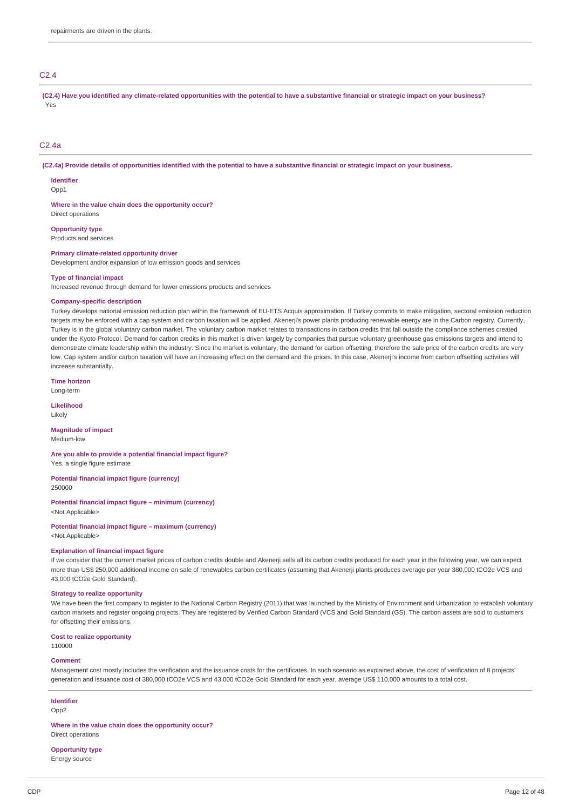### C2.4

(C2.4) Have you identified any climate-related opportunities with the potential to have a substantive financial or strategic impact on your business? Yes

### C2.4a

(C2.4a) Provide details of opportunities identified with the potential to have a substantive financial or strategic impact on your business.

#### **Identifier**

Opp1

**Where in the value chain does the opportunity occur?**

# Direct operations **Opportunity type**

Products and services

#### **Primary climate-related opportunity driver**

Development and/or expansion of low emission goods and services

### **Type of financial impact**

Increased revenue through demand for lower emissions products and services

#### **Company-specific description**

Turkey develops national emission reduction plan within the framework of EU-ETS Acquis approximation. If Turkey commits to make mitigation, sectoral emission reduction targets may be enforced with a cap system and carbon taxation will be applied. Akenerji's power plants producing renewable energy are in the Carbon registry. Currently, Turkey is in the global voluntary carbon market. The voluntary carbon market relates to transactions in carbon credits that fall outside the compliance schemes created under the Kyoto Protocol. Demand for carbon credits in this market is driven largely by companies that pursue voluntary greenhouse gas emissions targets and intend to demonstrate climate leadership within the industry. Since the market is voluntary, the demand for carbon offsetting, therefore the sale price of the carbon credits are very low. Cap system and/or carbon taxation will have an increasing effect on the demand and the prices. In this case, Akenerii's income from carbon offsetting activities will increase substantially.

**Time horizon**

Long-term

**Likelihood** Likely

#### **Magnitude of impact**

Medium-low

#### **Are you able to provide a potential financial impact figure?** Yes, a single figure estimate

**Potential financial impact figure (currency)** 250000

# **Potential financial impact figure – minimum (currency)**

<Not Applicable>

#### **Potential financial impact figure – maximum (currency)** <Not Applicable>

#### **Explanation of financial impact figure**

If we consider that the current market prices of carbon credits double and Akenerji sells all its carbon credits produced for each year in the following year, we can expect more than US\$ 250,000 additional income on sale of renewables carbon certificates (assuming that Akenerji plants produces average per year 380,000 tCO2e VCS and 43,000 tCO2e Gold Standard).

#### **Strategy to realize opportunity**

We have been the first company to register to the National Carbon Registry (2011) that was launched by the Ministry of Environment and Urbanization to establish yoluntary carbon markets and register ongoing projects. They are registered by Verified Carbon Standard (VCS and Gold Standard (GS). The carbon assets are sold to customers for offsetting their emissions.

### **Cost to realize opportunity**

110000

#### **Comment**

Management cost mostly includes the verification and the issuance costs for the certificates. In such scenario as explained above, the cost of verification of 8 projects' generation and issuance cost of 380,000 tCO2e VCS and 43,000 tCO2e Gold Standard for each year, average US\$ 110,000 amounts to a total cost.

#### **Identifier**

Opp2

#### **Where in the value chain does the opportunity occur?**

Direct operations

#### **Opportunity type**

Energy source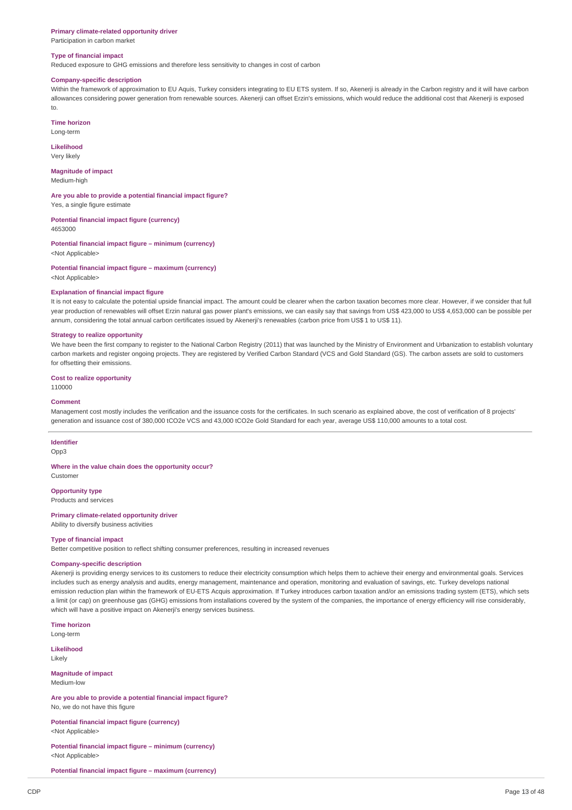#### **Primary climate-related opportunity driver**

Participation in carbon market

#### **Type of financial impact**

Reduced exposure to GHG emissions and therefore less sensitivity to changes in cost of carbon

#### **Company-specific description**

Within the framework of approximation to EU Aquis, Turkey considers integrating to EU ETS system. If so, Akenerji is already in the Carbon registry and it will have carbon allowances considering power generation from renewable sources. Akenerji can offset Erzin's emissions, which would reduce the additional cost that Akenerji is exposed to.

### **Time horizon**

Long-term

**Likelihood** Very likely

#### **Magnitude of impact** Medium-high

**Are you able to provide a potential financial impact figure?** Yes, a single figure estimate

**Potential financial impact figure (currency)**

4653000

**Potential financial impact figure – minimum (currency)** <Not Applicable>

**Potential financial impact figure – maximum (currency)**

<Not Applicable>

#### **Explanation of financial impact figure**

It is not easy to calculate the potential upside financial impact. The amount could be clearer when the carbon taxation becomes more clear. However, if we consider that full year production of renewables will offset Erzin natural gas power plant's emissions, we can easily say that savings from US\$ 423,000 to US\$ 4,653,000 can be possible per annum, considering the total annual carbon certificates issued by Akenerji's renewables (carbon price from US\$ 1 to US\$ 11).

#### **Strategy to realize opportunity**

We have been the first company to register to the National Carbon Registry (2011) that was launched by the Ministry of Environment and Urbanization to establish voluntary carbon markets and register ongoing projects. They are registered by Verified Carbon Standard (VCS and Gold Standard (GS). The carbon assets are sold to customers for offsetting their emissions.

#### **Cost to realize opportunity** 110000

**Comment**

Management cost mostly includes the verification and the issuance costs for the certificates. In such scenario as explained above, the cost of verification of 8 projects' generation and issuance cost of 380,000 tCO2e VCS and 43,000 tCO2e Gold Standard for each year, average US\$ 110,000 amounts to a total cost.

### **Identifier**

Opp3

**Where in the value chain does the opportunity occur?** Customer

**Opportunity type** Products and services

**Primary climate-related opportunity driver**

Ability to diversify business activities

### **Type of financial impact**

Better competitive position to reflect shifting consumer preferences, resulting in increased revenues

### **Company-specific description**

Akenerji is providing energy services to its customers to reduce their electricity consumption which helps them to achieve their energy and environmental goals. Services includes such as energy analysis and audits, energy management, maintenance and operation, monitoring and evaluation of savings, etc. Turkey develops national emission reduction plan within the framework of EU-ETS Acquis approximation. If Turkey introduces carbon taxation and/or an emissions trading system (ETS), which sets a limit (or cap) on greenhouse gas (GHG) emissions from installations covered by the system of the companies, the importance of energy efficiency will rise considerably, which will have a positive impact on Akenerji's energy services business

**Time horizon** Long-term

**Likelihood Likely** 

**Magnitude of impact** Medium-low

**Are you able to provide a potential financial impact figure?** No, we do not have this figure

**Potential financial impact figure (currency)** <Not Applicable>

**Potential financial impact figure – minimum (currency)** <Not Applicable>

**Potential financial impact figure – maximum (currency)**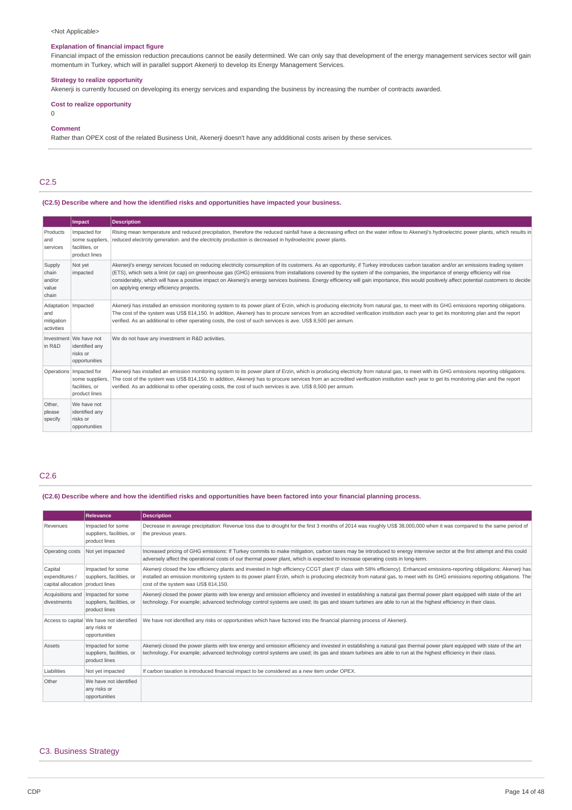### <Not Applicable>

### **Explanation of financial impact figure**

Financial impact of the emission reduction precautions cannot be easily determined. We can only say that development of the energy management services sector will gain momentum in Turkey, which will in parallel support Akenerji to develop its Energy Management Services.

#### **Strategy to realize opportunity**

Akenerji is currently focused on developing its energy services and expanding the business by increasing the number of contracts awarded.

#### **Cost to realize opportunity** 0

### **Comment**

Rather than OPEX cost of the related Business Unit, Akenerji doesn't have any addditional costs arisen by these services.

### C2.5

#### **(C2.5) Describe where and how the identified risks and opportunities have impacted your business.**

|                                                          | Impact                                                                          | <b>Description</b>                                                                                                                                                                                                                                                                                                                                                                                                                                                                                                                                                                                            |
|----------------------------------------------------------|---------------------------------------------------------------------------------|---------------------------------------------------------------------------------------------------------------------------------------------------------------------------------------------------------------------------------------------------------------------------------------------------------------------------------------------------------------------------------------------------------------------------------------------------------------------------------------------------------------------------------------------------------------------------------------------------------------|
| Products<br>and<br>services                              | Impacted for<br>some suppliers.<br>facilities, or<br>product lines              | Rising mean temperature and reduced precipitation, therefore the reduced rainfall have a decreasing effect on the water inflow to Akenerji's hydroelectric power plants, which results in<br>reduced electrcity generation, and the electricity production is decreased in hydroelectric power plants.                                                                                                                                                                                                                                                                                                        |
| Supply<br>chain<br>and/or<br>value<br>chain              | Not yet<br>impacted                                                             | Akenerji's energy services focused on reducing electricity consumption of its customers. As an opportunity, if Turkey introduces carbon taxation and/or an emissions trading system<br>(ETS), which sets a limit (or cap) on greenhouse gas (GHG) emissions from installations covered by the system of the companies, the importance of energy efficiency will rise<br>considerably, which will have a positive impact on Akenerji's energy services business. Energy efficiency will gain importance, this would positively affect potential customers to decide<br>on applying energy efficiency projects. |
| Adaptation   Impacted<br>and<br>mitigation<br>activities |                                                                                 | Akenerji has installed an emission monitoring system to its power plant of Erzin, which is producing electricity from natural gas, to meet with its GHG emissions reporting obligations.<br>The cost of the system was US\$ 814,150. In addition, Akenerji has to procure services from an accredited verification institution each year to get its monitoring plan and the report<br>verified. As an additional to other operating costs, the cost of such services is ave. US\$ 8,500 per annum.                                                                                                            |
| in R&D                                                   | Investment We have not<br>identified any<br>risks or<br>opportunities           | We do not have any investment in R&D activities.                                                                                                                                                                                                                                                                                                                                                                                                                                                                                                                                                              |
|                                                          | Operations   Impacted for<br>some suppliers,<br>facilities, or<br>product lines | Akenerji has installed an emission monitoring system to its power plant of Erzin, which is producing electricity from natural gas, to meet with its GHG emissions reporting obligations.<br>The cost of the system was US\$ 814,150. In addition, Akenerji has to procure services from an accredited verification institution each year to get its monitoring plan and the report<br>verified. As an additional to other operating costs, the cost of such services is ave. US\$ 8,500 per annum.                                                                                                            |
| Other,<br>please<br>specify                              | We have not<br>identified any<br>risks or<br>opportunities                      |                                                                                                                                                                                                                                                                                                                                                                                                                                                                                                                                                                                                               |

### C2.6

(C2.6) Describe where and how the identified risks and opportunities have been factored into your financial planning process.

|                                                               | Relevance                                                                   | <b>Description</b>                                                                                                                                                                                                                                                                                                                                                                                 |
|---------------------------------------------------------------|-----------------------------------------------------------------------------|----------------------------------------------------------------------------------------------------------------------------------------------------------------------------------------------------------------------------------------------------------------------------------------------------------------------------------------------------------------------------------------------------|
| Revenues                                                      | Impacted for some<br>suppliers, facilities, or<br>product lines             | Decrease in average precipitation: Revenue loss due to drought for the first 3 months of 2014 was roughly US\$ 38,000,000 when it was compared to the same period of<br>the previous years.                                                                                                                                                                                                        |
| Operating costs                                               | Not yet impacted                                                            | Increased pricing of GHG emissions: If Turkey commits to make mitigation, carbon taxes may be introduced to energy intensive sector at the first attempt and this could<br>adversely affect the operational costs of our thermal power plant, which is expected to increase operating costs in long-term.                                                                                          |
| Capital<br>expenditures /<br>capital allocation product lines | Impacted for some<br>suppliers, facilities, or                              | Akenerji closed the low efficiency plants and invested in high efficiency CCGT plant (F class with 58% efficiency). Enhanced emissions-reporting obligations: Akenerji has<br>installed an emission monitoring system to its power plant Erzin, which is producing electricity from natural gas, to meet with its GHG emissions reporting obligations. The<br>cost of the system was US\$ 814,150. |
| Acquisitions and<br>divestments                               | Impacted for some<br>suppliers, facilities, or<br>product lines             | Akenerji closed the power plants with low energy and emission efficiency and invested in establishing a natural gas thermal power plant equipped with state of the art<br>technology. For example; advanced technology control systems are used; its gas and steam turbines are able to run at the highest efficiency in their class.                                                              |
|                                                               | Access to capital   We have not identified<br>any risks or<br>opportunities | We have not identified any risks or opportunities which have factored into the financial planning process of Akenerji.                                                                                                                                                                                                                                                                             |
| Assets                                                        | Impacted for some<br>suppliers, facilities, or<br>product lines             | Akenerji closed the power plants with low energy and emission efficiency and invested in establishing a natural gas thermal power plant equipped with state of the art<br>technology. For example; advanced technology control systems are used; its gas and steam turbines are able to run at the highest efficiency in their class.                                                              |
| Liabilities                                                   | Not yet impacted                                                            | If carbon taxation is introduced financial impact to be considered as a new item under OPEX.                                                                                                                                                                                                                                                                                                       |
| Other                                                         | We have not identified<br>any risks or<br>opportunities                     |                                                                                                                                                                                                                                                                                                                                                                                                    |

### C3. Business Strategy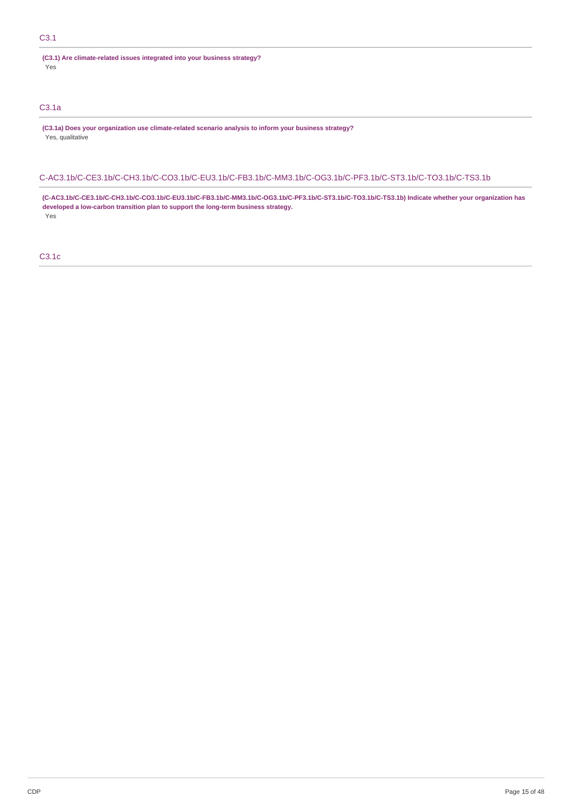**(C3.1) Are climate-related issues integrated into your business strategy?** Yes

### C3.1a

**(C3.1a) Does your organization use climate-related scenario analysis to inform your business strategy?** Yes, qualitative

C-AC3.1b/C-CE3.1b/C-CH3.1b/C-CO3.1b/C-EU3.1b/C-FB3.1b/C-MM3.1b/C-OG3.1b/C-PF3.1b/C-ST3.1b/C-TO3.1b/C-TS3.1b

**(C-AC3.1b/C-CE3.1b/C-CH3.1b/C-CO3.1b/C-EU3.1b/C-FB3.1b/C-MM3.1b/C-OG3.1b/C-PF3.1b/C-ST3.1b/C-TO3.1b/C-TS3.1b) Indicate whether your organization has developed a low-carbon transition plan to support the long-term business strategy.** Yes

C3.1c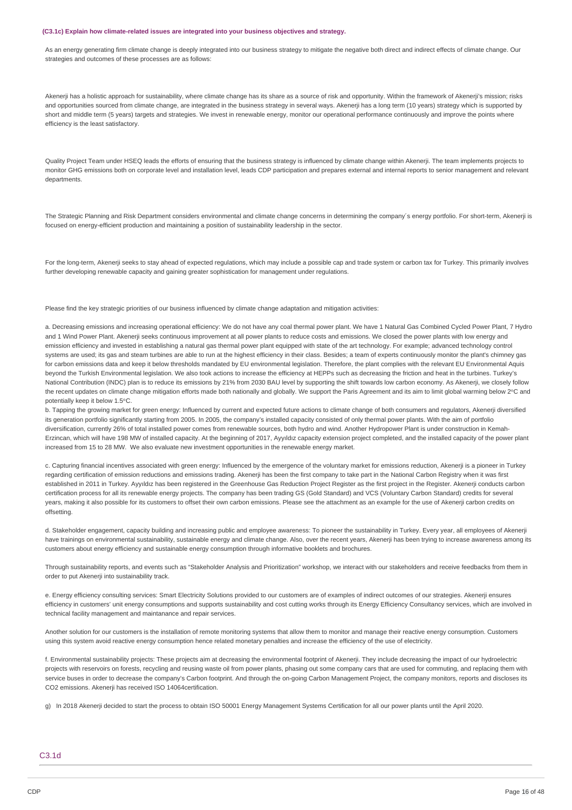#### **(C3.1c) Explain how climate-related issues are integrated into your business objectives and strategy.**

As an energy generating firm climate change is deeply integrated into our business strategy to mitigate the negative both direct and indirect effects of climate change. Our strategies and outcomes of these processes are as follows:

Akenerji has a holistic approach for sustainability, where climate change has its share as a source of risk and opportunity. Within the framework of Akenerji's mission; risks and opportunities sourced from climate change, are integrated in the business strategy in several ways. Akenerji has a long term (10 years) strategy which is supported by short and middle term (5 years) targets and strategies. We invest in renewable energy, monitor our operational performance continuously and improve the points where efficiency is the least satisfactory.

Quality Project Team under HSEQ leads the efforts of ensuring that the business strategy is influenced by climate change within Akenerji. The team implements projects to monitor GHG emissions both on corporate level and installation level, leads CDP participation and prepares external and internal reports to senior management and relevant departments.

The Strategic Planning and Risk Department considers environmental and climate change concerns in determining the company's energy portfolio. For short-term, Akenerji is focused on energy-efficient production and maintaining a position of sustainability leadership in the sector.

For the long-term, Akenerji seeks to stay ahead of expected regulations, which may include a possible cap and trade system or carbon tax for Turkey. This primarily involves further developing renewable capacity and gaining greater sophistication for management under regulations.

Please find the key strategic priorities of our business influenced by climate change adaptation and mitigation activities:

a. Decreasing emissions and increasing operational efficiency: We do not have any coal thermal power plant. We have 1 Natural Gas Combined Cycled Power Plant, 7 Hydro and 1 Wind Power Plant. Akenerii seeks continuous improvement at all power plants to reduce costs and emissions. We closed the power plants with low energy and emission efficiency and invested in establishing a natural gas thermal power plant equipped with state of the art technology. For example; advanced technology control systems are used; its gas and steam turbines are able to run at the highest efficiency in their class. Besides: a team of experts continuously monitor the plant's chimney gas for carbon emissions data and keep it below thresholds mandated by EU environmental legislation. Therefore, the plant complies with the relevant EU Environmental Aquis beyond the Turkish Environmental legislation. We also took actions to increase the efficiency at HEPPs such as decreasing the friction and heat in the turbines. Turkey's National Contribution (INDC) plan is to reduce its emissions by 21% from 2030 BAU level by supporting the shift towards low carbon economy. As Akenerji, we closely follow the recent updates on climate change mitigation efforts made both nationally and globally. We support the Paris Agreement and its aim to limit global warming below 2°C and potentially keep it below 1.5°C.

b. Tapping the growing market for green energy: Influenced by current and expected future actions to climate change of both consumers and regulators, Akenerji diversified its generation portfolio significantly starting from 2005. In 2005, the company's installed capacity consisted of only thermal power plants. With the aim of portfolio diversification, currently 26% of total installed power comes from renewable sources, both hydro and wind. Another Hydropower Plant is under construction in Kemah-Erzincan, which will have 198 MW of installed capacity. At the beginning of 2017, Ayyıldız capacity extension project completed, and the installed capacity of the power plant increased from 15 to 28 MW. We also evaluate new investment opportunities in the renewable energy market.

c. Capturing financial incentives associated with green energy: Influenced by the emergence of the voluntary market for emissions reduction, Akenerji is a pioneer in Turkey regarding certification of emission reductions and emissions trading. Akenerji has been the first company to take part in the National Carbon Registry when it was first established in 2011 in Turkey. Ayyıldız has been registered in the Greenhouse Gas Reduction Project Register as the first project in the Register. Akenerji conducts carbon certification process for all its renewable energy projects. The company has been trading GS (Gold Standard) and VCS (Voluntary Carbon Standard) credits for several years, making it also possible for its customers to offset their own carbon emissions. Please see the attachment as an example for the use of Akenerji carbon credits on offsetting.

d. Stakeholder engagement, capacity building and increasing public and employee awareness: To pioneer the sustainability in Turkey. Every year, all employees of Akenerji have trainings on environmental sustainability, sustainable energy and climate change. Also, over the recent years, Akenerji has been trying to increase awareness among its customers about energy efficiency and sustainable energy consumption through informative booklets and brochures.

Through sustainability reports, and events such as "Stakeholder Analysis and Prioritization" workshop, we interact with our stakeholders and receive feedbacks from them in order to put Akenerji into sustainability track.

e. Energy efficiency consulting services: Smart Electricity Solutions provided to our customers are of examples of indirect outcomes of our strategies. Akenerji ensures efficiency in customers' unit energy consumptions and supports sustainability and cost cutting works through its Energy Efficiency Consultancy services, which are involved in technical facility management and maintanance and repair services.

Another solution for our customers is the installation of remote monitoring systems that allow them to monitor and manage their reactive energy consumption. Customers using this system avoid reactive energy consumption hence related monetary penalties and increase the efficiency of the use of electricity.

f. Environmental sustainability projects: These projects aim at decreasing the environmental footprint of Akenerji. They include decreasing the impact of our hydroelectric projects with reservoirs on forests, recycling and reusing waste oil from power plants, phasing out some company cars that are used for commuting, and replacing them with service buses in order to decrease the company's Carbon footprint. And through the on-going Carbon Management Project, the company monitors, reports and discloses its CO2 emissions. Akenerji has received ISO 14064certification.

g) In 2018 Akenerji decided to start the process to obtain ISO 50001 Energy Management Systems Certification for all our power plants until the April 2020.

### C3.1d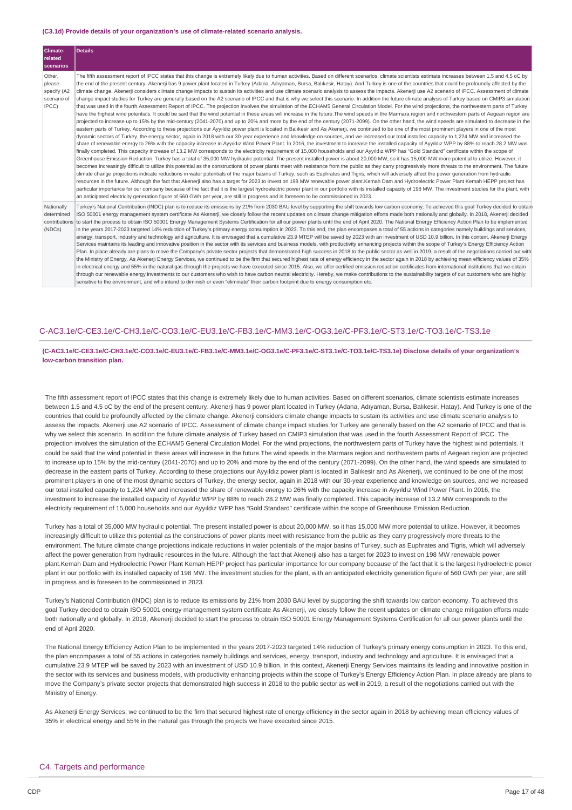#### **(C3.1d) Provide details of your organization's use of climate-related scenario analysis.**

| Climate-<br>related<br>scenarios                        | <b>Details</b>                                                                                                                                                                                                                                                                                                                                                                                                                                                                                                                                                                                                                                                                                                                                                                                                                                                                                                                                                                                                                                                                                                                                                                                                                                                                                                                                                                                                                                                                                                                                                                                                                                                                                                                                                                                                                                                                                                                                                                                                                                                                                                                                                                                                                                                                                                                                                                                                                                                                                                                                                                                                                                                                                                                                                                                                                                                                                                                                                                                                                                                                                                                                                                                                                                                                                                                                                                                                                            |
|---------------------------------------------------------|-------------------------------------------------------------------------------------------------------------------------------------------------------------------------------------------------------------------------------------------------------------------------------------------------------------------------------------------------------------------------------------------------------------------------------------------------------------------------------------------------------------------------------------------------------------------------------------------------------------------------------------------------------------------------------------------------------------------------------------------------------------------------------------------------------------------------------------------------------------------------------------------------------------------------------------------------------------------------------------------------------------------------------------------------------------------------------------------------------------------------------------------------------------------------------------------------------------------------------------------------------------------------------------------------------------------------------------------------------------------------------------------------------------------------------------------------------------------------------------------------------------------------------------------------------------------------------------------------------------------------------------------------------------------------------------------------------------------------------------------------------------------------------------------------------------------------------------------------------------------------------------------------------------------------------------------------------------------------------------------------------------------------------------------------------------------------------------------------------------------------------------------------------------------------------------------------------------------------------------------------------------------------------------------------------------------------------------------------------------------------------------------------------------------------------------------------------------------------------------------------------------------------------------------------------------------------------------------------------------------------------------------------------------------------------------------------------------------------------------------------------------------------------------------------------------------------------------------------------------------------------------------------------------------------------------------------------------------------------------------------------------------------------------------------------------------------------------------------------------------------------------------------------------------------------------------------------------------------------------------------------------------------------------------------------------------------------------------------------------------------------------------------------------------------------------------|
| Other,<br>please<br>specify (A2<br>scenario of<br>IPCC) | The fifth assessment report of IPCC states that this change is extremely likely due to human activities. Based on different scenarios, climate scientists estimate increases between 1.5 and 4.5 oC by<br>the end of the present century. Akenerji has 9 power plant located in Turkey (Adana, Adıyaman, Bursa, Balıkesir, Hatay). And Turkey is one of the countries that could be profoundly affected by the<br>climate change. Akenerji considers climate change impacts to sustain its activities and use climate scenario analysis to assess the impacts. Akenerji use A2 scenario of IPCC. Assessment of climate<br>change impact studies for Turkey are generally based on the A2 scenario of IPCC and that is why we select this scenario. In addition the future climate analysis of Turkey based on CMIP3 simulation<br>that was used in the fourth Assessment Report of IPCC. The projection involves the simulation of the ECHAM5 General Circulation Model. For the wind projections, the northwestern parts of Turkey<br>have the highest wind potentials. It could be said that the wind potential in these areas will increase in the future. The wind speeds in the Marmara region and northwestern parts of Aegean region are<br>projected to increase up to 15% by the mid-century (2041-2070) and up to 20% and more by the end of the century (2071-2099). On the other hand, the wind speeds are simulated to decrease in the<br>eastern parts of Turkey. According to these projections our Ayyıldız power plant is located in Balıkesir and As Akenerii, we continued to be one of the most prominent players in one of the most<br>dynamic sectors of Turkey, the energy sector, again in 2018 with our 30-year experience and knowledge on sources, and we increased our total installed capacity to 1,224 MW and increased the<br>share of renewable energy to 26% with the capacity increase in Ayyıldız Wind Power Plant. In 2016, the investment to increase the installed capacity of Ayyıldız WPP by 88% to reach 28.2 MW was<br>finally completed. This capacity increase of 13.2 MW corresponds to the electricity requirement of 15,000 households and our Ayyıldız WPP has "Gold Standard" certificate within the scope of<br>Greenhouse Emission Reduction. Turkey has a total of 35,000 MW hydraulic potential. The present installed power is about 20,000 MW, so it has 15,000 MW more potential to utilize. However, it<br>becomes increasingly difficult to utilize this potential as the constructions of power plants meet with resistance from the public as they carry progressively more threats to the environment. The future<br>climate change projections indicate reductions in water potentials of the major basins of Turkey, such as Euphrates and Tigris, which will adversely affect the power generation from hydraulic<br>resources in the future. Although the fact that Akenerji also has a target for 2023 to invest on 198 MW renewable power plant.Kemah Dam and Hydroelectric Power Plant Kemah HEPP project has<br>particular importance for our company because of the fact that it is the largest hydroelectric power plant in our portfolio with its installed capacity of 198 MW. The investment studies for the plant, with<br>an anticipated electricity generation figure of 560 GWh per year, are still in progress and is foreseen to be commissioned in 2023. |
| Nationally<br>determined<br>contributions<br>(NDCs)     | Turkey's National Contribution (INDC) plan is to reduce its emissions by 21% from 2030 BAU level by supporting the shift towards low carbon economy. To achieved this goal Turkey decided to obtain<br>ISO 50001 energy management system certificate As Akenerji, we closely follow the recent updates on climate change mitigation efforts made both nationally and globally. In 2018, Akenerji decided<br>to start the process to obtain ISO 50001 Energy Management Systems Certification for all our power plants until the end of April 2020. The National Energy Efficiency Action Plan to be implemented<br>in the years 2017-2023 targeted 14% reduction of Turkey's primary energy consumption in 2023. To this end, the plan encompases a total of 55 actions in categories namely buildings and services,<br>energy, transport, industry and technology and agriculture. It is envisaged that a cumulative 23.9 MTEP will be saved by 2023 with an investment of USD 10.9 billion. In this context, Akenerji Energy<br>Services maintains its leading and innovative position in the sector with its services and business models, with productivity enhancing projects within the scope of Turkey's Energy Efficiency Action<br>Plan. In place already are plans to move the Company's private sector projects that demonstrated high success in 2018 to the public sector as well in 2019, a result of the negotiations carried out with<br>the Ministry of Energy. As Akenerji Energy Services, we continued to be the firm that secured highest rate of energy efficiency in the sector again in 2018 by achieving mean efficiency values of 35%<br>in electrical energy and 55% in the natural gas through the projects we have executed since 2015. Also, we offer certified emission reduction certificates from international institutions that we obtain<br>through our renewable energy investments to our customers who wish to have carbon neutral electricity. Hereby, we make contributions to the sustainability targets of our customers who are highly<br>sensitive to the environment, and who intend to diminish or even "eliminate" their carbon footprint due to energy consumption etc.                                                                                                                                                                                                                                                                                                                                                                                                                                                                                                                                                                                                                                                                                                                                                                                                                                                                                                                                                                                                                                                                                                                                                                                                                 |

### C-AC3.1e/C-CE3.1e/C-CH3.1e/C-CO3.1e/C-EU3.1e/C-FB3.1e/C-MM3.1e/C-OG3.1e/C-PF3.1e/C-ST3.1e/C-TO3.1e/C-TS3.1e

#### **(C-AC3.1e/C-CE3.1e/C-CH3.1e/C-CO3.1e/C-EU3.1e/C-FB3.1e/C-MM3.1e/C-OG3.1e/C-PF3.1e/C-ST3.1e/C-TO3.1e/C-TS3.1e) Disclose details of your organization's low-carbon transition plan.**

The fifth assessment report of IPCC states that this change is extremely likely due to human activities. Based on different scenarios, climate scientists estimate increases between 1.5 and 4.5 oC by the end of the present century. Akenerji has 9 power plant located in Turkey (Adana, Adıyaman, Bursa, Balıkesir, Hatay). And Turkey is one of the countries that could be profoundly affected by the climate change. Akenerji considers climate change impacts to sustain its activities and use climate scenario analysis to assess the impacts. Akenerji use A2 scenario of IPCC. Assessment of climate change impact studies for Turkey are generally based on the A2 scenario of IPCC and that is why we select this scenario. In addition the future climate analysis of Turkey based on CMIP3 simulation that was used in the fourth Assessment Report of IPCC. The projection involves the simulation of the ECHAM5 General Circulation Model. For the wind projections, the northwestern parts of Turkey have the highest wind potentials. It could be said that the wind potential in these areas will increase in the future.The wind speeds in the Marmara region and northwestern parts of Aegean region are projected to increase up to 15% by the mid-century (2041-2070) and up to 20% and more by the end of the century (2071-2099). On the other hand, the wind speeds are simulated to decrease in the eastern parts of Turkey. According to these projections our Ayyıldız power plant is located in Balıkesir and As Akenerji, we continued to be one of the most prominent players in one of the most dynamic sectors of Turkey, the energy sector, again in 2018 with our 30-year experience and knowledge on sources, and we increased our total installed capacity to 1,224 MW and increased the share of renewable energy to 26% with the capacity increase in Ayyıldız Wind Power Plant. İn 2016, the investment to increase the installed capacity of Ayyıldız WPP by 88% to reach 28.2 MW was finally completed. This capacity increase of 13.2 MW corresponds to the electricity requirement of 15,000 households and our Ayyıldız WPP has "Gold Standard" certificate within the scope of Greenhouse Emission Reduction.

Turkey has a total of 35,000 MW hydraulic potential. The present installed power is about 20,000 MW, so it has 15,000 MW more potential to utilize. However, it becomes increasingly difficult to utilize this potential as the constructions of power plants meet with resistance from the public as they carry progressively more threats to the environment. The future climate change projections indicate reductions in water potentials of the major basins of Turkey, such as Euphrates and Tigris, which will adversely affect the power generation from hydraulic resources in the future. Although the fact that Akenerji also has a target for 2023 to invest on 198 MW renewable power plant.Kemah Dam and Hydroelectric Power Plant Kemah HEPP project has particular importance for our company because of the fact that it is the largest hydroelectric power plant in our portfolio with its installed capacity of 198 MW. The investment studies for the plant, with an anticipated electricity generation figure of 560 GWh per year, are still in progress and is foreseen to be commissioned in 2023.

Turkey's National Contribution (INDC) plan is to reduce its emissions by 21% from 2030 BAU level by supporting the shift towards low carbon economy. To achieved this goal Turkey decided to obtain ISO 50001 energy management system certificate As Akenerji, we closely follow the recent updates on climate change mitigation efforts made both nationally and globally. In 2018, Akenerij decided to start the process to obtain ISO 50001 Energy Management Systems Certification for all our power plants until the end of April 2020.

The National Energy Efficiency Action Plan to be implemented in the years 2017-2023 targeted 14% reduction of Turkey's primary energy consumption in 2023. To this end, the plan encompases a total of 55 actions in categories namely buildings and services, energy, transport, industry and technology and agriculture. It is envisaged that a cumulative 23.9 MTEP will be saved by 2023 with an investment of USD 10.9 billion. In this context, Akenerji Energy Services maintains its leading and innovative position in the sector with its services and business models, with productivity enhancing projects within the scope of Turkey's Energy Efficiency Action Plan. In place already are plans to move the Company's private sector projects that demonstrated high success in 2018 to the public sector as well in 2019, a result of the negotiations carried out with the Ministry of Energy.

As Akenerji Energy Services, we continued to be the firm that secured highest rate of energy efficiency in the sector again in 2018 by achieving mean efficiency values of 35% in electrical energy and 55% in the natural gas through the projects we have executed since 2015.

#### C4. Targets and performance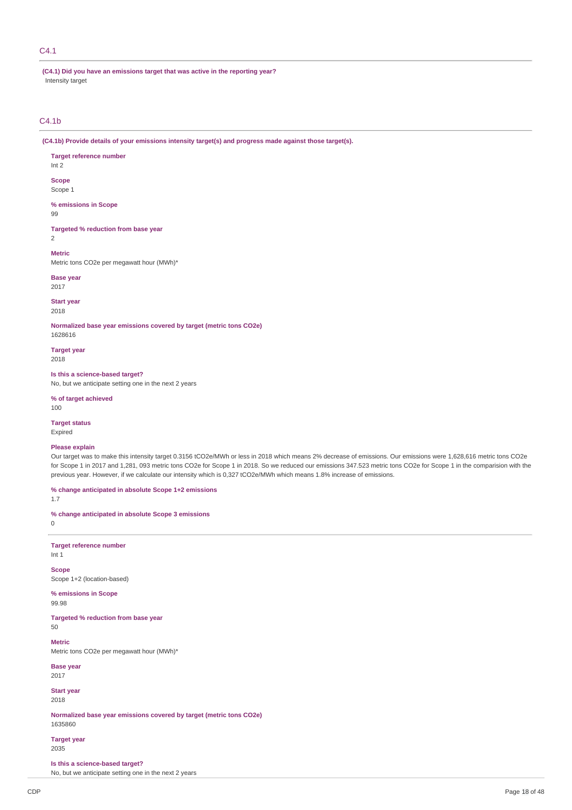### C4.1

**(C4.1) Did you have an emissions target that was active in the reporting year?** Intensity target

### C4.1b

**(C4.1b) Provide details of your emissions intensity target(s) and progress made against those target(s).**

**Target reference number**

Int 2

**Scope**

Scope 1

**% emissions in Scope** 99

**Targeted % reduction from base year**  $\overline{2}$ 

#### **Metric**

Metric tons CO2e per megawatt hour (MWh)\*

**Base year**

2017

**Start year** 2018

**Normalized base year emissions covered by target (metric tons CO2e)** 1628616

**Target year** 2018

**Is this a science-based target?**

No, but we anticipate setting one in the next 2 years

**% of target achieved** 100

**Target status**

Expired

### **Please explain**

Our target was to make this intensity target 0.3156 tCO2e/MWh or less in 2018 which means 2% decrease of emissions. Our emissions were 1,628,616 metric tons CO2e for Scope 1 in 2017 and 1,281, 093 metric tons CO2e for Scope 1 in 2018. So we reduced our emissions 347.523 metric tons CO2e for Scope 1 in the comparision with the previous year. However, if we calculate our intensity which is 0,327 tCO2e/MWh which means 1.8% increase of emissions.

**% change anticipated in absolute Scope 1+2 emissions**

1.7

**% change anticipated in absolute Scope 3 emissions** 0

**Target reference number** Int 1

**Scope** Scope 1+2 (location-based)

**% emissions in Scope** 99.98

**Targeted % reduction from base year** 50

**Metric**

Metric tons CO2e per megawatt hour (MWh)\*

**Base year** 2017

**Start year** 2018

**Normalized base year emissions covered by target (metric tons CO2e)** 1635860

**Target year** 2035

**Is this a science-based target?** No, but we anticipate setting one in the next 2 years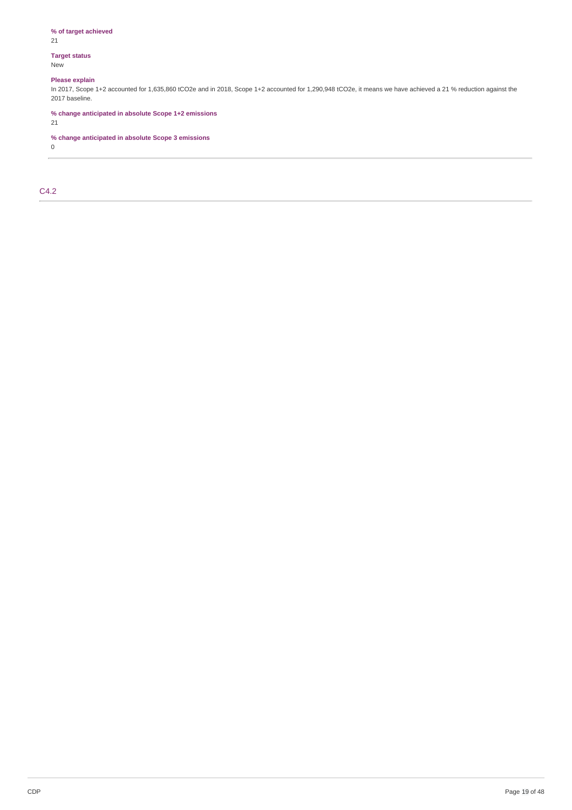### **% of target achieved**

21

### **Target status** New

# **Please explain**

In 2017, Scope 1+2 accounted for 1,635,860 tCO2e and in 2018, Scope 1+2 accounted for 1,290,948 tCO2e, it means we have achieved a 21 % reduction against the 2017 baseline.

**% change anticipated in absolute Scope 1+2 emissions**

21

## **% change anticipated in absolute Scope 3 emissions**

0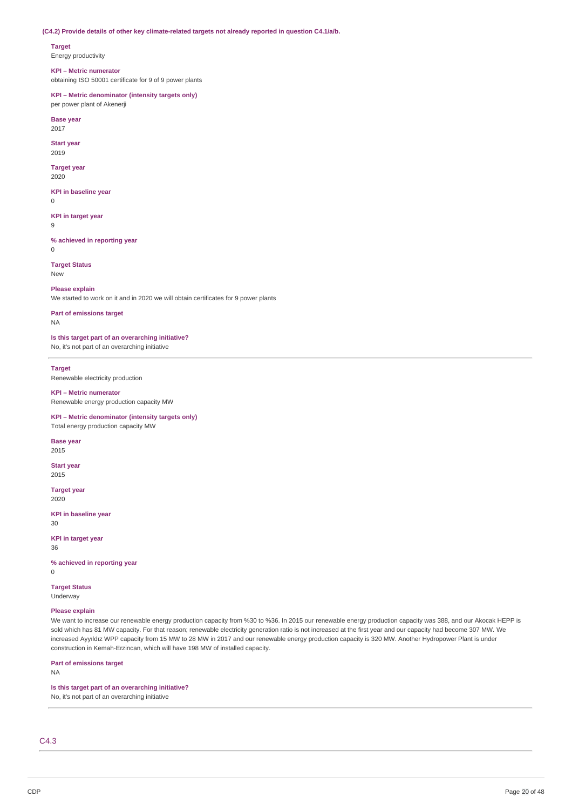#### **(C4.2) Provide details of other key climate-related targets not already reported in question C4.1/a/b.**

#### **Target**

Energy productivity

### **KPI – Metric numerator**

obtaining ISO 50001 certificate for 9 of 9 power plants

#### **KPI – Metric denominator (intensity targets only)** per power plant of Akenerji

**Base year**

2017

### **Start year**

2019

#### **Target year** 2020

#### **KPI in baseline year**  $\Omega$

#### **KPI in target year**  $\overline{9}$

#### **% achieved in reporting year**  $\Omega$

**Target Status**

#### New

# **Please explain**

We started to work on it and in 2020 we will obtain certificates for 9 power plants

### **Part of emissions target**

NA

### **Is this target part of an overarching initiative?**

No, it's not part of an overarching initiative

#### **Target**

Renewable electricity production

#### **KPI – Metric numerator**

Renewable energy production capacity MW

### **KPI – Metric denominator (intensity targets only)**

Total energy production capacity MW

**Base year** 2015

### **Start year**

2015

**Target year** 2020

#### **KPI in baseline year** 30

**KPI in target year**

36

#### **% achieved in reporting year**  $\overline{0}$

**Target Status** Underway

### **Please explain**

We want to increase our renewable energy production capacity from %30 to %36. In 2015 our renewable energy production capacity was 388, and our Akocak HEPP is sold which has 81 MW capacity. For that reason; renewable electricity generation ratio is not increased at the first year and our capacity had become 307 MW. We increased Ayyıldız WPP capacity from 15 MW to 28 MW in 2017 and our renewable energy production capacity is 320 MW. Another Hydropower Plant is under construction in Kemah-Erzincan, which will have 198 MW of installed capacity.

**Part of emissions target**

#### NA

### **Is this target part of an overarching initiative?**

No, it's not part of an overarching initiative

# C4.3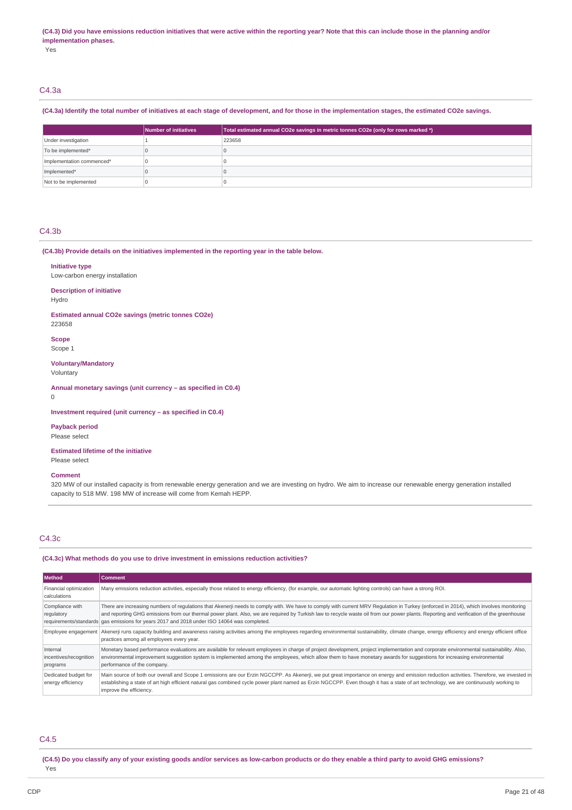#### (C4.3) Did you have emissions reduction initiatives that were active within the reporting year? Note that this can include those in the planning and/or **implementation phases.**

Yes

### C4.3a

### (C4.3a) Identify the total number of initiatives at each stage of development, and for those in the implementation stages, the estimated CO2e savings.

|                           | Number of initiatives | Total estimated annual CO2e savings in metric tonnes CO2e (only for rows marked $*)$ |
|---------------------------|-----------------------|--------------------------------------------------------------------------------------|
| Under investigation       |                       | 223658                                                                               |
| To be implemented*        |                       |                                                                                      |
| Implementation commenced* |                       |                                                                                      |
| Implemented*              |                       |                                                                                      |
| Not to be implemented     |                       |                                                                                      |

#### C4.3b

**(C4.3b) Provide details on the initiatives implemented in the reporting year in the table below.**

### **Initiative type**

Low-carbon energy installation

**Description of initiative**

### Hydro

**Estimated annual CO2e savings (metric tonnes CO2e)**

223658

**Scope** Scope 1

### **Voluntary/Mandatory**

Voluntary

**Annual monetary savings (unit currency – as specified in C0.4)**

0

**Investment required (unit currency – as specified in C0.4)**

# **Payback period**

Please select

### **Estimated lifetime of the initiative**

Please select

#### **Comment**

320 MW of our installed capacity is from renewable energy generation and we are investing on hydro. We aim to increase our renewable energy generation installed capacity to 518 MW. 198 MW of increase will come from Kemah HEPP.

#### C4.3c

#### **(C4.3c) What methods do you use to drive investment in emissions reduction activities?**

| <b>Method</b>                                  | <b>Comment</b>                                                                                                                                                                                                                                                                                                                                                                                                                                                                  |
|------------------------------------------------|---------------------------------------------------------------------------------------------------------------------------------------------------------------------------------------------------------------------------------------------------------------------------------------------------------------------------------------------------------------------------------------------------------------------------------------------------------------------------------|
| Financial optimization<br>calculations         | Many emissions reduction activities, especially those related to energy efficiency, (for example, our automatic lighting controls) can have a strong ROI.                                                                                                                                                                                                                                                                                                                       |
| Compliance with<br>regulatory                  | There are increasing numbers of regulations that Akenerji needs to comply with. We have to comply with current MRV Regulation in Turkey (enforced in 2014), which involves monitoring<br>and reporting GHG emissions from our thermal power plant. Also, we are required by Turkish law to recycle waste oil from our power plants. Reporting and verification of the greenhouse<br>requirements/standards gas emissions for years 2017 and 2018 under ISO 14064 was completed. |
|                                                | Employee engagement Akenerji runs capacity building and awareness raising activities among the employees regarding environmental sustainability, climate change, energy efficiency and energy efficient office<br>practices among all employees every year.                                                                                                                                                                                                                     |
| Internal<br>incentives/recognition<br>programs | Monetary based performance evaluations are available for relevant employees in charge of project development, project implementation and corporate environmental sustainability. Also,<br>environmental improvement suggestion system is implemented among the employees, which allow them to have monetary awards for suggestions for increasing environmental<br>performance of the company.                                                                                  |
| Dedicated budget for<br>energy efficiency      | Main source of both our overall and Scope 1 emissions are our Erzin NGCCPP. As Akenerji, we put great importance on energy and emission reduction activities. Therefore, we invested in<br>establishing a state of art high efficient natural gas combined cycle power plant named as Erzin NGCCPP. Even though it has a state of art technology, we are continuously working to<br>improve the efficiency.                                                                     |

### C4.5

(C4.5) Do you classify any of your existing goods and/or services as low-carbon products or do they enable a third party to avoid GHG emissions? Yes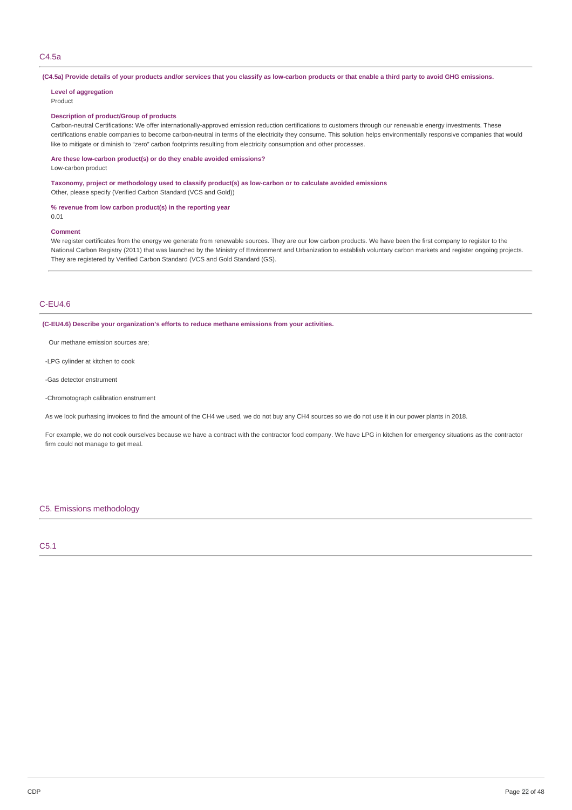### C4.5a

#### (C4.5a) Provide details of your products and/or services that you classify as low-carbon products or that enable a third party to avoid GHG emissions.

#### **Level of aggregation**

Product

#### **Description of product/Group of products**

Carbon-neutral Certifications: We offer internationally-approved emission reduction certifications to customers through our renewable energy investments. These certifications enable companies to become carbon-neutral in terms of the electricity they consume. This solution helps environmentally responsive companies that would like to mitigate or diminish to "zero" carbon footprints resulting from electricity consumption and other processes.

**Are these low-carbon product(s) or do they enable avoided emissions?**

Low-carbon product

**Taxonomy, project or methodology used to classify product(s) as low-carbon or to calculate avoided emissions**

Other, please specify (Verified Carbon Standard (VCS and Gold))

**% revenue from low carbon product(s) in the reporting year** 0.01

#### **Comment**

We register certificates from the energy we generate from renewable sources. They are our low carbon products. We have been the first company to register to the National Carbon Registry (2011) that was launched by the Ministry of Environment and Urbanization to establish voluntary carbon markets and register ongoing projects. They are registered by Verified Carbon Standard (VCS and Gold Standard (GS).

### C-EU4.6

**(C-EU4.6) Describe your organization's efforts to reduce methane emissions from your activities.**

Our methane emission sources are;

-LPG cylinder at kitchen to cook

-Gas detector enstrument

-Chromotograph calibration enstrument

As we look purhasing invoices to find the amount of the CH4 we used, we do not buy any CH4 sources so we do not use it in our power plants in 2018.

For example, we do not cook ourselves because we have a contract with the contractor food company. We have LPG in kitchen for emergency situations as the contractor firm could not manage to get meal.

### C5. Emissions methodology

C5.1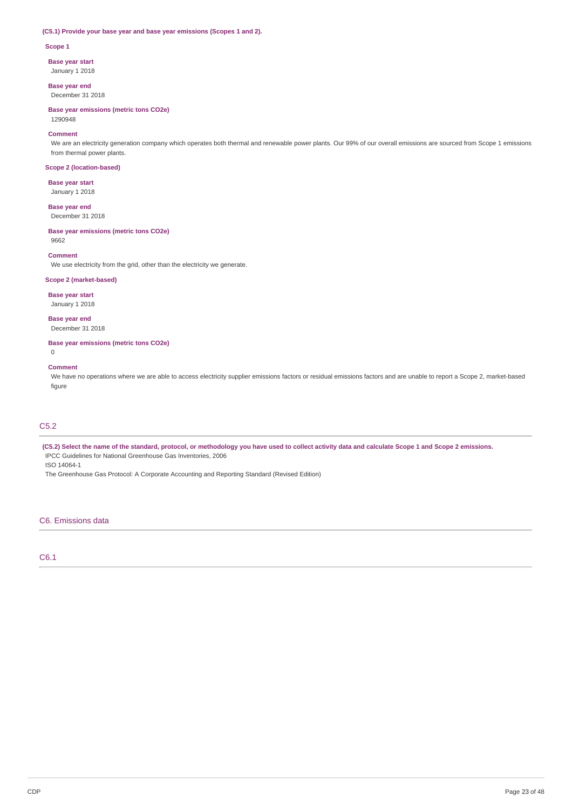### **(C5.1) Provide your base year and base year emissions (Scopes 1 and 2).**

#### **Scope 1**

**Base year start**

January 1 2018

**Base year end** December 31 2018

**Base year emissions (metric tons CO2e)** 1290948

#### **Comment**

We are an electricity generation company which operates both thermal and renewable power plants. Our 99% of our overall emissions are sourced from Scope 1 emissions from thermal power plants.

### **Scope 2 (location-based)**

**Base year start** January 1 2018

**Base year end** December 31 2018

### **Base year emissions (metric tons CO2e)**

9662

#### **Comment**

We use electricity from the grid, other than the electricity we generate.

#### **Scope 2 (market-based)**

**Base year start**

January 1 2018

**Base year end** December 31 2018

**Base year emissions (metric tons CO2e)**  $\Omega$ 

### **Comment**

We have no operations where we are able to access electricity supplier emissions factors or residual emissions factors and are unable to report a Scope 2, market-based figure

### C5.2

(C5.2) Select the name of the standard, protocol, or methodology you have used to collect activity data and calculate Scope 1 and Scope 2 emissions. IPCC Guidelines for National Greenhouse Gas Inventories, 2006

ISO 14064-1

The Greenhouse Gas Protocol: A Corporate Accounting and Reporting Standard (Revised Edition)

### C6. Emissions data

### C6.1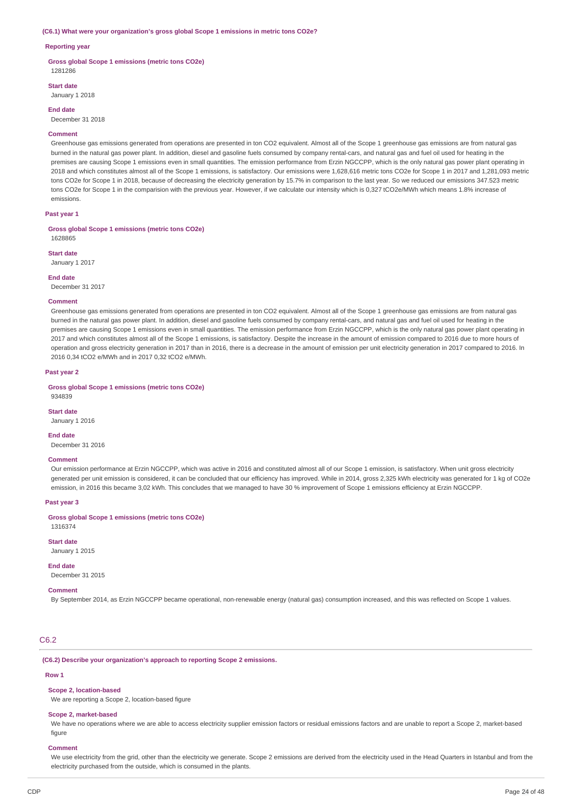#### **(C6.1) What were your organization's gross global Scope 1 emissions in metric tons CO2e?**

#### **Reporting year**

**Gross global Scope 1 emissions (metric tons CO2e)** 1281286

**Start date**

January 1 2018

**End date**

December 31 2018

#### **Comment**

Greenhouse gas emissions generated from operations are presented in ton CO2 equivalent. Almost all of the Scope 1 greenhouse gas emissions are from natural gas burned in the natural gas power plant. In addition, diesel and gasoline fuels consumed by company rental-cars, and natural gas and fuel oil used for heating in the premises are causing Scope 1 emissions even in small quantities. The emission performance from Erzin NGCCPP, which is the only natural gas power plant operating in 2018 and which constitutes almost all of the Scope 1 emissions, is satisfactory. Our emissions were 1,628,616 metric tons CO2e for Scope 1 in 2017 and 1,281,093 metric tons CO2e for Scope 1 in 2018, because of decreasing the electricity generation by 15.7% in comparison to the last year. So we reduced our emissions 347.523 metric tons CO2e for Scope 1 in the comparision with the previous year. However, if we calculate our intensity which is 0,327 tCO2e/MWh which means 1.8% increase of emissions.

#### **Past year 1**

**Gross global Scope 1 emissions (metric tons CO2e)** 1628865

**Start date**

January 1 2017

**End date**

December 31 2017

#### **Comment**

Greenhouse gas emissions generated from operations are presented in ton CO2 equivalent. Almost all of the Scope 1 greenhouse gas emissions are from natural gas burned in the natural gas power plant. In addition, diesel and gasoline fuels consumed by company rental-cars, and natural gas and fuel oil used for heating in the premises are causing Scope 1 emissions even in small quantities. The emission performance from Erzin NGCCPP, which is the only natural gas power plant operating in 2017 and which constitutes almost all of the Scope 1 emissions, is satisfactory. Despite the increase in the amount of emission compared to 2016 due to more hours of operation and gross electricity generation in 2017 than in 2016, there is a decrease in the amount of emission per unit electricity generation in 2017 compared to 2016. In 2016 0,34 tCO2 e/MWh and in 2017 0,32 tCO2 e/MWh.

#### **Past year 2**

**Gross global Scope 1 emissions (metric tons CO2e)**

934839

**Start date**

January 1 2016

**End date**

December 31 2016

#### **Comment**

Our emission performance at Erzin NGCCPP, which was active in 2016 and constituted almost all of our Scope 1 emission, is satisfactory. When unit gross electricity generated per unit emission is considered, it can be concluded that our efficiency has improved. While in 2014, gross 2,325 kWh electricity was generated for 1 kg of CO2e emission, in 2016 this became 3,02 kWh. This concludes that we managed to have 30 % improvement of Scope 1 emissions efficiency at Erzin NGCCPP.

### **Past year 3**

**Gross global Scope 1 emissions (metric tons CO2e)**

1316374

#### **Start date**

January 1 2015

#### **End date**

December 31 2015

#### **Comment**

By September 2014, as Erzin NGCCPP became operational, non-renewable energy (natural gas) consumption increased, and this was reflected on Scope 1 values.

### C6.2

#### **(C6.2) Describe your organization's approach to reporting Scope 2 emissions.**

#### **Row 1**

**Scope 2, location-based**

We are reporting a Scope 2, location-based figure

#### **Scope 2, market-based**

We have no operations where we are able to access electricity supplier emission factors or residual emissions factors and are unable to report a Scope 2, market-based figure

#### **Comment**

We use electricity from the grid, other than the electricity we generate. Scope 2 emissions are derived from the electricity used in the Head Quarters in Istanbul and from the electricity purchased from the outside, which is consumed in the plants.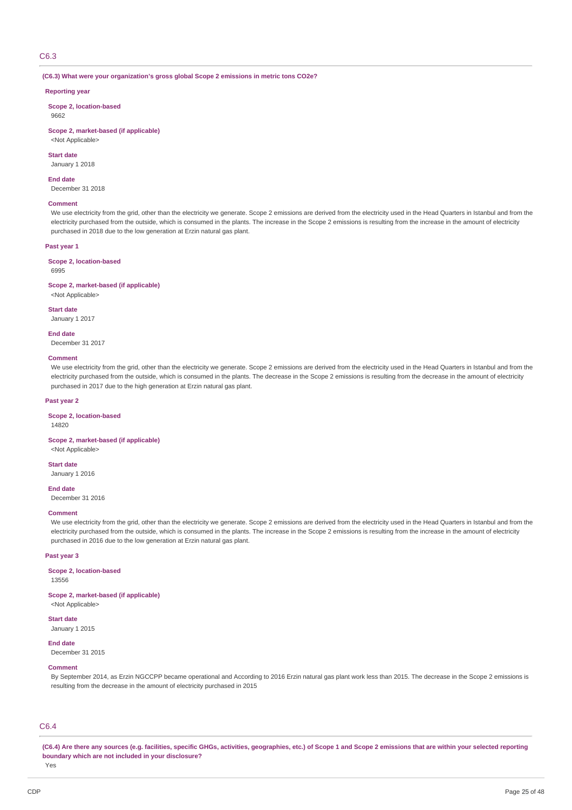#### C6.3

#### **(C6.3) What were your organization's gross global Scope 2 emissions in metric tons CO2e?**

#### **Reporting year**

**Scope 2, location-based** 9662

#### **Scope 2, market-based (if applicable)**

<Not Applicable>

### **Start date**

January 1 2018

#### **End date**

December 31 2018

#### **Comment**

We use electricity from the grid, other than the electricity we generate. Scope 2 emissions are derived from the electricity used in the Head Quarters in Istanbul and from the electricity purchased from the outside, which is consumed in the plants. The increase in the Scope 2 emissions is resulting from the increase in the amount of electricity purchased in 2018 due to the low generation at Erzin natural gas plant.

#### **Past year 1**

#### **Scope 2, location-based**

6995

#### **Scope 2, market-based (if applicable)**

<Not Applicable>

#### **Start date**

January 1 2017

#### **End date**

December 31 2017

#### **Comment**

We use electricity from the grid, other than the electricity we generate. Scope 2 emissions are derived from the electricity used in the Head Quarters in Istanbul and from the electricity purchased from the outside, which is consumed in the plants. The decrease in the Scope 2 emissions is resulting from the decrease in the amount of electricity purchased in 2017 due to the high generation at Erzin natural gas plant.

### **Past year 2**

#### **Scope 2, location-based**

14820

### **Scope 2, market-based (if applicable)**

<Not Applicable>

### **Start date**

January 1 2016

#### **End date**

December 31 2016

#### **Comment**

We use electricity from the grid, other than the electricity we generate. Scope 2 emissions are derived from the electricity used in the Head Quarters in Istanbul and from the electricity purchased from the outside, which is consumed in the plants. The increase in the Scope 2 emissions is resulting from the increase in the amount of electricity purchased in 2016 due to the low generation at Erzin natural gas plant.

#### **Past year 3**

**Scope 2, location-based**

13556

**Scope 2, market-based (if applicable)** <Not Applicable>

**Start date**

January 1 2015

### **End date** December 31 2015

#### **Comment**

By September 2014, as Erzin NGCCPP became operational and According to 2016 Erzin natural gas plant work less than 2015. The decrease in the Scope 2 emissions is resulting from the decrease in the amount of electricity purchased in 2015

### C6.4

(C6.4) Are there any sources (e.g. facilities, specific GHGs, activities, geographies, etc.) of Scope 1 and Scope 2 emissions that are within your selected reporting **boundary which are not included in your disclosure?**

Yes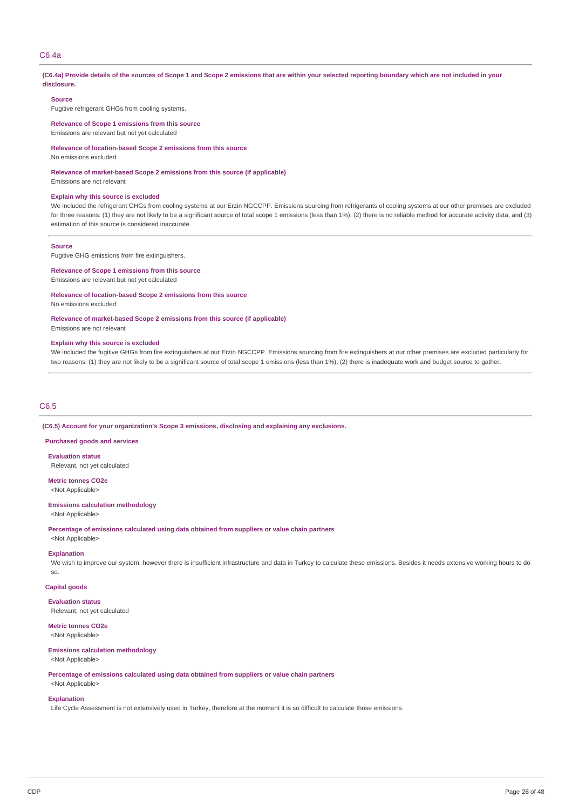#### C6.4a

#### (C6.4a) Provide details of the sources of Scope 1 and Scope 2 emissions that are within your selected reporting boundary which are not included in your **disclosure.**

#### **Source**

Fugitive refrigerant GHGs from cooling systems.

**Relevance of Scope 1 emissions from this source** Emissions are relevant but not yet calculated

### **Relevance of location-based Scope 2 emissions from this source**

No emissions excluded

**Relevance of market-based Scope 2 emissions from this source (if applicable)** Emissions are not relevant

**Explain why this source is excluded**

We included the refrigerant GHGs from cooling systems at our Erzin NGCCPP. Emissions sourcing from refrigerants of cooling systems at our other premises are excluded for three reasons: (1) they are not likely to be a significant source of total scope 1 emissions (less than 1%), (2) there is no reliable method for accurate activity data, and (3) estimation of this source is considered inaccurate.

#### **Source**

Fugitive GHG emissions from fire extinguishers.

**Relevance of Scope 1 emissions from this source**

Emissions are relevant but not yet calculated

**Relevance of location-based Scope 2 emissions from this source** No emissions excluded

#### **Relevance of market-based Scope 2 emissions from this source (if applicable)**

Emissions are not relevant

#### **Explain why this source is excluded**

We included the fugitive GHGs from fire extinguishers at our Erzin NGCCPP. Emissions sourcing from fire extinguishers at our other premises are excluded particularly for two reasons: (1) they are not likely to be a significant source of total scope 1 emissions (less than 1%), (2) there is inadequate work and budget source to gather.

#### C6.5

**(C6.5) Account for your organization's Scope 3 emissions, disclosing and explaining any exclusions.**

#### **Purchased goods and services**

**Evaluation status**

Relevant, not yet calculated

**Metric tonnes CO2e** <Not Applicable>

#### **Emissions calculation methodology**

<Not Applicable>

<Not Applicable>

**Percentage of emissions calculated using data obtained from suppliers or value chain partners**

# **Explanation**

We wish to improve our system, however there is insufficient infrastructure and data in Turkey to calculate these emissions. Besides it needs extensive working hours to do so.

#### **Capital goods**

**Evaluation status** Relevant, not yet calculated

**Metric tonnes CO2e**

<Not Applicable>

### **Emissions calculation methodology**

<Not Applicable>

**Percentage of emissions calculated using data obtained from suppliers or value chain partners**

## <Not Applicable>

### **Explanation**

Life Cycle Assessment is not extensively used in Turkey, therefore at the moment it is so difficult to calculate those emissions.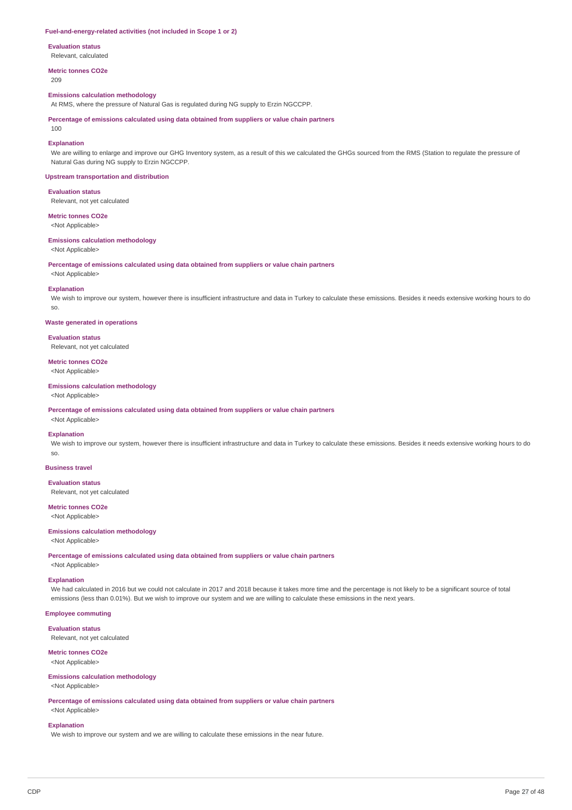#### **Fuel-and-energy-related activities (not included in Scope 1 or 2)**

**Evaluation status**

Relevant, calculated

**Metric tonnes CO2e**

209

#### **Emissions calculation methodology**

At RMS, where the pressure of Natural Gas is regulated during NG supply to Erzin NGCCPP.

**Percentage of emissions calculated using data obtained from suppliers or value chain partners**

 $100$ 

#### **Explanation**

We are willing to enlarge and improve our GHG Inventory system, as a result of this we calculated the GHGs sourced from the RMS (Station to regulate the pressure of Natural Gas during NG supply to Erzin NGCCPP.

#### **Upstream transportation and distribution**

**Evaluation status**

Relevant, not yet calculated

### **Metric tonnes CO2e**

<Not Applicable>

### **Emissions calculation methodology**

<Not Applicable>

**Percentage of emissions calculated using data obtained from suppliers or value chain partners**

<Not Applicable>

#### **Explanation**

We wish to improve our system, however there is insufficient infrastructure and data in Turkey to calculate these emissions. Besides it needs extensive working hours to do so.

#### **Waste generated in operations**

**Evaluation status**

Relevant, not yet calculated

**Metric tonnes CO2e** <Not Applicable>

#### **Emissions calculation methodology**

<Not Applicable>

**Percentage of emissions calculated using data obtained from suppliers or value chain partners**

# <Not Applicable>

**Explanation**

We wish to improve our system, however there is insufficient infrastructure and data in Turkey to calculate these emissions. Besides it needs extensive working hours to do so.

#### **Business travel**

**Evaluation status**

Relevant, not yet calculated

#### **Metric tonnes CO2e** <Not Applicable>

**Emissions calculation methodology**

<Not Applicable>

**Percentage of emissions calculated using data obtained from suppliers or value chain partners**

<Not Applicable>

### **Explanation**

We had calculated in 2016 but we could not calculate in 2017 and 2018 because it takes more time and the percentage is not likely to be a significant source of total emissions (less than 0.01%). But we wish to improve our system and we are willing to calculate these emissions in the next years

### **Employee commuting**

**Evaluation status**

Relevant, not yet calculated

### **Metric tonnes CO2e**

<Not Applicable>

#### **Emissions calculation methodology**

<Not Applicable>

**Percentage of emissions calculated using data obtained from suppliers or value chain partners** <Not Applicable>

#### **Explanation**

We wish to improve our system and we are willing to calculate these emissions in the near future.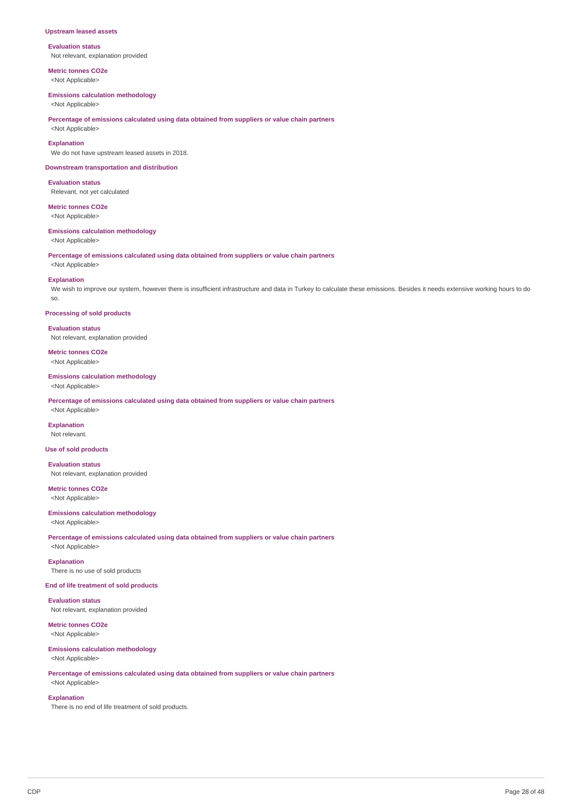#### **Upstream leased assets**

**Evaluation status** Not relevant, explanation provided

**Metric tonnes CO2e** <Not Applicable>

#### **Emissions calculation methodology**

<Not Applicable>

#### **Percentage of emissions calculated using data obtained from suppliers or value chain partners**

<Not Applicable>

### **Explanation**

We do not have upstream leased assets in 2018.

#### **Downstream transportation and distribution**

**Evaluation status** Relevant, not yet calculated

#### **Metric tonnes CO2e** <Not Applicable>

#### **Emissions calculation methodology**

<Not Applicable>

### **Percentage of emissions calculated using data obtained from suppliers or value chain partners**

<Not Applicable>

#### **Explanation**

We wish to improve our system, however there is insufficient infrastructure and data in Turkey to calculate these emissions. Besides it needs extensive working hours to do so.

#### **Processing of sold products**

**Evaluation status** Not relevant, explanation provided

#### **Metric tonnes CO2e** <Not Applicable>

**Emissions calculation methodology** <Not Applicable>

**Percentage of emissions calculated using data obtained from suppliers or value chain partners** <Not Applicable>

#### **Explanation** Not relevant.

**Use of sold products**

**Evaluation status** Not relevant, explanation provided

**Metric tonnes CO2e** <Not Applicable>

### **Emissions calculation methodology**

<Not Applicable>

**Percentage of emissions calculated using data obtained from suppliers or value chain partners** <Not Applicable>

#### **Explanation** There is no use of sold products

#### **End of life treatment of sold products**

**Evaluation status** Not relevant, explanation provided

**Metric tonnes CO2e** <Not Applicable>

#### **Emissions calculation methodology**

<Not Applicable>

#### **Percentage of emissions calculated using data obtained from suppliers or value chain partners** <Not Applicable>

#### **Explanation**

There is no end of life treatment of sold products.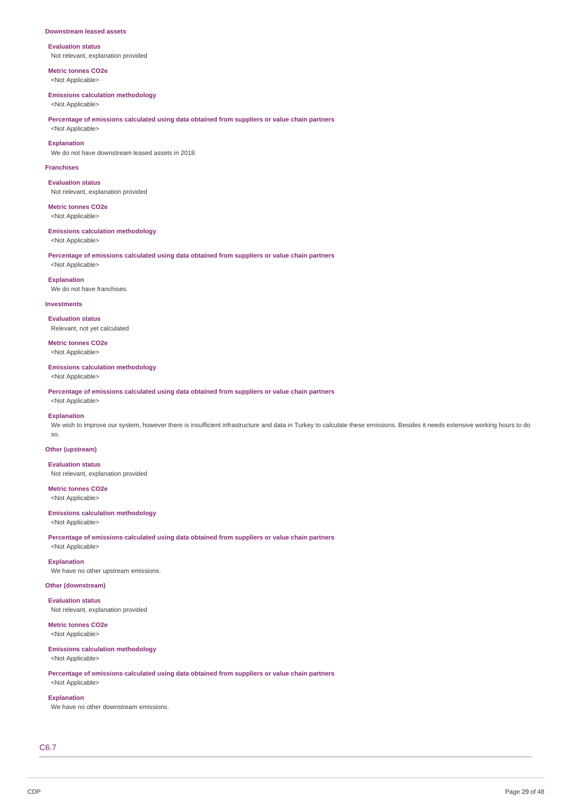#### **Downstream leased assets**

**Evaluation status** Not relevant, explanation provided

**Metric tonnes CO2e** <Not Applicable>

#### **Emissions calculation methodology**

<Not Applicable>

### **Percentage of emissions calculated using data obtained from suppliers or value chain partners**

<Not Applicable>

### **Explanation**

We do not have downstream leased assets in 2018.

#### **Franchises**

**Evaluation status** Not relevant, explanation provided

**Metric tonnes CO2e** <Not Applicable>

#### **Emissions calculation methodology**

<Not Applicable>

<Not Applicable>

**Percentage of emissions calculated using data obtained from suppliers or value chain partners**

**Explanation** We do not have franchises.

**Investments**

**Evaluation status** Relevant, not yet calculated

**Metric tonnes CO2e** <Not Applicable>

#### **Emissions calculation methodology**

<Not Applicable>

<Not Applicable>

**Percentage of emissions calculated using data obtained from suppliers or value chain partners**

#### **Explanation**

We wish to improve our system, however there is insufficient infrastructure and data in Turkey to calculate these emissions. Besides it needs extensive working hours to do so.

### **Other (upstream)**

**Evaluation status** Not relevant, explanation provided

**Metric tonnes CO2e** <Not Applicable>

**Emissions calculation methodology** <Not Applicable>

**Percentage of emissions calculated using data obtained from suppliers or value chain partners** <Not Applicable>

#### **Explanation**

We have no other upstream emissions.

### **Other (downstream)**

**Evaluation status** Not relevant, explanation provided

**Metric tonnes CO2e**

<Not Applicable>

### **Emissions calculation methodology**

<Not Applicable>

**Percentage of emissions calculated using data obtained from suppliers or value chain partners** <Not Applicable>

#### **Explanation**

We have no other downstream emissions.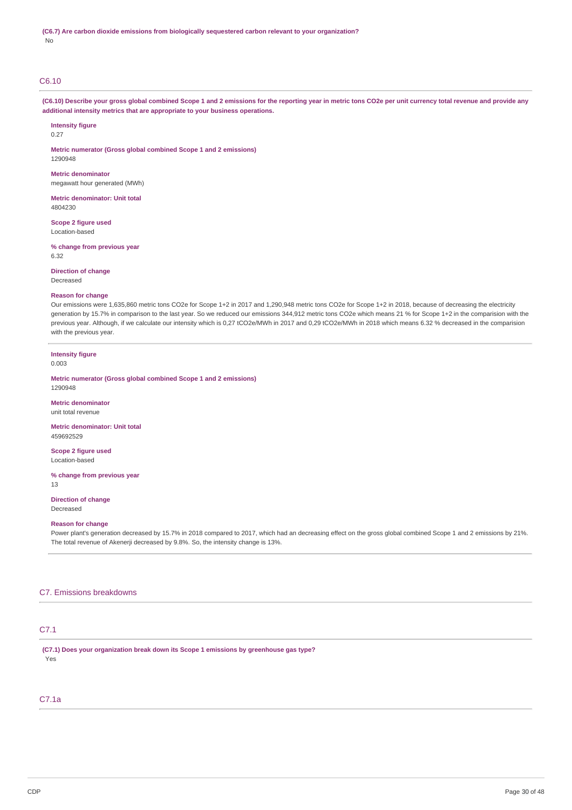### C6.10

(C6.10) Describe your gross global combined Scope 1 and 2 emissions for the reporting year in metric tons CO2e per unit currency total revenue and provide any **additional intensity metrics that are appropriate to your business operations.**

**Intensity figure**

0.27

**Metric numerator (Gross global combined Scope 1 and 2 emissions)** 1290948

**Metric denominator** megawatt hour generated (MWh)

**Metric denominator: Unit total** 4804230

**Scope 2 figure used** Location-based

**% change from previous year** 6.32

**Direction of change** Decreased

#### **Reason for change**

Our emissions were 1,635,860 metric tons CO2e for Scope 1+2 in 2017 and 1,290,948 metric tons CO2e for Scope 1+2 in 2018, because of decreasing the electricity generation by 15.7% in comparison to the last year. So we reduced our emissions 344,912 metric tons CO2e which means 21 % for Scope 1+2 in the comparision with the previous year. Although, if we calculate our intensity which is 0,27 tCO2e/MWh in 2017 and 0,29 tCO2e/MWh in 2018 which means 6.32 % decreased in the comparision with the previous year.

# **Intensity figure**

0.003

**Metric numerator (Gross global combined Scope 1 and 2 emissions)** 1290948

**Metric denominator** unit total revenue

**Metric denominator: Unit total** 459692529

**Scope 2 figure used** Location-based

**% change from previous year** 13

**Direction of change** Decreased

#### **Reason for change**

Power plant's generation decreased by 15.7% in 2018 compared to 2017, which had an decreasing effect on the gross global combined Scope 1 and 2 emissions by 21%. The total revenue of Akenerji decreased by 9.8%. So, the intensity change is 13%.

### C7. Emissions breakdowns

### C7.1

**(C7.1) Does your organization break down its Scope 1 emissions by greenhouse gas type?** Yes

### C7.1a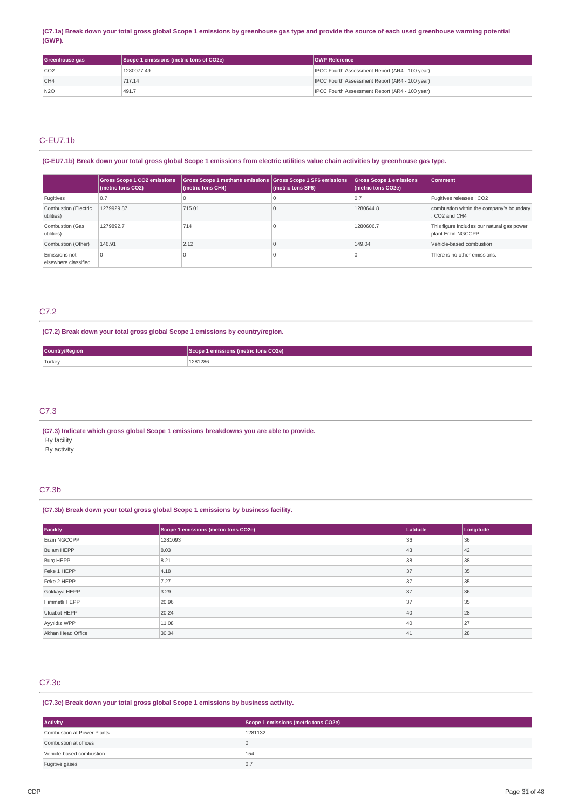#### (C7.1a) Break down your total gross global Scope 1 emissions by greenhouse gas type and provide the source of each used greenhouse warming potential **(GWP).**

| Greenhouse gas | Scope 1 emissions (metric tons of CO2e) | <b>IGWP Reference</b>                                 |
|----------------|-----------------------------------------|-------------------------------------------------------|
| CO2            | 1280077.49                              | <b>IPCC Fourth Assessment Report (AR4 - 100 year)</b> |
| CH4            | 717.14                                  | <b>IPCC Fourth Assessment Report (AR4 - 100 year)</b> |
| N2O            | 491.7                                   | <b>IPCC Fourth Assessment Report (AR4 - 100 year)</b> |

### C-EU7.1b

(C-EU7.1b) Break down your total gross global Scope 1 emissions from electric utilities value chain activities by greenhouse gas type.

|                                       | <b>Gross Scope 1 CO2 emissions</b><br>(metric tons CO2) | Gross Scope 1 methane emissions Gross Scope 1 SF6 emissions<br>(metric tons CH4) | (metric tons SF6) | <b>Gross Scope 1 emissions</b><br>(metric tons CO2e) | Comment                                                           |
|---------------------------------------|---------------------------------------------------------|----------------------------------------------------------------------------------|-------------------|------------------------------------------------------|-------------------------------------------------------------------|
| Fugitives                             | 0.7                                                     |                                                                                  |                   | 0.7                                                  | Fugitives releases : CO2                                          |
| Combustion (Electric<br>utilities)    | 1279929.87                                              | 715.01                                                                           |                   | 1280644.8                                            | combustion within the company's boundary<br>: CO2 and CH4         |
| Combustion (Gas<br>utilities)         | 1279892.7                                               | 714                                                                              |                   | 1280606.7                                            | This figure includes our natural gas power<br>plant Erzin NGCCPP. |
| Combustion (Other)                    | 146.91                                                  | 2.12                                                                             |                   | 149.04                                               | Vehicle-based combustion                                          |
| Emissions not<br>elsewhere classified |                                                         |                                                                                  |                   |                                                      | There is no other emissions.                                      |

### C7.2

### **(C7.2) Break down your total gross global Scope 1 emissions by country/region.**

| <b>Country/Region</b> | Lemissions (metric tons CO2e) |
|-----------------------|-------------------------------|
| <b>Turkey</b>         | 1281286                       |

### C7.3

**(C7.3) Indicate which gross global Scope 1 emissions breakdowns you are able to provide.** By facility By activity

### C7.3b

### **(C7.3b) Break down your total gross global Scope 1 emissions by business facility.**

| Facility          | Scope 1 emissions (metric tons CO2e) | Latitude | Longitude |
|-------------------|--------------------------------------|----------|-----------|
| Erzin NGCCPP      | 1281093                              | 36       | 36        |
| Bulam HEPP        | 8.03                                 | 43       | 42        |
| Burç HEPP         | 8.21                                 | 38       | 38        |
| Feke 1 HEPP       | 4.18                                 | 37       | 35        |
| Feke 2 HEPP       | 7.27                                 | 37       | 35        |
| Gökkaya HEPP      | 3.29                                 | 37       | 36        |
| Himmetli HEPP     | 20.96                                | 37       | 35        |
| Uluabat HEPP      | 20.24                                | 40       | 28        |
| Ayyıldız WPP      | 11.08                                | 40       | 27        |
| Akhan Head Office | 30.34                                | 41       | 28        |

### C7.3c

**(C7.3c) Break down your total gross global Scope 1 emissions by business activity.**

| <b>Activity</b>            | Scope 1 emissions (metric tons CO2e) |
|----------------------------|--------------------------------------|
| Combustion at Power Plants | 1281132                              |
| Combustion at offices      |                                      |
| Vehicle-based combustion   | 154                                  |
| Fugitive gases             | 0.7                                  |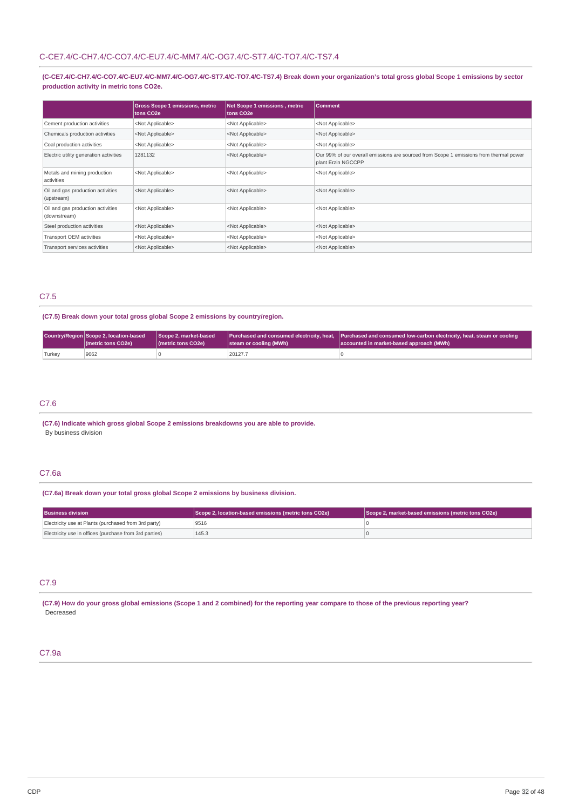(C-CE7.4/C-CH7.4/C-CO7.4/C-EU7.4/C-MM7.4/C-OG7.4/C-ST7.4/C-TO7.4/C-TS7.4) Break down your organization's total gross global Scope 1 emissions by sector **production activity in metric tons CO2e.**

|                                                   | <b>Gross Scope 1 emissions, metric</b><br>tons CO <sub>2</sub> e | Net Scope 1 emissions, metric<br>tons CO <sub>2</sub> e | <b>Comment</b>                                                                                               |
|---------------------------------------------------|------------------------------------------------------------------|---------------------------------------------------------|--------------------------------------------------------------------------------------------------------------|
| Cement production activities                      | <not applicable=""></not>                                        | <not applicable=""></not>                               | <not applicable=""></not>                                                                                    |
| Chemicals production activities                   | <not applicable=""></not>                                        | <not applicable=""></not>                               | <not applicable=""></not>                                                                                    |
| Coal production activities                        | <not applicable=""></not>                                        | <not applicable=""></not>                               | <not applicable=""></not>                                                                                    |
| Electric utility generation activities            | 1281132                                                          | <not applicable=""></not>                               | Our 99% of our overall emissions are sourced from Scope 1 emissions from thermal power<br>plant Erzin NGCCPP |
| Metals and mining production<br>activities        | <not applicable=""></not>                                        | <not applicable=""></not>                               | <not applicable=""></not>                                                                                    |
| Oil and gas production activities<br>(upstream)   | <not applicable=""></not>                                        | <not applicable=""></not>                               | <not applicable=""></not>                                                                                    |
| Oil and gas production activities<br>(downstream) | <not applicable=""></not>                                        | <not applicable=""></not>                               | <not applicable=""></not>                                                                                    |
| Steel production activities                       | <not applicable=""></not>                                        | <not applicable=""></not>                               | <not applicable=""></not>                                                                                    |
| Transport OEM activities                          | <not applicable=""></not>                                        | <not applicable=""></not>                               | <not applicable=""></not>                                                                                    |
| Transport services activities                     | <not applicable=""></not>                                        | <not applicable=""></not>                               | <not applicable=""></not>                                                                                    |

### C7.5

**(C7.5) Break down your total gross global Scope 2 emissions by country/region.**

|        | Country/Region Scope 2, location-based<br>(metric tons CO2e) | Scope 2. market-based<br>(metric tons CO2e) | steam or cooling (MWh) | Purchased and consumed electricity, heat, Purchased and consumed low-carbon electricity, heat, steam or cooling<br>accounted in market-based approach (MWh) |
|--------|--------------------------------------------------------------|---------------------------------------------|------------------------|-------------------------------------------------------------------------------------------------------------------------------------------------------------|
| Turkey | 9662                                                         |                                             | 20127.                 |                                                                                                                                                             |

### C7.6

**(C7.6) Indicate which gross global Scope 2 emissions breakdowns you are able to provide.** By business division

### C7.6a

**(C7.6a) Break down your total gross global Scope 2 emissions by business division.**

| <b>Business division</b>                               | Scope 2, location-based emissions (metric tons CO2e) | Scope 2, market-based emissions (metric tons CO2e) |
|--------------------------------------------------------|------------------------------------------------------|----------------------------------------------------|
| Electricity use at Plants (purchased from 3rd party)   | 9516                                                 |                                                    |
| Electricity use in offices (purchase from 3rd parties) | 145.3                                                |                                                    |

### C7.9

(C7.9) How do your gross global emissions (Scope 1 and 2 combined) for the reporting year compare to those of the previous reporting year? Decreased

### C7.9a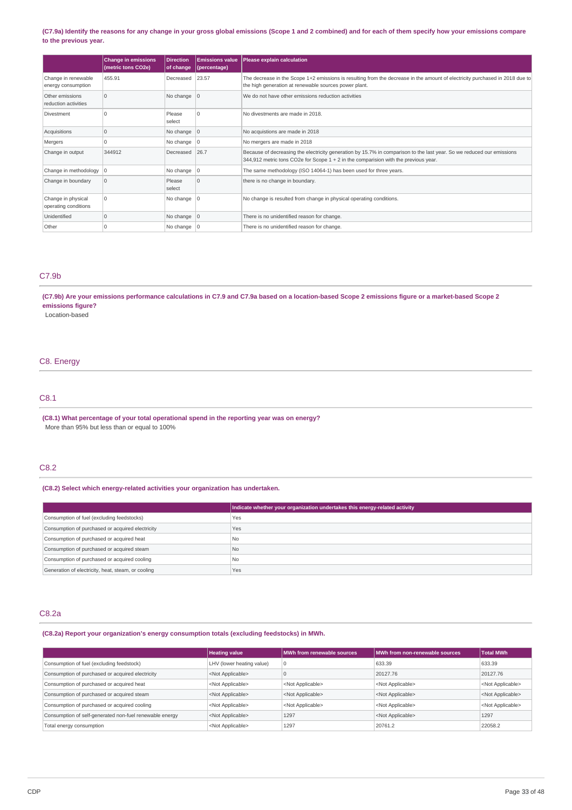#### (C7.9a) Identify the reasons for any change in your gross global emissions (Scope 1 and 2 combined) and for each of them specify how your emissions compare **to the previous year.**

|                                            | <b>Change in emissions</b><br>(metric tons CO2e) | <b>Direction</b><br>of change | <b>Emissions value</b><br>(percentage) | Please explain calculation                                                                                                                                                                                     |
|--------------------------------------------|--------------------------------------------------|-------------------------------|----------------------------------------|----------------------------------------------------------------------------------------------------------------------------------------------------------------------------------------------------------------|
| Change in renewable<br>energy consumption  | 455.91                                           | Decreased                     | 23.57                                  | The decrease in the Scope 1+2 emissions is resulting from the decrease in the amount of electricity purchased in 2018 due to<br>the high generation at renewable sources power plant.                          |
| Other emissions<br>reduction activities    | $\Omega$                                         | No change $ 0$                |                                        | We do not have other emissions reduction activities                                                                                                                                                            |
| Divestment                                 | $\Omega$                                         | Please<br>select              | $\Omega$                               | No divestments are made in 2018.                                                                                                                                                                               |
| Acquisitions                               | $\Omega$                                         | No change                     | $\overline{0}$                         | No acquistions are made in 2018                                                                                                                                                                                |
| Mergers                                    |                                                  | No change                     | $\overline{0}$                         | No mergers are made in 2018                                                                                                                                                                                    |
| Change in output                           | 344912                                           | Decreased                     | 26.7                                   | Because of decreasing the electricity generation by 15.7% in comparison to the last year. So we reduced our emissions<br>344,912 metric tons CO2e for Scope $1 + 2$ in the comparision with the previous year. |
| Change in methodology                      | $\overline{0}$                                   | No change                     | $\overline{0}$                         | The same methodology (ISO 14064-1) has been used for three years.                                                                                                                                              |
| Change in boundary                         | $\Omega$                                         | Please<br>select              | l O                                    | there is no change in boundary.                                                                                                                                                                                |
| Change in physical<br>operating conditions | $\Omega$                                         | No change $ 0$                |                                        | No change is resulted from change in physical operating conditions.                                                                                                                                            |
| Unidentified                               | $\Omega$                                         | No change $ 0 $               |                                        | There is no unidentified reason for change.                                                                                                                                                                    |
| Other                                      |                                                  | No change                     | - 10                                   | There is no unidentified reason for change.                                                                                                                                                                    |

### C7.9b

#### (C7.9b) Are your emissions performance calculations in C7.9 and C7.9a based on a location-based Scope 2 emissions figure or a market-based Scope 2 **emissions figure?**

Location-based

### C8. Energy

### C8.1

**(C8.1) What percentage of your total operational spend in the reporting year was on energy?** More than 95% but less than or equal to 100%

### C8.2

### **(C8.2) Select which energy-related activities your organization has undertaken.**

|                                                    | Indicate whether your organization undertakes this energy-related activity |
|----------------------------------------------------|----------------------------------------------------------------------------|
| Consumption of fuel (excluding feedstocks)         | Yes                                                                        |
| Consumption of purchased or acquired electricity   | Yes                                                                        |
| Consumption of purchased or acquired heat          | No.                                                                        |
| Consumption of purchased or acquired steam         | No.                                                                        |
| Consumption of purchased or acquired cooling       | No.                                                                        |
| Generation of electricity, heat, steam, or cooling | Yes                                                                        |

#### C8.2a

### **(C8.2a) Report your organization's energy consumption totals (excluding feedstocks) in MWh.**

|                                                         | <b>Heating value</b>      | MWh from renewable sources | MWh from non-renewable sources | <b>Total MWh</b>          |
|---------------------------------------------------------|---------------------------|----------------------------|--------------------------------|---------------------------|
| Consumption of fuel (excluding feedstock)               | LHV (lower heating value) | u                          | 633.39                         | 633.39                    |
| Consumption of purchased or acquired electricity        | <not applicable=""></not> |                            | 20127.76                       | 20127.76                  |
| Consumption of purchased or acquired heat               | <not applicable=""></not> | <not applicable=""></not>  | <not applicable=""></not>      | <not applicable=""></not> |
| Consumption of purchased or acquired steam              | <not applicable=""></not> | <not applicable=""></not>  | <not applicable=""></not>      | <not applicable=""></not> |
| Consumption of purchased or acquired cooling            | <not applicable=""></not> | <not applicable=""></not>  | <not applicable=""></not>      | <not applicable=""></not> |
| Consumption of self-generated non-fuel renewable energy | <not applicable=""></not> | 1297                       | <not applicable=""></not>      | 1297                      |
| Total energy consumption                                | <not applicable=""></not> | 1297                       | 20761.2                        | 22058.2                   |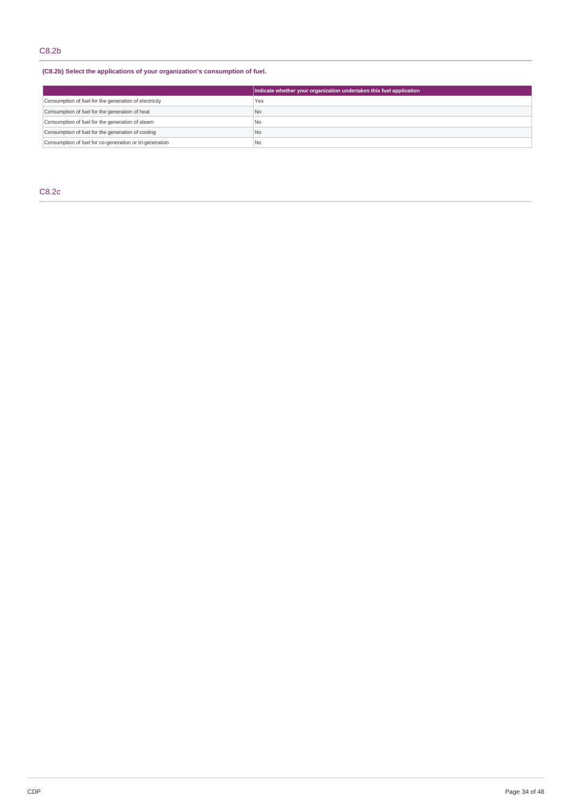## **(C8.2b) Select the applications of your organization's consumption of fuel.**

|                                                         | Indicate whether your organization undertakes this fuel application |
|---------------------------------------------------------|---------------------------------------------------------------------|
| Consumption of fuel for the generation of electricity   | 'Yes                                                                |
| Consumption of fuel for the generation of heat          | No                                                                  |
| Consumption of fuel for the generation of steam         | l No                                                                |
| Consumption of fuel for the generation of cooling       | <b>No</b>                                                           |
| Consumption of fuel for co-generation or tri-generation | l No                                                                |

C8.2c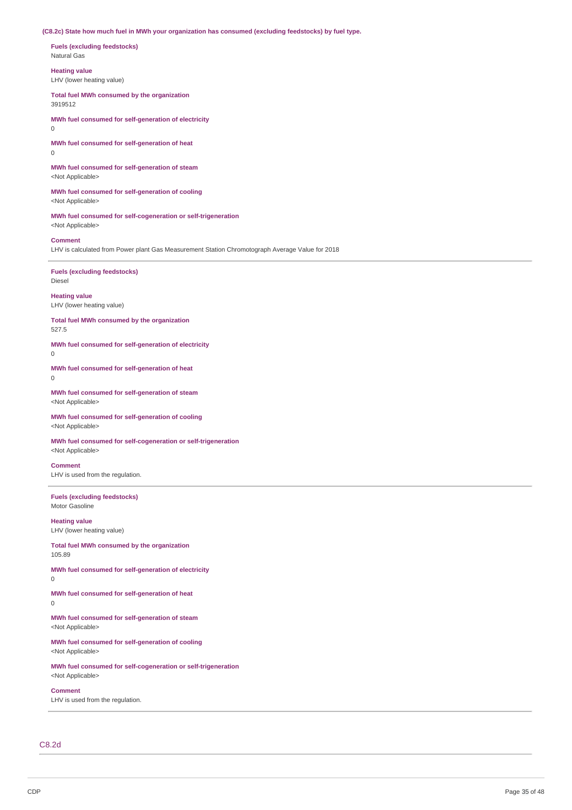**(C8.2c) State how much fuel in MWh your organization has consumed (excluding feedstocks) by fuel type.**

**Fuels (excluding feedstocks)** Natural Gas

**Heating value**

LHV (lower heating value)

**Total fuel MWh consumed by the organization**

3919512

**MWh fuel consumed for self-generation of electricity**

 $\Omega$ 

**MWh fuel consumed for self-generation of heat**  $\Omega$ 

**MWh fuel consumed for self-generation of steam** <Not Applicable>

**MWh fuel consumed for self-generation of cooling** <Not Applicable>

**MWh fuel consumed for self-cogeneration or self-trigeneration** <Not Applicable>

**Comment**

LHV is calculated from Power plant Gas Measurement Station Chromotograph Average Value for 2018

**Fuels (excluding feedstocks)** Diesel

**Heating value** LHV (lower heating value)

**Total fuel MWh consumed by the organization**

527.5

**MWh fuel consumed for self-generation of electricity** 0

**MWh fuel consumed for self-generation of heat**  $\theta$ 

**MWh fuel consumed for self-generation of steam** <Not Applicable>

**MWh fuel consumed for self-generation of cooling** <Not Applicable>

**MWh fuel consumed for self-cogeneration or self-trigeneration** <Not Applicable>

**Comment** LHV is used from the regulation.

**Fuels (excluding feedstocks)** Motor Gasoline

**Heating value** LHV (lower heating value)

**Total fuel MWh consumed by the organization** 105.89

**MWh fuel consumed for self-generation of electricity**  $\Omega$ 

**MWh fuel consumed for self-generation of heat**

 $\Omega$ 

**MWh fuel consumed for self-generation of steam** <Not Applicable>

**MWh fuel consumed for self-generation of cooling** <Not Applicable>

**MWh fuel consumed for self-cogeneration or self-trigeneration** <Not Applicable>

**Comment**

LHV is used from the regulation.

C8.2d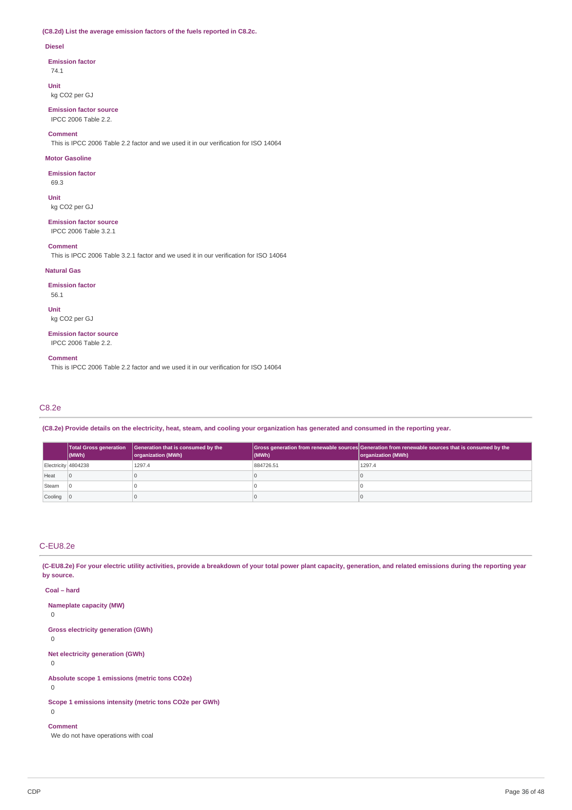### **(C8.2d) List the average emission factors of the fuels reported in C8.2c.**

#### **Diesel**

#### **Emission factor**

74.1

#### **Unit**

kg CO2 per GJ

**Emission factor source** IPCC 2006 Table 2.2.

#### **Comment**

This is IPCC 2006 Table 2.2 factor and we used it in our verification for ISO 14064

#### **Motor Gasoline**

**Emission factor**

### 69.3

**Unit** kg CO2 per GJ

### **Emission factor source**

IPCC 2006 Table 3.2.1

### **Comment**

This is IPCC 2006 Table 3.2.1 factor and we used it in our verification for ISO 14064

### **Natural Gas**

**Emission factor**

#### 56.1

**Unit**

# kg CO2 per GJ

**Emission factor source** IPCC 2006 Table 2.2.

#### **Comment**

This is IPCC 2006 Table 2.2 factor and we used it in our verification for ISO 14064

### C8.2e

(C8.2e) Provide details on the electricity, heat, steam, and cooling your organization has generated and consumed in the reporting year.

|                     | <b>Total Gross generation</b><br>$ $ (MWh) | Generation that is consumed by the<br>organization (MWh) | (MWh)     | Gross generation from renewable sources Generation from renewable sources that is consumed by the<br>organization (MWh) |
|---------------------|--------------------------------------------|----------------------------------------------------------|-----------|-------------------------------------------------------------------------------------------------------------------------|
| Electricity 4804238 |                                            | 1297.4                                                   | 884726.51 | 1297.4                                                                                                                  |
| Heat                |                                            |                                                          |           |                                                                                                                         |
| Steam               |                                            |                                                          |           |                                                                                                                         |
| Cooling 0           |                                            |                                                          |           |                                                                                                                         |

### C-EU8.2e

(C-EU8.2e) For your electric utility activities, provide a breakdown of your total power plant capacity, generation, and related emissions during the reporting year **by source.**

#### **Coal – hard**

**Nameplate capacity (MW)**

 $\Omega$ 

```
Gross electricity generation (GWh)
```
0

```
Net electricity generation (GWh)
```
0

**Absolute scope 1 emissions (metric tons CO2e)**

0

**Scope 1 emissions intensity (metric tons CO2e per GWh)**  $\Omega$ 

# **Comment**

We do not have operations with coal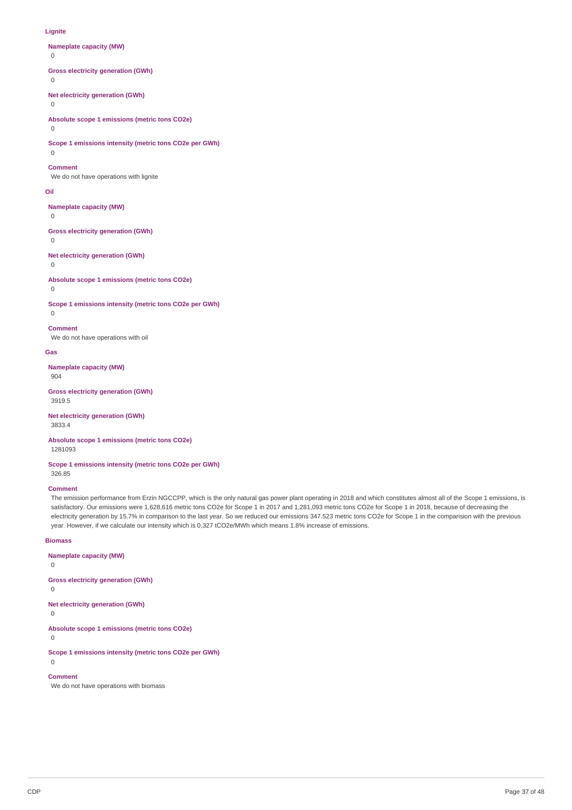#### **Lignite**

### **Nameplate capacity (MW)**

 $\Omega$ 

#### **Gross electricity generation (GWh)**

 $\theta$ 

# **Net electricity generation (GWh)**

0

### **Absolute scope 1 emissions (metric tons CO2e)**

#### $\Omega$

### **Scope 1 emissions intensity (metric tons CO2e per GWh)**

 $\Omega$ 

### **Comment**

We do not have operations with lignite

#### **Oil**

#### **Nameplate capacity (MW)**

0

### **Gross electricity generation (GWh)**

0

### **Net electricity generation (GWh)**

# 0

**Absolute scope 1 emissions (metric tons CO2e)**

### $\theta$

 $\Omega$ 

**Scope 1 emissions intensity (metric tons CO2e per GWh)**

#### **Comment**

We do not have operations with oil

#### **Gas**

**Nameplate capacity (MW)**

904

#### **Gross electricity generation (GWh)** 3919.5

#### **Net electricity generation (GWh)** 3833.4

**Absolute scope 1 emissions (metric tons CO2e)** 1281093

#### **Scope 1 emissions intensity (metric tons CO2e per GWh)** 326.85

### **Comment**

The emission performance from Erzin NGCCPP, which is the only natural gas power plant operating in 2018 and which constitutes almost all of the Scope 1 emissions, is satisfactory. Our emissions were 1,628,616 metric tons CO2e for Scope 1 in 2017 and 1,281,093 metric tons CO2e for Scope 1 in 2018, because of decreasing the electricity generation by 15.7% in comparison to the last year. So we reduced our emissions 347.523 metric tons CO2e for Scope 1 in the comparision with the previous year. However, if we calculate our intensity which is 0,327 tCO2e/MWh which means 1.8% increase of emissions.

### **Biomass**

#### **Nameplate capacity (MW)**

0

#### **Gross electricity generation (GWh)**

0

### **Net electricity generation (GWh)**

0

**Absolute scope 1 emissions (metric tons CO2e)**

 $\Omega$ 

### **Scope 1 emissions intensity (metric tons CO2e per GWh)**

0

### **Comment**

We do not have operations with biomass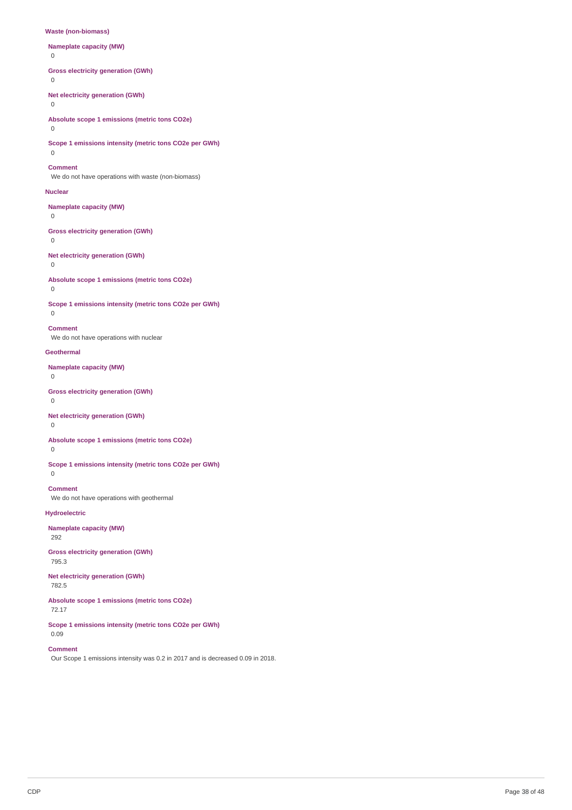#### **Waste (non-biomass)**

- **Nameplate capacity (MW)**
- $\Omega$

### **Gross electricity generation (GWh)**

 $\Omega$ 

- **Net electricity generation (GWh)**
- 0

**Absolute scope 1 emissions (metric tons CO2e)**

 $\Omega$ 

**Scope 1 emissions intensity (metric tons CO2e per GWh)**  $\Omega$ 

#### **Comment**

We do not have operations with waste (non-biomass)

#### **Nuclear**

**Nameplate capacity (MW)**

0

**Gross electricity generation (GWh)**

0

**Net electricity generation (GWh)**

# 0

**Absolute scope 1 emissions (metric tons CO2e)**

0

**Scope 1 emissions intensity (metric tons CO2e per GWh)**  $\Omega$ 

### **Comment**

We do not have operations with nuclear

#### **Geothermal**

**Nameplate capacity (MW)**

 $\Omega$ 

### **Gross electricity generation (GWh)**

0

## **Net electricity generation (GWh)**

0

### **Absolute scope 1 emissions (metric tons CO2e)**

 $\overline{0}$ 

**Scope 1 emissions intensity (metric tons CO2e per GWh)**  $\Omega$ 

# **Comment**

We do not have operations with geothermal

### **Hydroelectric**

**Nameplate capacity (MW)** 292

### **Gross electricity generation (GWh)** 795.3

**Net electricity generation (GWh)**

### 782.5

**Absolute scope 1 emissions (metric tons CO2e)**

72.17

#### **Scope 1 emissions intensity (metric tons CO2e per GWh)** 0.09

### **Comment**

Our Scope 1 emissions intensity was 0.2 in 2017 and is decreased 0.09 in 2018.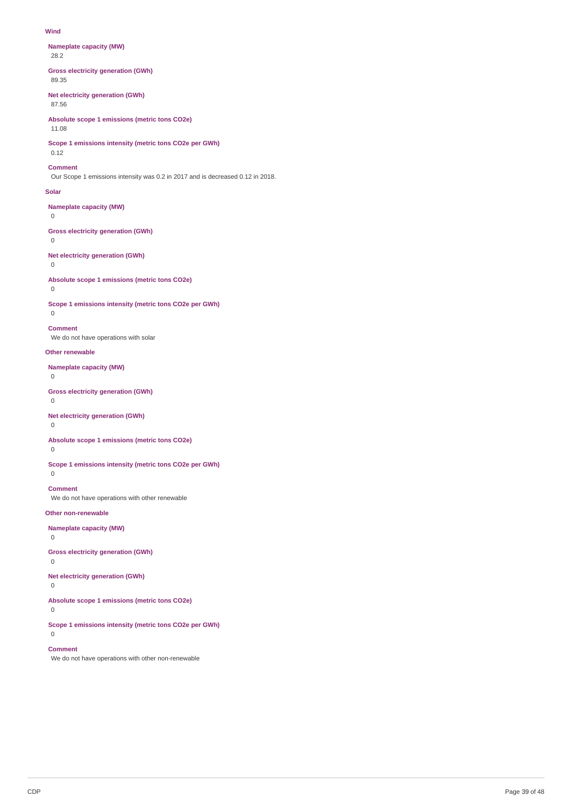#### **Wind**

**Nameplate capacity (MW)**

28.2

**Gross electricity generation (GWh)** 89.35

# **Net electricity generation (GWh)**

87.56

**Absolute scope 1 emissions (metric tons CO2e)** 11.08

### **Scope 1 emissions intensity (metric tons CO2e per GWh)** 0.12

#### **Comment**

Our Scope 1 emissions intensity was 0.2 in 2017 and is decreased 0.12 in 2018.

#### **Solar**

**Nameplate capacity (MW)**

0

### **Gross electricity generation (GWh)**

# 0

**Net electricity generation (GWh)**

# 0

**Absolute scope 1 emissions (metric tons CO2e)**

# 0

**Scope 1 emissions intensity (metric tons CO2e per GWh)**  $\Omega$ 

### **Comment**

We do not have operations with solar

### **Other renewable**

**Nameplate capacity (MW)**

 $\Omega$ 

### **Gross electricity generation (GWh)**

0

### **Net electricity generation (GWh)**

0

### **Absolute scope 1 emissions (metric tons CO2e)**

 $\overline{0}$ 

#### **Scope 1 emissions intensity (metric tons CO2e per GWh)**  $\Omega$

**Comment**

### We do not have operations with other renewable

**Other non-renewable**

### **Nameplate capacity (MW)**

0

### **Gross electricity generation (GWh)**

0

# **Net electricity generation (GWh)**

0

### **Absolute scope 1 emissions (metric tons CO2e)**

0

 $\Omega$ 

### **Scope 1 emissions intensity (metric tons CO2e per GWh)**

**Comment**

We do not have operations with other non-renewable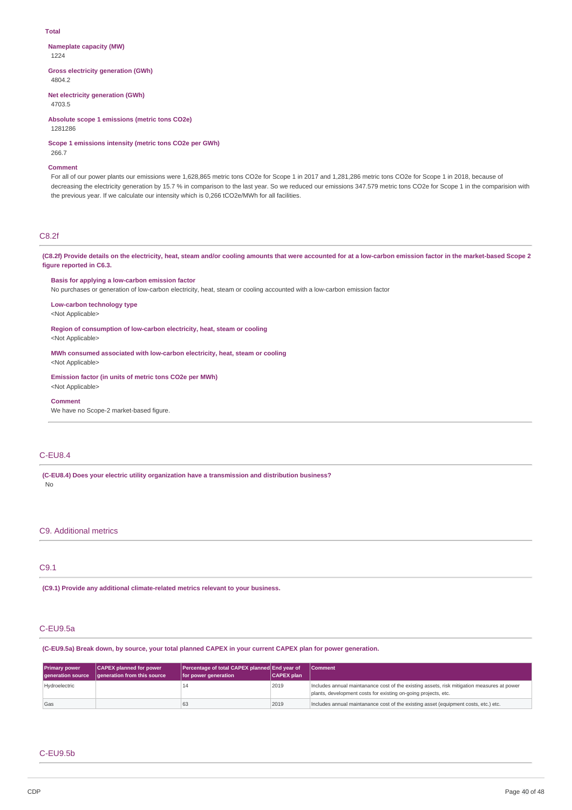#### **Total**

**Nameplate capacity (MW)** 1224

**Gross electricity generation (GWh)** 4804.2

**Net electricity generation (GWh)**

4703.5

**Absolute scope 1 emissions (metric tons CO2e)**

1281286

**Scope 1 emissions intensity (metric tons CO2e per GWh)**

266.7

#### **Comment**

For all of our power plants our emissions were 1,628,865 metric tons CO2e for Scope 1 in 2017 and 1,281,286 metric tons CO2e for Scope 1 in 2018, because of decreasing the electricity generation by 15.7 % in comparison to the last year. So we reduced our emissions 347.579 metric tons CO2e for Scope 1 in the comparision with the previous year. If we calculate our intensity which is 0,266 tCO2e/MWh for all facilities.

### C8.2f

(C8.2f) Provide details on the electricity, heat, steam and/or cooling amounts that were accounted for at a low-carbon emission factor in the market-based Scope 2 **figure reported in C6.3.**

#### **Basis for applying a low-carbon emission factor**

No purchases or generation of low-carbon electricity, heat, steam or cooling accounted with a low-carbon emission factor

**Low-carbon technology type** <Not Applicable>

**Region of consumption of low-carbon electricity, heat, steam or cooling** <Not Applicable>

**MWh consumed associated with low-carbon electricity, heat, steam or cooling** <Not Applicable>

**Emission factor (in units of metric tons CO2e per MWh)** <Not Applicable>

**Comment**

We have no Scope-2 market-based figure.

#### C-EU8.4

**(C-EU8.4) Does your electric utility organization have a transmission and distribution business?** No

### C9. Additional metrics

### C9.1

**(C9.1) Provide any additional climate-related metrics relevant to your business.**

### C-EU9.5a

(C-EU9.5a) Break down, by source, your total planned CAPEX in your current CAPEX plan for power generation.

| <b>Primary power</b><br><b>generation source</b> | <b>CAPEX planned for power</b><br>generation from this source | Percentage of total CAPEX planned End year of<br>for power generation | <b>CAPEX plan</b> | <b>Comment</b>                                                                                                                                               |
|--------------------------------------------------|---------------------------------------------------------------|-----------------------------------------------------------------------|-------------------|--------------------------------------------------------------------------------------------------------------------------------------------------------------|
| Hydroelectric                                    |                                                               |                                                                       | 2019              | Includes annual maintanance cost of the existing assets, risk mitigation measures at power<br>plants, development costs for existing on-going projects, etc. |
| Gas                                              |                                                               | 63                                                                    | 2019              | Includes annual maintanance cost of the existing asset (equipment costs, etc.) etc.                                                                          |

### C-EU9.5b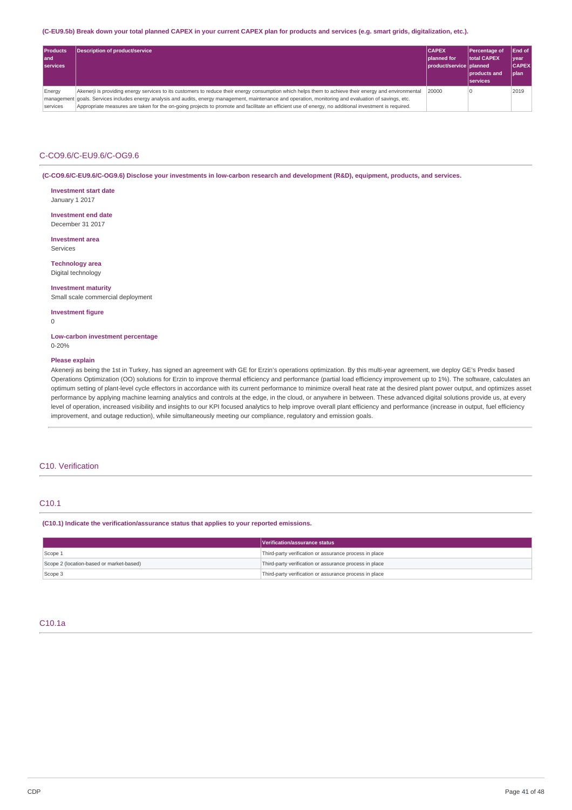#### (C-EU9.5b) Break down your total planned CAPEX in your current CAPEX plan for products and services (e.g. smart grids, digitalization, etc.).

| <b>Products</b><br>l and<br><b>services</b> | <b>Description of product/service</b>                                                                                                                                                                                                                                                                                                                                                                                                                                    | <b>CAPEX</b><br><b>planned</b> for<br>  product/service   planned_ | Percentage of<br>total CAPEX<br><b>products</b> and<br><b>services</b> | End of I<br>  year<br><b>CAPEX</b><br>  plan |
|---------------------------------------------|--------------------------------------------------------------------------------------------------------------------------------------------------------------------------------------------------------------------------------------------------------------------------------------------------------------------------------------------------------------------------------------------------------------------------------------------------------------------------|--------------------------------------------------------------------|------------------------------------------------------------------------|----------------------------------------------|
| Energy<br>services                          | Akenerji is providing energy services to its customers to reduce their energy consumption which helps them to achieve their energy and environmental<br>management goals. Services includes energy analysis and audits, energy management, maintenance and operation, monitoring and evaluation of savings, etc.<br>Appropriate measures are taken for the on-going projects to promote and facilitate an efficient use of energy, no additional investment is required. | 20000                                                              |                                                                        | 2019                                         |

### C-CO9.6/C-EU9.6/C-OG9.6

(C-CO9.6/C-EU9.6/C-OG9.6) Disclose your investments in low-carbon research and development (R&D), equipment, products, and services.

#### **Investment start date** January 1 2017

**Investment end date** December 31 2017

**Investment area** Services

**Technology area** Digital technology

#### **Investment maturity**

Small scale commercial deployment

**Investment figure**

0

#### **Low-carbon investment percentage** 0-20%

#### **Please explain**

Akenerji as being the 1st in Turkey, has signed an agreement with GE for Erzin's operations optimization. By this multi-year agreement, we deploy GE's Predix based Operations Optimization (OO) solutions for Erzin to improve thermal efficiency and performance (partial load efficiency improvement up to 1%). The software, calculates an optimum setting of plant-level cycle effectors in accordance with its current performance to minimize overall heat rate at the desired plant power output, and optimizes asset performance by applying machine learning analytics and controls at the edge, in the cloud, or anywhere in between. These advanced digital solutions provide us, at every level of operation, increased visibility and insights to our KPI focused analytics to help improve overall plant efficiency and performance (increase in output, fuel efficiency improvement, and outage reduction), while simultaneously meeting our compliance, regulatory and emission goals.

#### C10. Verification

### C10.1

**(C10.1) Indicate the verification/assurance status that applies to your reported emissions.**

|                                          | Verification/assurance status                          |
|------------------------------------------|--------------------------------------------------------|
| Scope 1                                  | Third-party verification or assurance process in place |
| Scope 2 (location-based or market-based) | Third-party verification or assurance process in place |
| Scope 3                                  | Third-party verification or assurance process in place |

#### C10.1a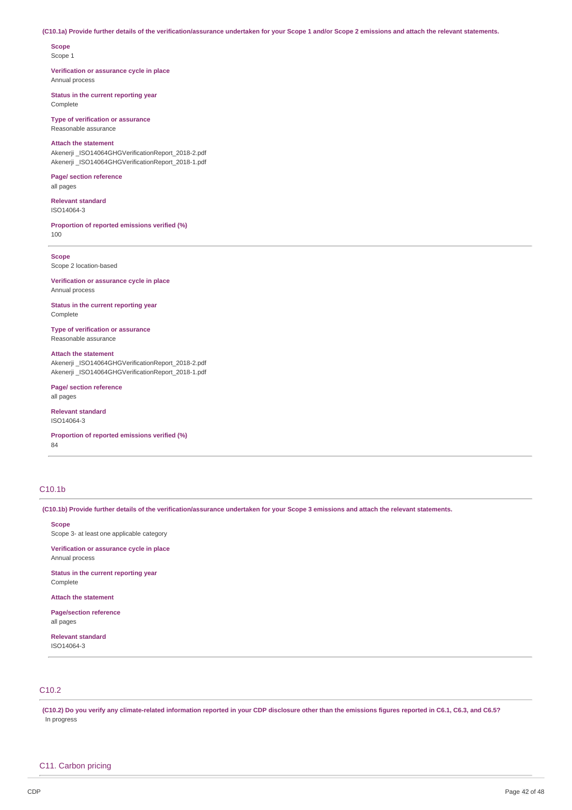#### (C10.1a) Provide further details of the verification/assurance undertaken for your Scope 1 and/or Scope 2 emissions and attach the relevant statements.

# **Scope**

Scope 1

**Verification or assurance cycle in place** Annual process

**Status in the current reporting year**

Complete

**Type of verification or assurance** Reasonable assurance

### **Attach the statement**

Akenerji \_ISO14064GHGVerificationReport\_2018-2.pdf Akenerji \_ISO14064GHGVerificationReport\_2018-1.pdf

### **Page/ section reference**

all pages

**Relevant standard** ISO14064-3

**Proportion of reported emissions verified (%)** 100

**Scope**

Scope 2 location-based

**Verification or assurance cycle in place** Annual process

**Status in the current reporting year** Complete

# **Type of verification or assurance**

Reasonable assurance

### **Attach the statement**

Akenerji ISO14064GHGVerificationReport 2018-2.pdf Akenerji \_ISO14064GHGVerificationReport\_2018-1.pdf

**Page/ section reference** all pages

**Relevant standard** ISO14064-3

**Proportion of reported emissions verified (%)**

84

# C10.1b

(C10.1b) Provide further details of the verification/assurance undertaken for your Scope 3 emissions and attach the relevant statements.

**Scope** Scope 3- at least one applicable category

**Verification or assurance cycle in place** Annual process

**Status in the current reporting year Complete** 

**Attach the statement**

**Page/section reference** all pages

**Relevant standard** ISO14064-3

### C10.2

(C10.2) Do you verify any climate-related information reported in your CDP disclosure other than the emissions figures reported in C6.1, C6.3, and C6.5? In progress

### C11. Carbon pricing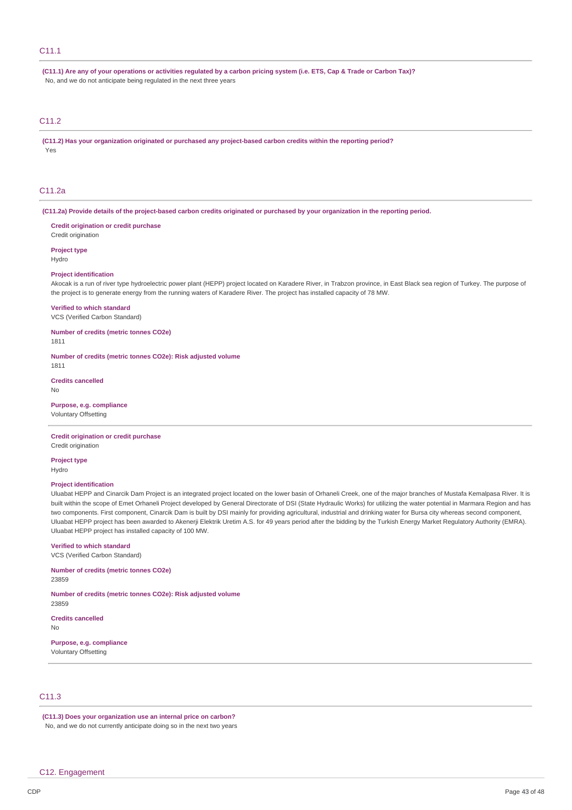### C11.1

(C11.1) Are any of your operations or activities regulated by a carbon pricing system (i.e. ETS, Cap & Trade or Carbon Tax)? No, and we do not anticipate being regulated in the next three years

### C11.2

**(C11.2) Has your organization originated or purchased any project-based carbon credits within the reporting period?** Yes

#### C11.2a

(C11.2a) Provide details of the project-based carbon credits originated or purchased by your organization in the reporting period.

**Credit origination or credit purchase** Credit origination

**Project type** Hydro

#### **Project identification**

Akocak is a run of river type hydroelectric power plant (HEPP) project located on Karadere River, in Trabzon province, in East Black sea region of Turkey. The purpose of the project is to generate energy from the running waters of Karadere River. The project has installed capacity of 78 MW.

#### **Verified to which standard**

VCS (Verified Carbon Standard)

**Number of credits (metric tonnes CO2e)**

1811

**Number of credits (metric tonnes CO2e): Risk adjusted volume**

# **Credits cancelled**

No

1811

#### **Purpose, e.g. compliance** Voluntary Offsetting

**Credit origination or credit purchase** Credit origination

**Project type** Hydro

### **Project identification**

Uluabat HEPP and Cinarcik Dam Project is an integrated project located on the lower basin of Orhaneli Creek, one of the major branches of Mustafa Kemalpasa River. It is built within the scope of Emet Orhaneli Project developed by General Directorate of DSI (State Hydraulic Works) for utilizing the water potential in Marmara Region and has two components. First component, Cinarcik Dam is built by DSI mainly for providing agricultural, industrial and drinking water for Bursa city whereas second component, Uluabat HEPP project has been awarded to Akenerji Elektrik Uretim A.S. for 49 years period after the bidding by the Turkish Energy Market Regulatory Authority (EMRA). Uluabat HEPP project has installed capacity of 100 MW.

### **Verified to which standard**

VCS (Verified Carbon Standard)

**Number of credits (metric tonnes CO2e)** 23859

**Number of credits (metric tonnes CO2e): Risk adjusted volume** 23859

**Credits cancelled**

No

**Purpose, e.g. compliance** Voluntary Offsetting

### C11.3

**(C11.3) Does your organization use an internal price on carbon?** No, and we do not currently anticipate doing so in the next two years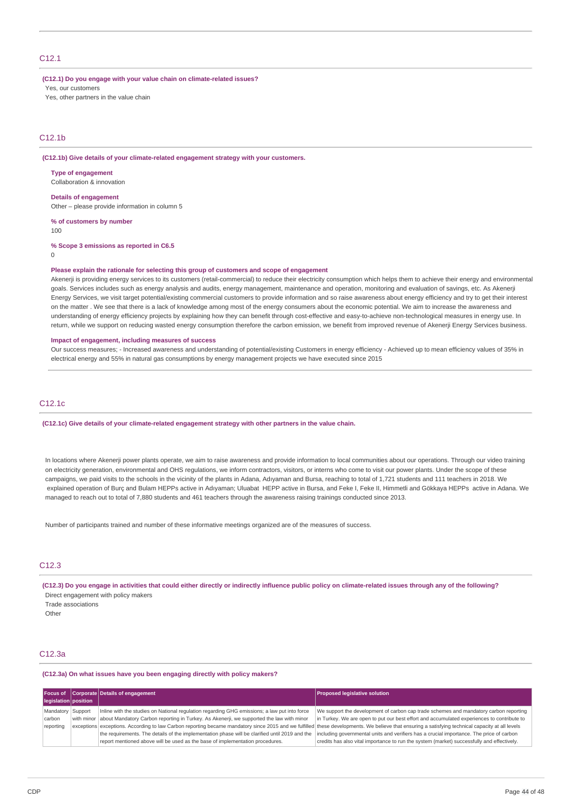### C12.1

#### **(C12.1) Do you engage with your value chain on climate-related issues?**

Yes, our customers

Yes, other partners in the value chain

### C12.1b

#### **(C12.1b) Give details of your climate-related engagement strategy with your customers.**

#### **Type of engagement**

Collaboration & innovation

### **Details of engagement**

Other – please provide information in column 5

**% of customers by number**

 $100$ 

**% Scope 3 emissions as reported in C6.5**

 $\Omega$ 

#### **Please explain the rationale for selecting this group of customers and scope of engagement**

Akenerji is providing energy services to its customers (retail-commercial) to reduce their electricity consumption which helps them to achieve their energy and environmental goals. Services includes such as energy analysis and audits, energy management, maintenance and operation, monitoring and evaluation of savings, etc. As Akenerji Energy Services, we visit target potential/existing commercial customers to provide information and so raise awareness about energy efficiency and try to get their interest on the matter . We see that there is a lack of knowledge among most of the energy consumers about the economic potential. We aim to increase the awareness and understanding of energy efficiency projects by explaining how they can benefit through cost-effective and easy-to-achieve non-technological measures in energy use. In return, while we support on reducing wasted energy consumption therefore the carbon emission, we benefit from improved revenue of Akenerji Energy Services business.

#### **Impact of engagement, including measures of success**

Our success measures; - Increased awareness and understanding of potential/existing Customers in energy efficiency - Achieved up to mean efficiency values of 35% in electrical energy and 55% in natural gas consumptions by energy management projects we have executed since 2015

#### C12.1c

**(C12.1c) Give details of your climate-related engagement strategy with other partners in the value chain.**

In locations where Akenerji power plants operate, we aim to raise awareness and provide information to local communities about our operations. Through our video training on electricity generation, environmental and OHS regulations, we inform contractors, visitors, or interns who come to visit our power plants. Under the scope of these campaigns, we paid visits to the schools in the vicinity of the plants in Adana, Adıyaman and Bursa, reaching to total of 1,721 students and 111 teachers in 2018. We explained operation of Burç and Bulam HEPPs active in Adıyaman; Uluabat HEPP active in Bursa, and Feke I, Feke II, Himmetli and Gökkaya HEPPs active in Adana. We managed to reach out to total of 7,880 students and 461 teachers through the awareness raising trainings conducted since 2013.

Number of participants trained and number of these informative meetings organized are of the measures of success.

# C12.3

(C12.3) Do you engage in activities that could either directly or indirectly influence public policy on climate-related issues through any of the following? Direct engagement with policy makers

Trade associations

Other

### C12.3a

#### **(C12.3a) On what issues have you been engaging directly with policy makers?**

|                      | Focus of Corporate Details of engagement                                                                                                                                                         | <b>Proposed legislative solution</b>                                                       |
|----------------------|--------------------------------------------------------------------------------------------------------------------------------------------------------------------------------------------------|--------------------------------------------------------------------------------------------|
| legislation position |                                                                                                                                                                                                  |                                                                                            |
| Mandatory Support    | Inline with the studies on National regulation regarding GHG emissions; a law put into force                                                                                                     | We support the development of carbon cap trade schemes and mandatory carbon reporting      |
| carbon               | with minor about Mandatory Carbon reporting in Turkey. As Akenerji, we supported the law with minor                                                                                              | in Turkey. We are open to put our best effort and accumulated experiences to contribute to |
| reporting            | exceptions exceptions. According to law Carbon reporting became mandatory since 2015 and we fulfilled these developments. We believe that ensuring a satisfying technical capacity at all levels |                                                                                            |
|                      | the requirements. The details of the implementation phase will be clarified until 2019 and the                                                                                                   | including governmental units and verifiers has a crucial importance. The price of carbon   |
|                      | report mentioned above will be used as the base of implementation procedures.                                                                                                                    | credits has also vital importance to run the system (market) successfully and effectively. |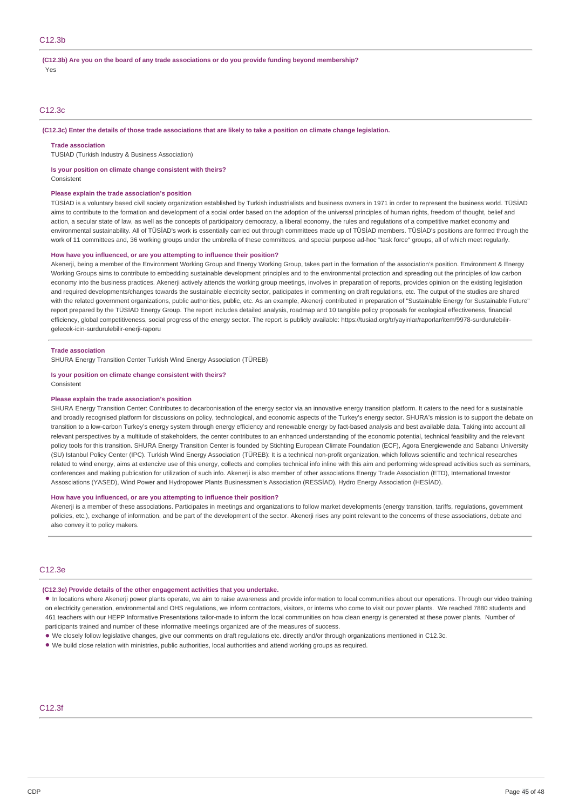#### **(C12.3b) Are you on the board of any trade associations or do you provide funding beyond membership?** Yes

#### C12.3c

#### (C12.3c) Enter the details of those trade associations that are likely to take a position on climate change legislation.

#### **Trade association**

TUSIAD (Turkish Industry & Business Association)

#### **Is your position on climate change consistent with theirs?**

Consistent

#### **Please explain the trade association's position**

TÜSİAD is a voluntary based civil society organization established by Turkish industrialists and business owners in 1971 in order to represent the business world. TÜSİAD aims to contribute to the formation and development of a social order based on the adoption of the universal principles of human rights, freedom of thought, belief and action, a secular state of law, as well as the concepts of participatory democracy, a liberal economy, the rules and regulations of a competitive market economy and environmental sustainability. All of TÜSİAD's work is essentially carried out through committees made up of TÜSİAD members. TÜSİAD's positions are formed through the work of 11 committees and, 36 working groups under the umbrella of these committees, and special purpose ad-hoc "task force" groups, all of which meet regularly

#### **How have you influenced, or are you attempting to influence their position?**

Akenerji, being a member of the Environment Working Group and Energy Working Group, takes part in the formation of the association's position. Environment & Energy Working Groups aims to contribute to embedding sustainable development principles and to the environmental protection and spreading out the principles of low carbon economy into the business practices. Akenerji actively attends the working group meetings, involves in preparation of reports, provides opinion on the existing legislation and required developments/changes towards the sustainable electricity sector, paticipates in commenting on draft regulations, etc. The output of the studies are shared with the related government organizations, public authorities, public, etc. As an example, Akenerji contributed in preparation of "Sustainable Energy for Sustainable Future" report prepared by the TÜSİAD Energy Group. The report includes detailed analysis, roadmap and 10 tangible policy proposals for ecological effectiveness, financial efficiency, global competitiveness, social progress of the energy sector. The report is publicly available: https://tusiad.org/tr/yayinlar/raporlar/item/9978-surdurulebilirgelecek-icin-surdurulebilir-enerji-raporu

#### **Trade association**

SHURA Energy Transition Center Turkish Wind Energy Association (TÜREB)

### **Is your position on climate change consistent with theirs?**

Consistent

#### **Please explain the trade association's position**

SHURA Energy Transition Center: Contributes to decarbonisation of the energy sector via an innovative energy transition platform. It caters to the need for a sustainable and broadly recognised platform for discussions on policy, technological, and economic aspects of the Turkey's energy sector. SHURA's mission is to support the debate on transition to a low-carbon Turkey's energy system through energy efficiency and renewable energy by fact-based analysis and best available data. Taking into account all relevant perspectives by a multitude of stakeholders, the center contributes to an enhanced understanding of the economic potential, technical feasibility and the relevant policy tools for this transition. SHURA Energy Transition Center is founded by Stichting European Climate Foundation (ECF), Agora Energiewende and Sabancı University (SU) Istanbul Policy Center (IPC). Turkish Wind Energy Association (TÜREB): It is a technical non-profit organization, which follows scientific and technical researches related to wind energy, aims at extencive use of this energy, collects and complies technical info inline with this aim and performing widespread activities such as seminars, conferences and making publication for utilization of such info. Akenerji is also member of other associations Energy Trade Association (ETD), International Investor Assosciations (YASED), Wind Power and Hydropower Plants Businessmen's Association (RESSİAD), Hydro Energy Association (HESİAD).

#### **How have you influenced, or are you attempting to influence their position?**

Akenerji is a member of these associations. Participates in meetings and organizations to follow market developments (energy transition, tariffs, regulations, government policies, etc.), exchange of information, and be part of the development of the sector. Akenerji rises any point relevant to the concerns of these associations, debate and also convey it to policy makers.

#### C12.3e

#### **(C12.3e) Provide details of the other engagement activities that you undertake.**

• In locations where Akenerji power plants operate, we aim to raise awareness and provide information to local communities about our operations. Through our video training on electricity generation, environmental and OHS regulations, we inform contractors, visitors, or interns who come to visit our power plants. We reached 7880 students and 461 teachers with our HEPP Informative Presentations tailor-made to inform the local communities on how clean energy is generated at these power plants. Number of participants trained and number of these informative meetings organized are of the measures of success.

• We closely follow legislative changes, give our comments on draft regulations etc. directly and/or through organizations mentioned in C12.3c.

• We build close relation with ministries, public authorities, local authorities and attend working groups as required.

### C12.3f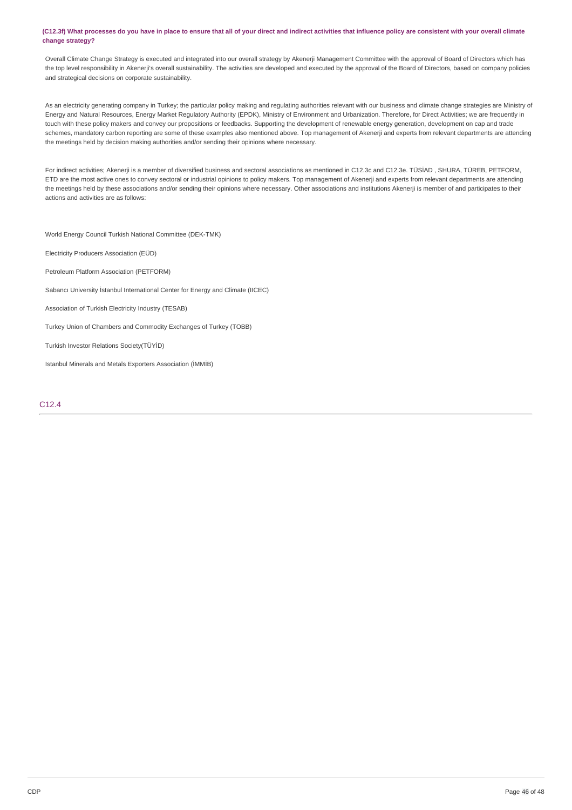#### (C12.3f) What processes do you have in place to ensure that all of your direct and indirect activities that influence policy are consistent with your overall climate **change strategy?**

Overall Climate Change Strategy is executed and integrated into our overall strategy by Akenerji Management Committee with the approval of Board of Directors which has the top level responsibility in Akenerji's overall sustainability. The activities are developed and executed by the approval of the Board of Directors, based on company policies and strategical decisions on corporate sustainability.

As an electricity generating company in Turkey; the particular policy making and regulating authorities relevant with our business and climate change strategies are Ministry of Energy and Natural Resources, Energy Market Regulatory Authority (EPDK), Ministry of Environment and Urbanization. Therefore, for Direct Activities; we are frequently in touch with these policy makers and convey our propositions or feedbacks. Supporting the development of renewable energy generation, development on cap and trade schemes, mandatory carbon reporting are some of these examples also mentioned above. Top management of Akenerji and experts from relevant departments are attending the meetings held by decision making authorities and/or sending their opinions where necessary.

For indirect activities; Akenerji is a member of diversified business and sectoral associations as mentioned in C12.3c and C12.3e. TÜSİAD , SHURA, TÜREB, PETFORM, ETD are the most active ones to convey sectoral or industrial opinions to policy makers. Top management of Akenerji and experts from relevant departments are attending the meetings held by these associations and/or sending their opinions where necessary. Other associations and institutions Akenerji is member of and participates to their actions and activities are as follows:

World Energy Council Turkish National Committee (DEK-TMK) Electricity Producers Association (EÜD) Petroleum Platform Association (PETFORM) Sabancı University İstanbul International Center for Energy and Climate (IICEC) Association of Turkish Electricity Industry (TESAB) Turkey Union of Chambers and Commodity Exchanges of Turkey (TOBB) Turkish Investor Relations Society(TÜYİD) Istanbul Minerals and Metals Exporters Association (İMMİB)

C12.4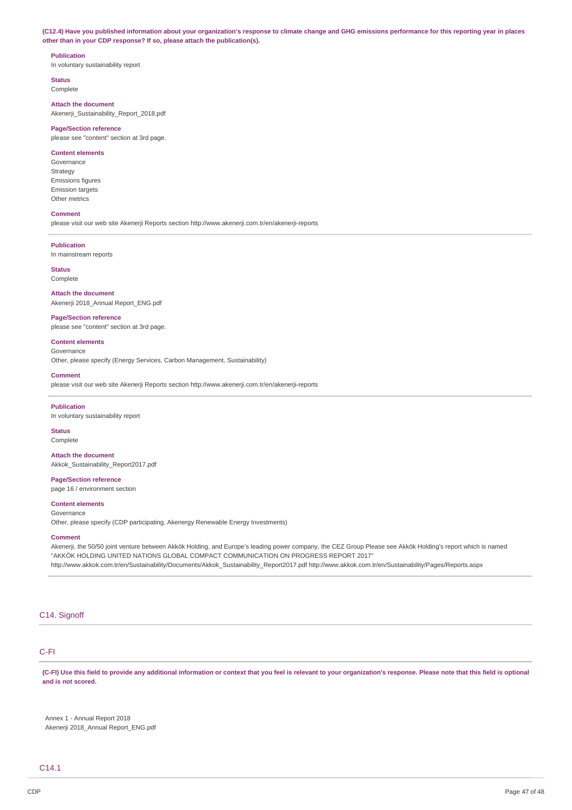(C12.4) Have you published information about your organization's response to climate change and GHG emissions performance for this reporting year in places **other than in your CDP response? If so, please attach the publication(s).**

#### **Publication**

In voluntary sustainability report

**Status** Complete

**Attach the document** Akenerji Sustainability Report 2018.pdf

#### **Page/Section reference**

please see "content" section at 3rd page.

#### **Content elements**

Governance Strategy Emissions figures Emission targets Other metrics

#### **Comment**

please visit our web site Akenerji Reports section http://www.akenerji.com.tr/en/akenerji-reports

**Publication**

In mainstream reports

#### **Status** Complete

**Attach the document** Akenerji 2018\_Annual Report\_ENG.pdf

### **Page/Section reference**

please see "content" section at 3rd page.

#### **Content elements** Governance

Other, please specify (Energy Services, Carbon Management, Sustainability)

#### **Comment**

please visit our web site Akenerji Reports section http://www.akenerji.com.tr/en/akenerji-reports

#### **Publication**

In voluntary sustainability report

### **Status**

Complete

**Attach the document** Akkok\_Sustainability\_Report2017.pdf

# **Page/Section reference**

page 16 / environment section

#### **Content elements** Governance

Other, please specify (CDP participating, Akenergy Renewable Energy Investments)

### **Comment**

Akenerji, the 50/50 joint venture between Akkök Holding, and Europe's leading power company, the CEZ Group Please see Akkök Holding's report which is named "AKKÖK HOLDING UNITED NATIONS GLOBAL COMPACT COMMUNICATION ON PROGRESS REPORT 2017" http://www.akkok.com.tr/en/Sustainability/Documents/Akkok\_Sustainability\_Report2017.pdf http://www.akkok.com.tr/en/Sustainability/Pages/Reports.aspx

### C14. Signoff

## C-FI

(C-FI) Use this field to provide any additional information or context that you feel is relevant to your organization's response. Please note that this field is optional **and is not scored.**

Annex 1 - Annual Report 2018 Akenerji 2018\_Annual Report\_ENG.pdf